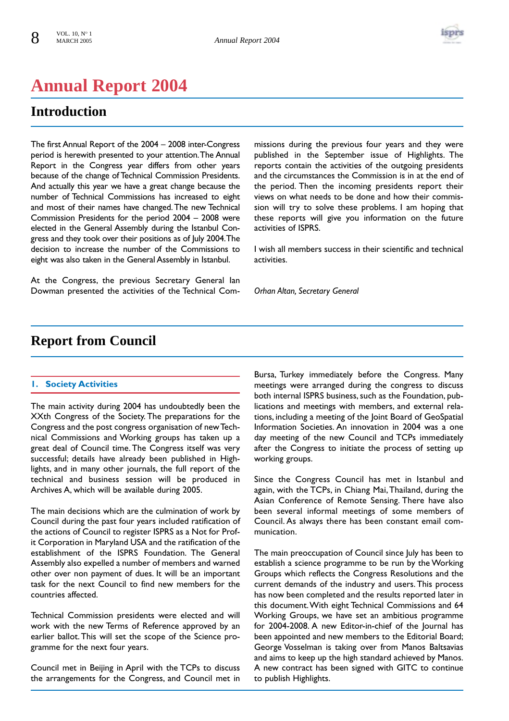

# **Annual Report 2004**

# **Introduction**

The first Annual Report of the 2004 – 2008 inter-Congress period is herewith presented to your attention.The Annual Report in the Congress year differs from other years because of the change of Technical Commission Presidents. And actually this year we have a great change because the number of Technical Commissions has increased to eight and most of their names have changed.The new Technical Commission Presidents for the period 2004 – 2008 were elected in the General Assembly during the Istanbul Congress and they took over their positions as of July 2004.The decision to increase the number of the Commissions to eight was also taken in the General Assembly in Istanbul.

At the Congress, the previous Secretary General Ian Dowman presented the activities of the Technical Commissions during the previous four years and they were published in the September issue of Highlights. The reports contain the activities of the outgoing presidents and the circumstances the Commission is in at the end of the period. Then the incoming presidents report their views on what needs to be done and how their commission will try to solve these problems. I am hoping that these reports will give you information on the future activities of ISPRS.

I wish all members success in their scientific and technical activities.

*Orhan Altan, Secretary General*

# **Report from Council**

# **1. Society Activities**

The main activity during 2004 has undoubtedly been the XXth Congress of the Society. The preparations for the Congress and the post congress organisation of new Technical Commissions and Working groups has taken up a great deal of Council time. The Congress itself was very successful; details have already been published in Highlights, and in many other journals, the full report of the technical and business session will be produced in Archives A, which will be available during 2005.

The main decisions which are the culmination of work by Council during the past four years included ratification of the actions of Council to register ISPRS as a Not for Profit Corporation in Maryland USA and the ratification of the establishment of the ISPRS Foundation. The General Assembly also expelled a number of members and warned other over non payment of dues. It will be an important task for the next Council to find new members for the countries affected.

Technical Commission presidents were elected and will work with the new Terms of Reference approved by an earlier ballot.This will set the scope of the Science programme for the next four years.

Council met in Beijing in April with the TCPs to discuss the arrangements for the Congress, and Council met in

Bursa, Turkey immediately before the Congress. Many meetings were arranged during the congress to discuss both internal ISPRS business, such as the Foundation, publications and meetings with members, and external relations, including a meeting of the Joint Board of GeoSpatial Information Societies. An innovation in 2004 was a one day meeting of the new Council and TCPs immediately after the Congress to initiate the process of setting up working groups.

Since the Congress Council has met in Istanbul and again, with the TCPs, in Chiang Mai,Thailand, during the Asian Conference of Remote Sensing. There have also been several informal meetings of some members of Council. As always there has been constant email communication.

The main preoccupation of Council since July has been to establish a science programme to be run by the Working Groups which reflects the Congress Resolutions and the current demands of the industry and users.This process has now been completed and the results reported later in this document.With eight Technical Commissions and 64 Working Groups, we have set an ambitious programme for 2004-2008. A new Editor-in-chief of the Journal has been appointed and new members to the Editorial Board; George Vosselman is taking over from Manos Baltsavias and aims to keep up the high standard achieved by Manos. A new contract has been signed with GITC to continue to publish Highlights.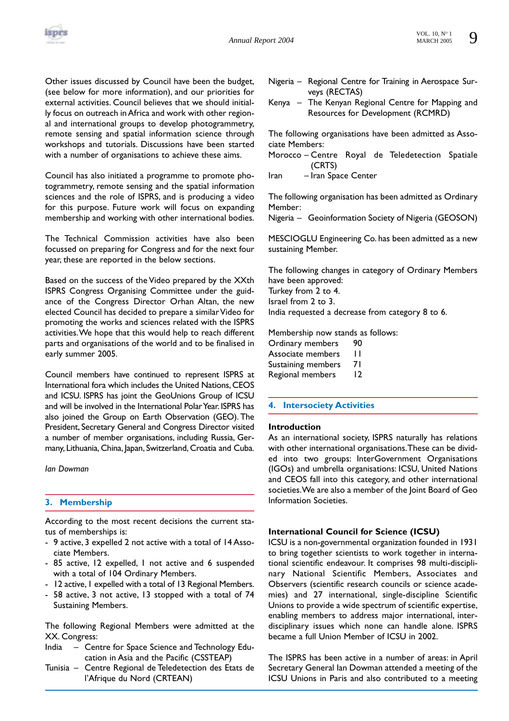

Other issues discussed by Council have been the budget, (see below for more information), and our priorities for external activities. Council believes that we should initially focus on outreach in Africa and work with other regional and international groups to develop photogrammetry, remote sensing and spatial information science through workshops and tutorials. Discussions have been started with a number of organisations to achieve these aims.

Council has also initiated a programme to promote photogrammetry, remote sensing and the spatial information sciences and the role of ISPRS, and is producing a video for this purpose. Future work will focus on expanding membership and working with other international bodies.

The Technical Commission activities have also been focussed on preparing for Congress and for the next four year, these are reported in the below sections.

Based on the success of the Video prepared by the XXth ISPRS Congress Organising Committee under the guidance of the Congress Director Orhan Altan, the new elected Council has decided to prepare a similar Video for promoting the works and sciences related with the ISPRS activities.We hope that this would help to reach different parts and organisations of the world and to be finalised in early summer 2005.

Council members have continued to represent ISPRS at International fora which includes the United Nations, CEOS and ICSU. ISPRS has joint the GeoUnions Group of ICSU and will be involved in the International Polar Year.ISPRS has also joined the Group on Earth Observation (GEO). The President, Secretary General and Congress Director visited a number of member organisations, including Russia, Germany, Lithuania, China, Japan, Switzerland, Croatia and Cuba.

*Ian Dowman*

# **3. Membership**

According to the most recent decisions the current status of memberships is:

- 9 active, 3 expelled 2 not active with a total of 14 Associate Members.
- 85 active, 12 expelled, 1 not active and 6 suspended with a total of 104 Ordinary Members.
- 12 active, I expelled with a total of 13 Regional Members.
- 58 active, 3 not active, 13 stopped with a total of 74 Sustaining Members.

The following Regional Members were admitted at the XX. Congress:

- India Centre for Space Science and Technology Education in Asia and the Pacific (CSSTEAP)
- Tunisia Centre Regional de Teledetection des Etats de l'Afrique du Nord (CRTEAN)
- Nigeria Regional Centre for Training in Aerospace Surveys (RECTAS)
- Kenya The Kenyan Regional Centre for Mapping and Resources for Development (RCMRD)

The following organisations have been admitted as Associate Members:

- Morocco Centre Royal de Teledetection Spatiale (CRTS)
- Iran Iran Space Center

The following organisation has been admitted as Ordinary Member:

Nigeria – Geoinformation Society of Nigeria (GEOSON)

MESCIOGLU Engineering Co. has been admitted as a new sustaining Member.

The following changes in category of Ordinary Members have been approved: Turkey from 2 to 4. Israel from 2 to 3. India requested a decrease from category 8 to 6.

Membership now stands as follows:

| Ordinary members   | 90 |
|--------------------|----|
| Associate members  | ш  |
| Sustaining members | 71 |
| Regional members   | 12 |

# **4. Intersociety Activities**

# **Introduction**

As an international society, ISPRS naturally has relations with other international organisations.These can be divided into two groups: InterGovernment Organisations (IGOs) and umbrella organisations: ICSU, United Nations and CEOS fall into this category, and other international societies.We are also a member of the Joint Board of Geo Information Societies.

# **International Council for Science (ICSU)**

ICSU is a non-governmental organization founded in 1931 to bring together scientists to work together in international scientific endeavour. It comprises 98 multi-disciplinary National Scientific Members, Associates and Observers (scientific research councils or science academies) and 27 international, single-discipline Scientific Unions to provide a wide spectrum of scientific expertise, enabling members to address major international, interdisciplinary issues which none can handle alone. ISPRS became a full Union Member of ICSU in 2002.

The ISPRS has been active in a number of areas: in April Secretary General Ian Dowman attended a meeting of the ICSU Unions in Paris and also contributed to a meeting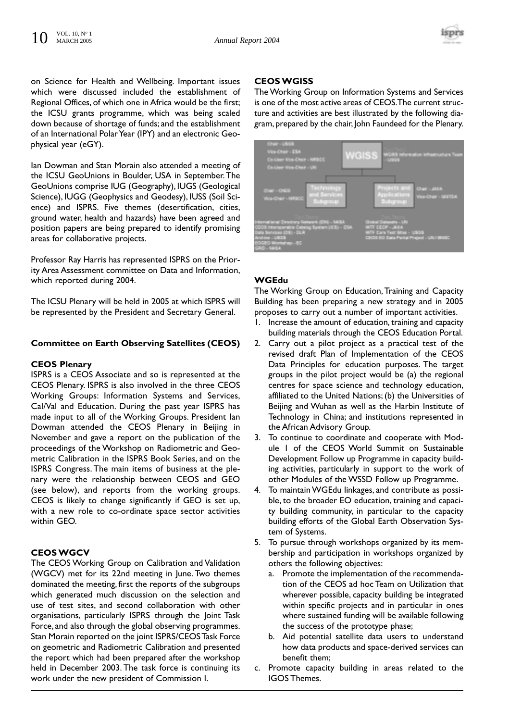

on Science for Health and Wellbeing. Important issues which were discussed included the establishment of Regional Offices, of which one in Africa would be the first; the ICSU grants programme, which was being scaled down because of shortage of funds; and the establishment of an International Polar Year (IPY) and an electronic Geophysical year (eGY).

lan Dowman and Stan Morain also attended a meeting of the ICSU GeoUnions in Boulder, USA in September.The GeoUnions comprise IUG (Geography), IUGS (Geological Science), IUGG (Geophysics and Geodesy), IUSS (Soil Science) and ISPRS. Five themes (desertification, cities, ground water, health and hazards) have been agreed and position papers are being prepared to identify promising areas for collaborative projects.

Professor Ray Harris has represented ISPRS on the Priority Area Assessment committee on Data and Information, which reported during 2004.

The ICSU Plenary will be held in 2005 at which ISPRS will be represented by the President and Secretary General.

# **Committee on Earth Observing Satellites (CEOS)**

#### **CEOS Plenary**

ISPRS is a CEOS Associate and so is represented at the CEOS Plenary. ISPRS is also involved in the three CEOS Working Groups: Information Systems and Services, Cal/Val and Education. During the past year ISPRS has made input to all of the Working Groups. President Ian Dowman attended the CEOS Plenary in Beijing in November and gave a report on the publication of the proceedings of the Workshop on Radiometric and Geometric Calibration in the ISPRS Book Series, and on the ISPRS Congress. The main items of business at the plenary were the relationship between CEOS and GEO (see below), and reports from the working groups. CEOS is likely to change significantly if GEO is set up, with a new role to co-ordinate space sector activities within GEO.

# **CEOS WGCV**

The CEOS Working Group on Calibration and Validation (WGCV) met for its 22nd meeting in June. Two themes dominated the meeting, first the reports of the subgroups which generated much discussion on the selection and use of test sites, and second collaboration with other organisations, particularly ISPRS through the Joint Task Force, and also through the global observing programmes. Stan Morain reported on the joint ISPRS/CEOS Task Force on geometric and Radiometric Calibration and presented the report which had been prepared after the workshop held in December 2003. The task force is continuing its work under the new president of Commission I.

# **CEOS WGISS**

The Working Group on Information Systems and Services is one of the most active areas of CEOS.The current structure and activities are best illustrated by the following diagram, prepared by the chair, John Faundeed for the Plenary.

| Chair - USSS<br>Vice-Chair - ESA<br>Co-User Vice-Chair - MRSCC<br>Co-User View-Chair - UN                                                                                                    | <b>WGISS</b><br>WS65 information infrastructure Team<br>$-$ uranona                                                                     |
|----------------------------------------------------------------------------------------------------------------------------------------------------------------------------------------------|-----------------------------------------------------------------------------------------------------------------------------------------|
| Technology<br>Chair - CHES<br>and Services<br>Vice-Chair - NRSCC<br>Subgroup                                                                                                                 | Projects and<br>Chair - Moth<br><b>Applications</b><br>Vice-Chair - Graffort<br>Subgroup                                                |
| International Directory Network (IDR) - NASA<br>0005 Intersperable Catelog System (ICS) - CSA<br>Oata Services (DS) - DLR<br><b>Andrése : USCS</b><br>25-quristin G500<br><b>GRID - MASA</b> | <b>Contractor</b><br>Global Gaterats - UN<br>WIT CEOP - MAIA<br>WTF Care Test Sites - USGS<br>CROSS RO Data Pertai Project - UN/ RRSC - |

# **WGEdu**

The Working Group on Education, Training and Capacity Building has been preparing a new strategy and in 2005 proposes to carry out a number of important activities.

- 1. Increase the amount of education, training and capacity building materials through the CEOS Education Portal.
- 2. Carry out a pilot project as a practical test of the revised draft Plan of Implementation of the CEOS Data Principles for education purposes. The target groups in the pilot project would be (a) the regional centres for space science and technology education, affiliated to the United Nations; (b) the Universities of Beijing and Wuhan as well as the Harbin Institute of Technology in China; and institutions represented in the African Advisory Group.
- 3. To continue to coordinate and cooperate with Module 1 of the CEOS World Summit on Sustainable Development Follow up Programme in capacity building activities, particularly in support to the work of other Modules of the WSSD Follow up Programme.
- 4. To maintain WGEdu linkages, and contribute as possible, to the broader EO education, training and capacity building community, in particular to the capacity building efforts of the Global Earth Observation System of Systems.
- 5. To pursue through workshops organized by its membership and participation in workshops organized by others the following objectives:
	- a. Promote the implementation of the recommendation of the CEOS ad hoc Team on Utilization that wherever possible, capacity building be integrated within specific projects and in particular in ones where sustained funding will be available following the success of the prototype phase;
	- b. Aid potential satellite data users to understand how data products and space-derived services can benefit them;
- c. Promote capacity building in areas related to the IGOS Themes.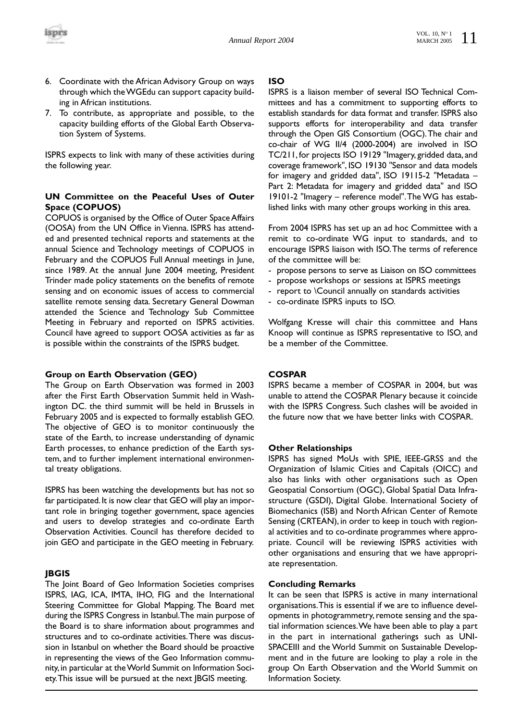

- 6. Coordinate with the African Advisory Group on ways through which the WGEdu can support capacity building in African institutions.
- 7. To contribute, as appropriate and possible, to the capacity building efforts of the Global Earth Observation System of Systems.

ISPRS expects to link with many of these activities during the following year.

# **UN Committee on the Peaceful Uses of Outer Space (COPUOS)**

COPUOS is organised by the Office of Outer Space Affairs (OOSA) from the UN Office in Vienna. ISPRS has attended and presented technical reports and statements at the annual Science and Technology meetings of COPUOS in February and the COPUOS Full Annual meetings in June, since 1989. At the annual June 2004 meeting, President Trinder made policy statements on the benefits of remote sensing and on economic issues of access to commercial satellite remote sensing data. Secretary General Dowman attended the Science and Technology Sub Committee Meeting in February and reported on ISPRS activities. Council have agreed to support OOSA activities as far as is possible within the constraints of the ISPRS budget.

# **Group on Earth Observation (GEO)**

The Group on Earth Observation was formed in 2003 after the First Earth Observation Summit held in Washington DC. the third summit will be held in Brussels in February 2005 and is expected to formally establish GEO. The objective of GEO is to monitor continuously the state of the Earth, to increase understanding of dynamic Earth processes, to enhance prediction of the Earth system, and to further implement international environmental treaty obligations.

ISPRS has been watching the developments but has not so far participated. It is now clear that GEO will play an important role in bringing together government, space agencies and users to develop strategies and co-ordinate Earth Observation Activities. Council has therefore decided to join GEO and participate in the GEO meeting in February.

# **JBGIS**

The Joint Board of Geo Information Societies comprises ISPRS, IAG, ICA, IMTA, IHO, FIG and the International Steering Committee for Global Mapping. The Board met during the ISPRS Congress in Istanbul.The main purpose of the Board is to share information about programmes and structures and to co-ordinate activities.There was discussion in Istanbul on whether the Board should be proactive in representing the views of the Geo Information community, in particular at the World Summit on Information Society.This issue will be pursued at the next JBGIS meeting.

#### **ISO**

ISPRS is a liaison member of several ISO Technical Committees and has a commitment to supporting efforts to establish standards for data format and transfer. ISPRS also supports efforts for interoperability and data transfer through the Open GIS Consortium (OGC).The chair and co-chair of WG II/4 (2000-2004) are involved in ISO TC/211, for projects ISO 19129 "Imagery, gridded data, and coverage framework", ISO 19130 "Sensor and data models for imagery and gridded data", ISO 19115-2 "Metadata – Part 2: Metadata for imagery and gridded data" and ISO 19101-2 "Imagery – reference model".The WG has established links with many other groups working in this area.

From 2004 ISPRS has set up an ad hoc Committee with a remit to co-ordinate WG input to standards, and to encourage ISPRS liaison with ISO.The terms of reference of the committee will be:

- propose persons to serve as Liaison on ISO committees
- propose workshops or sessions at ISPRS meetings
- report to \Council annually on standards activities
- co-ordinate ISPRS inputs to ISO.

Wolfgang Kresse will chair this committee and Hans Knoop will continue as ISPRS representative to ISO, and be a member of the Committee.

# **COSPAR**

ISPRS became a member of COSPAR in 2004, but was unable to attend the COSPAR Plenary because it coincide with the ISPRS Congress. Such clashes will be avoided in the future now that we have better links with COSPAR.

# **Other Relationships**

ISPRS has signed MoUs with SPIE, IEEE-GRSS and the Organization of Islamic Cities and Capitals (OICC) and also has links with other organisations such as Open Geospatial Consortium (OGC), Global Spatial Data Infrastructure (GSDI), Digital Globe. International Society of Biomechanics (ISB) and North African Center of Remote Sensing (CRTEAN), in order to keep in touch with regional activities and to co-ordinate programmes where appropriate. Council will be reviewing ISPRS activities with other organisations and ensuring that we have appropriate representation.

# **Concluding Remarks**

It can be seen that ISPRS is active in many international organisations.This is essential if we are to influence developments in photogrammetry, remote sensing and the spatial information sciences.We have been able to play a part in the part in international gatherings such as UNI-SPACEIII and the World Summit on Sustainable Development and in the future are looking to play a role in the group On Earth Observation and the World Summit on Information Society.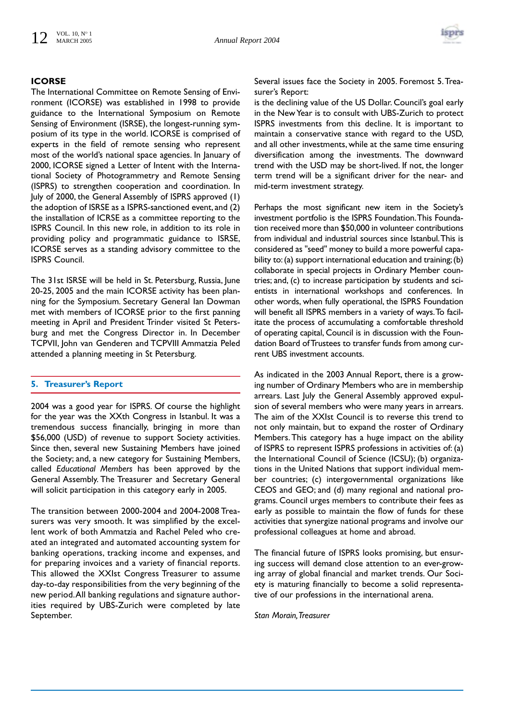

# **ICORSE**

The International Committee on Remote Sensing of Environment (ICORSE) was established in 1998 to provide guidance to the International Symposium on Remote Sensing of Environment (ISRSE), the longest-running symposium of its type in the world. ICORSE is comprised of experts in the field of remote sensing who represent most of the world's national space agencies. In January of 2000, ICORSE signed a Letter of Intent with the International Society of Photogrammetry and Remote Sensing (ISPRS) to strengthen cooperation and coordination. In July of 2000, the General Assembly of ISPRS approved (1) the adoption of ISRSE as a ISPRS-sanctioned event, and (2) the installation of ICRSE as a committee reporting to the ISPRS Council. In this new role, in addition to its role in providing policy and programmatic guidance to ISRSE, ICORSE serves as a standing advisory committee to the ISPRS Council.

The 31st ISRSE will be held in St. Petersburg, Russia, June 20-25, 2005 and the main ICORSE activity has been planning for the Symposium. Secretary General Ian Dowman met with members of ICORSE prior to the first panning meeting in April and President Trinder visited St Petersburg and met the Congress Director in. In December TCPVII, John van Genderen and TCPVIII Ammatzia Peled attended a planning meeting in St Petersburg.

# **5. Treasurer's Report**

2004 was a good year for ISPRS. Of course the highlight for the year was the XXth Congress in Istanbul. It was a tremendous success financially, bringing in more than \$56,000 (USD) of revenue to support Society activities. Since then, several new Sustaining Members have joined the Society; and, a new category for Sustaining Members, called *Educational Members* has been approved by the General Assembly. The Treasurer and Secretary General will solicit participation in this category early in 2005.

The transition between 2000-2004 and 2004-2008 Treasurers was very smooth. It was simplified by the excellent work of both Ammatzia and Rachel Peled who created an integrated and automated accounting system for banking operations, tracking income and expenses, and for preparing invoices and a variety of financial reports. This allowed the XXIst Congress Treasurer to assume day-to-day responsibilities from the very beginning of the new period.All banking regulations and signature authorities required by UBS-Zurich were completed by late September.

Several issues face the Society in 2005. Foremost 5.Treasurer's Report:

is the declining value of the US Dollar. Council's goal early in the New Year is to consult with UBS-Zurich to protect ISPRS investments from this decline. It is important to maintain a conservative stance with regard to the USD, and all other investments, while at the same time ensuring diversification among the investments. The downward trend with the USD may be short-lived. If not, the longer term trend will be a significant driver for the near- and mid-term investment strategy.

Perhaps the most significant new item in the Society's investment portfolio is the ISPRS Foundation.This Foundation received more than \$50,000 in volunteer contributions from individual and industrial sources since Istanbul.This is considered as "seed" money to build a more powerful capability to:(a) support international education and training;(b) collaborate in special projects in Ordinary Member countries; and, (c) to increase participation by students and scientists in international workshops and conferences. In other words, when fully operational, the ISPRS Foundation will benefit all ISPRS members in a variety of ways.To facilitate the process of accumulating a comfortable threshold of operating capital, Council is in discussion with the Foundation Board of Trustees to transfer funds from among current UBS investment accounts.

As indicated in the 2003 Annual Report, there is a growing number of Ordinary Members who are in membership arrears. Last July the General Assembly approved expulsion of several members who were many years in arrears. The aim of the XXIst Council is to reverse this trend to not only maintain, but to expand the roster of Ordinary Members.This category has a huge impact on the ability of ISPRS to represent ISPRS professions in activities of: (a) the International Council of Science (ICSU); (b) organizations in the United Nations that support individual member countries; (c) intergovernmental organizations like CEOS and GEO; and (d) many regional and national programs. Council urges members to contribute their fees as early as possible to maintain the flow of funds for these activities that synergize national programs and involve our professional colleagues at home and abroad.

The financial future of ISPRS looks promising, but ensuring success will demand close attention to an ever-growing array of global financial and market trends. Our Society is maturing financially to become a solid representative of our professions in the international arena.

*Stan Morain,Treasurer*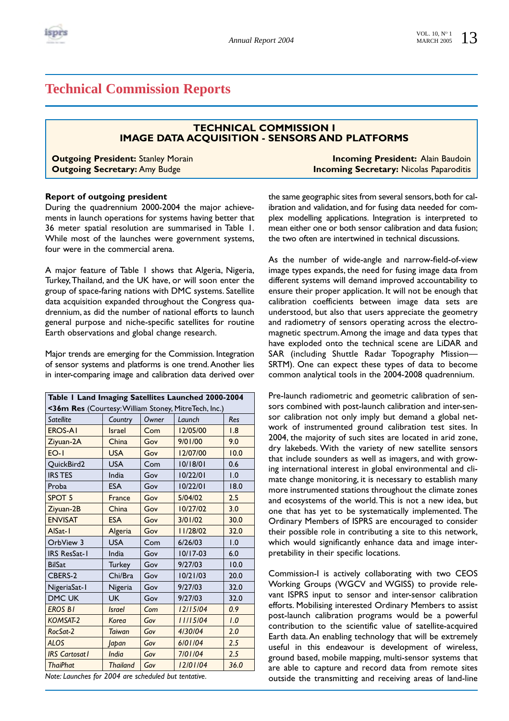

# **Technical Commission Reports**

# **TECHNICAL COMMISSION I IMAGE DATA ACQUISITION - SENSORS AND PLATFORMS**

**Outgoing President:** Stanley Morain **Incoming President: Alain Baudoin Outgoing Secretary:** Amy Budge **Incoming Secretary:** Nicolas Paparoditis

# **Report of outgoing president**

During the quadrennium 2000-2004 the major achievements in launch operations for systems having better that 36 meter spatial resolution are summarised in Table 1. While most of the launches were government systems, four were in the commercial arena.

A major feature of Table 1 shows that Algeria, Nigeria, Turkey,Thailand, and the UK have, or will soon enter the group of space-faring nations with DMC systems. Satellite data acquisition expanded throughout the Congress quadrennium, as did the number of national efforts to launch general purpose and niche-specific satellites for routine Earth observations and global change research.

Major trends are emerging for the Commission. Integration of sensor systems and platforms is one trend.Another lies in inter-comparing image and calibration data derived over

| Table I Land Imaging Satellites Launched 2000-2004                                                    |                 |       |            |      |
|-------------------------------------------------------------------------------------------------------|-----------------|-------|------------|------|
| <36m Res (Courtesy: William Stoney, MitreTech, Inc.)                                                  |                 |       |            |      |
| <b>Satellite</b>                                                                                      | Country         | Owner | Launch     | Res  |
| <b>EROS-AI</b>                                                                                        | <b>Israel</b>   | Com   | 12/05/00   | 1.8  |
| Ziyuan-2A                                                                                             | China           | Gov   | 9/01/00    | 9.0  |
| $FO-I$                                                                                                | <b>USA</b>      | Gov   | 12/07/00   | 10.0 |
| QuickBird2                                                                                            | <b>USA</b>      | Com   | 10/18/01   | 0.6  |
| <b>IRS TES</b>                                                                                        | India           | Gov   | 10/22/01   | 1.0  |
| Proba                                                                                                 | <b>ESA</b>      | Gov   | 10/22/01   | 18.0 |
| SPOT <sub>5</sub>                                                                                     | France          | Gov   | 5/04/02    | 2.5  |
| Ziyuan-2B                                                                                             | China           | Gov   | 10/27/02   | 3.0  |
| <b>ENVISAT</b>                                                                                        | <b>ESA</b>      | Gov   | 3/01/02    | 30.0 |
| AlSat-I                                                                                               | Algeria         | Gov   | 11/28/02   | 32.0 |
| OrbView 3                                                                                             | <b>USA</b>      | Com   | 6/26/03    | 1.0  |
| <b>IRS ResSat-1</b>                                                                                   | India           | Gov   | $10/17-03$ | 6.0  |
| <b>BilSat</b>                                                                                         | <b>Turkey</b>   | Gov   | 9/27/03    | 10.0 |
| CBERS-2                                                                                               | Chi/Bra         | Gov   | 10/21/03   | 20.0 |
| NigeriaSat-1                                                                                          | Nigeria         | Gov   | 9/27/03    | 32.0 |
| <b>DMC UK</b>                                                                                         | <b>UK</b>       | Gov   | 9/27/03    | 32.0 |
| <b>EROS BI</b>                                                                                        | <b>Israel</b>   | Com   | 12/15/04   | 0.9  |
| KOMSAT-2                                                                                              | Korea           | Gov   | 11/15/04   | 1.0  |
| RocSat-2                                                                                              | <b>Taiwan</b>   | Gov   | 4/30/04    | 2.0  |
| <b>ALOS</b>                                                                                           | <b>Japan</b>    | Gov   | 6/01/04    | 2.5  |
| <b>IRS</b> Cartosat I                                                                                 | India           | Gov   | 7/01/04    | 2.5  |
| <b>ThaiPhat</b>                                                                                       | <b>Thailand</b> | Gov   | 12/01/04   | 36.0 |
| $M_{\text{total}}$ $L_{\text{total}}$ $L_{\text{total}}$ 2004<br>الفواصل والمستطيع المساريات والمراوي |                 |       |            |      |

*Note: Launches for 2004 are scheduled but tentative.*

the same geographic sites from several sensors, both for calibration and validation, and for fusing data needed for complex modelling applications. Integration is interpreted to mean either one or both sensor calibration and data fusion; the two often are intertwined in technical discussions.

As the number of wide-angle and narrow-field-of-view image types expands, the need for fusing image data from different systems will demand improved accountability to ensure their proper application. It will not be enough that calibration coefficients between image data sets are understood, but also that users appreciate the geometry and radiometry of sensors operating across the electromagnetic spectrum.Among the image and data types that have exploded onto the technical scene are LiDAR and SAR (including Shuttle Radar Topography Mission— SRTM). One can expect these types of data to become common analytical tools in the 2004-2008 quadrennium.

Pre-launch radiometric and geometric calibration of sensors combined with post-launch calibration and inter-sensor calibration not only imply but demand a global network of instrumented ground calibration test sites. In 2004, the majority of such sites are located in arid zone, dry lakebeds. With the variety of new satellite sensors that include sounders as well as imagers, and with growing international interest in global environmental and climate change monitoring, it is necessary to establish many more instrumented stations throughout the climate zones and ecosystems of the world.This is not a new idea, but one that has yet to be systematically implemented. The Ordinary Members of ISPRS are encouraged to consider their possible role in contributing a site to this network, which would significantly enhance data and image interpretability in their specific locations.

Commission-I is actively collaborating with two CEOS Working Groups (WGCV and WGISS) to provide relevant ISPRS input to sensor and inter-sensor calibration efforts. Mobilising interested Ordinary Members to assist post-launch calibration programs would be a powerful contribution to the scientific value of satellite-acquired Earth data.An enabling technology that will be extremely useful in this endeavour is development of wireless, ground based, mobile mapping, multi-sensor systems that are able to capture and record data from remote sites outside the transmitting and receiving areas of land-line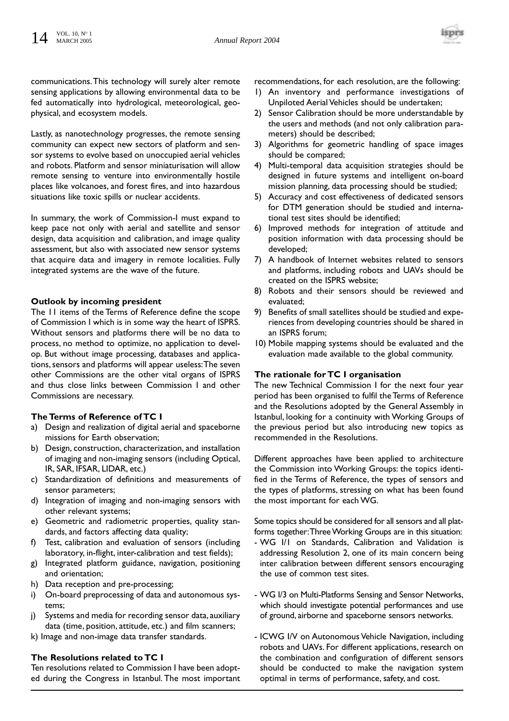

communications.This technology will surely alter remote sensing applications by allowing environmental data to be fed automatically into hydrological, meteorological, geophysical, and ecosystem models.

Lastly, as nanotechnology progresses, the remote sensing community can expect new sectors of platform and sensor systems to evolve based on unoccupied aerial vehicles and robots. Platform and sensor miniaturisation will allow remote sensing to venture into environmentally hostile places like volcanoes, and forest fires, and into hazardous situations like toxic spills or nuclear accidents.

In summary, the work of Commission-I must expand to keep pace not only with aerial and satellite and sensor design, data acquisition and calibration, and image quality assessment, but also with associated new sensor systems that acquire data and imagery in remote localities. Fully integrated systems are the wave of the future.

# **Outlook by incoming president**

The 11 items of the Terms of Reference define the scope of Commission I which is in some way the heart of ISPRS. Without sensors and platforms there will be no data to process, no method to optimize, no application to develop. But without image processing, databases and applications, sensors and platforms will appear useless:The seven other Commissions are the other vital organs of ISPRS and thus close links between Commission I and other Commissions are necessary.

# **The Terms of Reference of TC I**

- a) Design and realization of digital aerial and spaceborne missions for Earth observation;
- b) Design, construction, characterization, and installation of imaging and non-imaging sensors (including Optical, IR, SAR, IFSAR, LIDAR, etc.)
- c) Standardization of definitions and measurements of sensor parameters;
- d) Integration of imaging and non-imaging sensors with other relevant systems;
- e) Geometric and radiometric properties, quality standards, and factors affecting data quality;
- f) Test, calibration and evaluation of sensors (including laboratory, in-flight, inter-calibration and test fields);
- g) Integrated platform guidance, navigation, positioning and orientation;
- h) Data reception and pre-processing;
- i) On-board preprocessing of data and autonomous systems;
- j) Systems and media for recording sensor data, auxiliary data (time, position, attitude, etc.) and film scanners;
- k) Image and non-image data transfer standards.

# **The Resolutions related to TC I**

Ten resolutions related to Commission I have been adopted during the Congress in Istanbul. The most important recommendations, for each resolution, are the following:

- 1) An inventory and performance investigations of Unpiloted Aerial Vehicles should be undertaken;
- 2) Sensor Calibration should be more understandable by the users and methods (and not only calibration parameters) should be described;
- 3) Algorithms for geometric handling of space images should be compared;
- 4) Multi-temporal data acquisition strategies should be designed in future systems and intelligent on-board mission planning, data processing should be studied;
- 5) Accuracy and cost effectiveness of dedicated sensors for DTM generation should be studied and international test sites should be identified;
- 6) Improved methods for integration of attitude and position information with data processing should be developed;
- 7) A handbook of Internet websites related to sensors and platforms, including robots and UAVs should be created on the ISPRS website;
- 8) Robots and their sensors should be reviewed and evaluated;
- 9) Benefits of small satellites should be studied and experiences from developing countries should be shared in an ISPRS forum;
- 10) Mobile mapping systems should be evaluated and the evaluation made available to the global community.

# **The rationale for TC I organisation**

The new Technical Commission I for the next four year period has been organised to fulfil the Terms of Reference and the Resolutions adopted by the General Assembly in Istanbul, looking for a continuity with Working Groups of the previous period but also introducing new topics as recommended in the Resolutions.

Different approaches have been applied to architecture the Commission into Working Groups: the topics identified in the Terms of Reference, the types of sensors and the types of platforms, stressing on what has been found the most important for each WG.

Some topics should be considered for all sensors and all platforms together:Three Working Groups are in this situation:

- WG I/1 on Standards, Calibration and Validation is addressing Resolution 2, one of its main concern being inter calibration between different sensors encouraging the use of common test sites.
- WG I/3 on Multi-Platforms Sensing and Sensor Networks, which should investigate potential performances and use of ground, airborne and spaceborne sensors networks.
- ICWG I/V on Autonomous Vehicle Navigation, including robots and UAVs. For different applications, research on the combination and configuration of different sensors should be conducted to make the navigation system optimal in terms of performance, safety, and cost.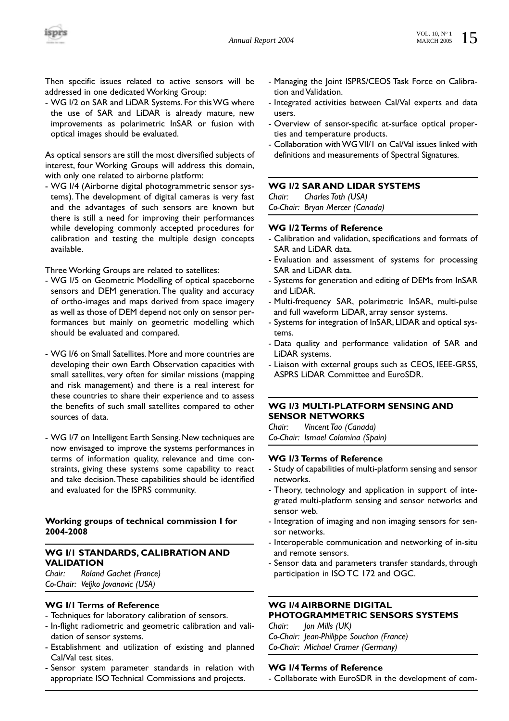Then specific issues related to active sensors will be addressed in one dedicated Working Group:

- WG I/2 on SAR and LiDAR Systems. For this WG where the use of SAR and LiDAR is already mature, new improvements as polarimetric InSAR or fusion with optical images should be evaluated.

As optical sensors are still the most diversified subjects of interest, four Working Groups will address this domain, with only one related to airborne platform:

- WG I/4 (Airborne digital photogrammetric sensor systems). The development of digital cameras is very fast and the advantages of such sensors are known but there is still a need for improving their performances while developing commonly accepted procedures for calibration and testing the multiple design concepts available.

Three Working Groups are related to satellites:

- WG I/5 on Geometric Modelling of optical spaceborne sensors and DEM generation. The quality and accuracy of ortho-images and maps derived from space imagery as well as those of DEM depend not only on sensor performances but mainly on geometric modelling which should be evaluated and compared.
- WG I/6 on Small Satellites. More and more countries are developing their own Earth Observation capacities with small satellites, very often for similar missions (mapping and risk management) and there is a real interest for these countries to share their experience and to assess the benefits of such small satellites compared to other sources of data.
- WG I/7 on Intelligent Earth Sensing. New techniques are now envisaged to improve the systems performances in terms of information quality, relevance and time constraints, giving these systems some capability to react and take decision.These capabilities should be identified and evaluated for the ISPRS community.

# **Working groups of technical commission I for 2004-2008**

# **WG I/1 STANDARDS, CALIBRATION AND VALIDATION**

*Chair: Roland Gachet (France) Co-Chair: Veljko Jovanovic (USA)*

# **WG I/1 Terms of Reference**

- Techniques for laboratory calibration of sensors.
- In-flight radiometric and geometric calibration and validation of sensor systems.
- Establishment and utilization of existing and planned Cal/Val test sites.
- Sensor system parameter standards in relation with appropriate ISO Technical Commissions and projects.
- Managing the Joint ISPRS/CEOS Task Force on Calibration and Validation.
- Integrated activities between Cal/Val experts and data users.
- Overview of sensor-specific at-surface optical properties and temperature products.
- Collaboration with WG VII/1 on Cal/Val issues linked with definitions and measurements of Spectral Signatures.

# **WG I/2 SAR AND LIDAR SYSTEMS**

*Chair: Charles Toth (USA) Co-Chair: Bryan Mercer (Canada)*

# **WG I/2 Terms of Reference**

- Calibration and validation, specifications and formats of SAR and LiDAR data.
- Evaluation and assessment of systems for processing SAR and LiDAR data.
- Systems for generation and editing of DEMs from InSAR and LiDAR.
- Multi-frequency SAR, polarimetric InSAR, multi-pulse and full waveform LiDAR, array sensor systems.
- Systems for integration of InSAR, LIDAR and optical systems.
- Data quality and performance validation of SAR and LiDAR systems.
- Liaison with external groups such as CEOS, IEEE-GRSS, ASPRS LiDAR Committee and EuroSDR.

# **WG I/3 MULTI-PLATFORM SENSING AND SENSOR NETWORKS**

*Chair: Vincent Tao (Canada) Co-Chair: Ismael Colomina (Spain)*

# **WG I/3 Terms of Reference**

- Study of capabilities of multi-platform sensing and sensor networks.
- Theory, technology and application in support of integrated multi-platform sensing and sensor networks and sensor web.
- Integration of imaging and non imaging sensors for sensor networks.
- Interoperable communication and networking of in-situ and remote sensors.
- Sensor data and parameters transfer standards, through participation in ISO TC 172 and OGC.

#### **WG I/4 AIRBORNE DIGITAL PHOTOGRAMMETRIC SENSORS SYSTEMS**

*Chair: Jon Mills (UK) Co-Chair: Jean-Philippe Souchon (France) Co-Chair: Michael Cramer (Germany)*

# **WG I/4 Terms of Reference**

- Collaborate with EuroSDR in the development of com-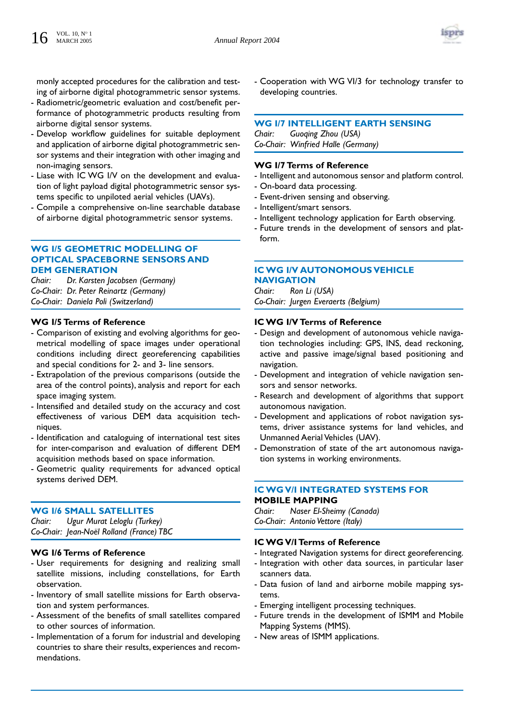

monly accepted procedures for the calibration and testing of airborne digital photogrammetric sensor systems.

- Radiometric/geometric evaluation and cost/benefit performance of photogrammetric products resulting from airborne digital sensor systems.
- Develop workflow guidelines for suitable deployment and application of airborne digital photogrammetric sensor systems and their integration with other imaging and non-imaging sensors.
- Liase with IC WG I/V on the development and evaluation of light payload digital photogrammetric sensor systems specific to unpiloted aerial vehicles (UAVs).
- Compile a comprehensive on-line searchable database of airborne digital photogrammetric sensor systems.

# **WG I/5 GEOMETRIC MODELLING OF OPTICAL SPACEBORNE SENSORS AND DEM GENERATION**

*Chair: Dr. Karsten Jacobsen (Germany) Co-Chair: Dr. Peter Reinartz (Germany) Co-Chair: Daniela Poli (Switzerland)*

# **WG I/5 Terms of Reference**

- Comparison of existing and evolving algorithms for geometrical modelling of space images under operational conditions including direct georeferencing capabilities and special conditions for 2- and 3- line sensors.
- Extrapolation of the previous comparisons (outside the area of the control points), analysis and report for each space imaging system.
- Intensified and detailed study on the accuracy and cost effectiveness of various DEM data acquisition techniques.
- Identification and cataloguing of international test sites for inter-comparison and evaluation of different DEM acquisition methods based on space information.
- Geometric quality requirements for advanced optical systems derived DEM.

# **WG I/6 SMALL SATELLITES**

*Chair: Ugur Murat Leloglu (Turkey) Co-Chair: Jean-Noël Rolland (France) TBC*

# **WG I/6 Terms of Reference**

- User requirements for designing and realizing small satellite missions, including constellations, for Earth observation.
- Inventory of small satellite missions for Earth observation and system performances.
- Assessment of the benefits of small satellites compared to other sources of information.
- Implementation of a forum for industrial and developing countries to share their results, experiences and recommendations.

- Cooperation with WG VI/3 for technology transfer to developing countries.

# **WG I/7 INTELLIGENT EARTH SENSING**

*Chair: Guoqing Zhou (USA) Co-Chair: Winfried Halle (Germany)*

#### **WG I/7 Terms of Reference**

- Intelligent and autonomous sensor and platform control.
- On-board data processing.
- Event-driven sensing and observing.
- Intelligent/smart sensors.
- Intelligent technology application for Earth observing.
- Future trends in the development of sensors and platform.

# **IC WG I/V AUTONOMOUS VEHICLE NAVIGATION**

*Chair: Ron Li (USA) Co-Chair: Jurgen Everaerts (Belgium)*

# **IC WG I/V Terms of Reference**

- Design and development of autonomous vehicle navigation technologies including: GPS, INS, dead reckoning, active and passive image/signal based positioning and navigation.
- Development and integration of vehicle navigation sensors and sensor networks.
- Research and development of algorithms that support autonomous navigation.
- Development and applications of robot navigation systems, driver assistance systems for land vehicles, and Unmanned Aerial Vehicles (UAV).
- Demonstration of state of the art autonomous navigation systems in working environments.

# **IC WG V/I INTEGRATED SYSTEMS FOR MOBILE MAPPING**

*Chair: Naser El-Sheimy (Canada) Co-Chair: Antonio Vettore (Italy)* 

#### **IC WG V/I Terms of Reference**

- Integrated Navigation systems for direct georeferencing.
- Integration with other data sources, in particular laser scanners data.
- Data fusion of land and airborne mobile mapping systems.
- Emerging intelligent processing techniques.
- Future trends in the development of ISMM and Mobile Mapping Systems (MMS).
- New areas of ISMM applications.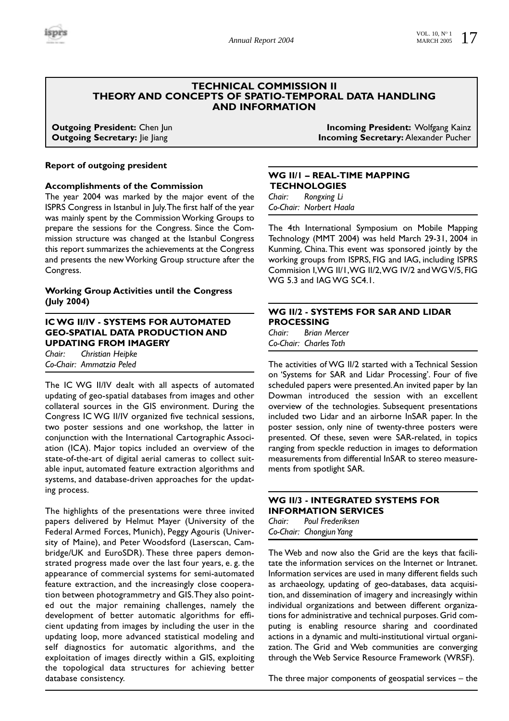

# **TECHNICAL COMMISSION II THEORY AND CONCEPTS OF SPATIO-TEMPORAL DATA HANDLING AND INFORMATION**

#### **Report of outgoing president**

#### **Accomplishments of the Commission**

The year 2004 was marked by the major event of the ISPRS Congress in Istanbul in July.The first half of the year was mainly spent by the Commission Working Groups to prepare the sessions for the Congress. Since the Commission structure was changed at the Istanbul Congress this report summarizes the achievements at the Congress and presents the new Working Group structure after the Congress.

# **Working Group Activities until the Congress (July 2004)**

# **IC WG II/IV - SYSTEMS FOR AUTOMATED GEO-SPATIAL DATA PRODUCTION AND UPDATING FROM IMAGERY**

*Chair: Christian Heipke Co-Chair: Ammatzia Peled*

The IC WG II/IV dealt with all aspects of automated updating of geo-spatial databases from images and other collateral sources in the GIS environment. During the Congress IC WG II/IV organized five technical sessions, two poster sessions and one workshop, the latter in conjunction with the International Cartographic Association (ICA). Major topics included an overview of the state-of-the-art of digital aerial cameras to collect suitable input, automated feature extraction algorithms and systems, and database-driven approaches for the updating process.

The highlights of the presentations were three invited papers delivered by Helmut Mayer (University of the Federal Armed Forces, Munich), Peggy Agouris (University of Maine), and Peter Woodsford (Laserscan, Cambridge/UK and EuroSDR). These three papers demonstrated progress made over the last four years, e. g. the appearance of commercial systems for semi-automated feature extraction, and the increasingly close cooperation between photogrammetry and GIS.They also pointed out the major remaining challenges, namely the development of better automatic algorithms for efficient updating from images by including the user in the updating loop, more advanced statistical modeling and self diagnostics for automatic algorithms, and the exploitation of images directly within a GIS, exploiting the topological data structures for achieving better database consistency.

**Outgoing President:** Chen Jun **Incoming President: Wolfgang Kainz Outgoing Secretary:** Jie Jiang **Incoming Secretary: Alexander Pucher** 

# **WG II/1 – REAL-TIME MAPPING TECHNOLOGIES** *Chair: Rongxing Li*

*Co-Chair: Norbert Haala*

The 4th International Symposium on Mobile Mapping Technology (MMT 2004) was held March 29-31, 2004 in Kunming, China. This event was sponsored jointly by the working groups from ISPRS, FIG and IAG, including ISPRS Commision I,WG II/1,WG II/2,WG IV/2 and WG V/5, FIG WG 5.3 and IAG WG SC4.1.

# **WG II/2 - SYSTEMS FOR SAR AND LIDAR PROCESSING**

*Chair: Brian Mercer Co-Chair: Charles Toth*

The activities of WG II/2 started with a Technical Session on 'Systems for SAR and Lidar Processing'. Four of five scheduled papers were presented.An invited paper by Ian Dowman introduced the session with an excellent overview of the technologies. Subsequent presentations included two Lidar and an airborne InSAR paper. In the poster session, only nine of twenty-three posters were presented. Of these, seven were SAR-related, in topics ranging from speckle reduction in images to deformation measurements from differential InSAR to stereo measurements from spotlight SAR.

# **WG II/3 - INTEGRATED SYSTEMS FOR INFORMATION SERVICES**

*Chair: Poul Frederiksen Co-Chair: Chongjun Yang*

The Web and now also the Grid are the keys that facilitate the information services on the Internet or Intranet. Information services are used in many different fields such as archaeology, updating of geo-databases, data acquisition, and dissemination of imagery and increasingly within individual organizations and between different organizations for administrative and technical purposes. Grid computing is enabling resource sharing and coordinated actions in a dynamic and multi-institutional virtual organization. The Grid and Web communities are converging through the Web Service Resource Framework (WRSF).

The three major components of geospatial services – the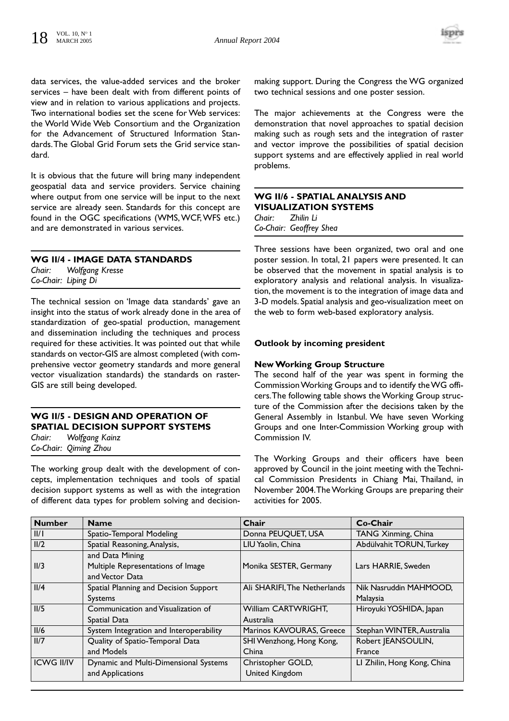

data services, the value-added services and the broker services – have been dealt with from different points of view and in relation to various applications and projects. Two international bodies set the scene for Web services: the World Wide Web Consortium and the Organization for the Advancement of Structured Information Standards.The Global Grid Forum sets the Grid service standard.

It is obvious that the future will bring many independent geospatial data and service providers. Service chaining where output from one service will be input to the next service are already seen. Standards for this concept are found in the OGC specifications (WMS, WCF, WFS etc.) and are demonstrated in various services.

# **WG II/4 - IMAGE DATA STANDARDS**

*Chair: Wolfgang Kresse Co-Chair: Liping Di*

The technical session on 'Image data standards' gave an insight into the status of work already done in the area of standardization of geo-spatial production, management and dissemination including the techniques and process required for these activities. It was pointed out that while standards on vector-GIS are almost completed (with comprehensive vector geometry standards and more general vector visualization standards) the standards on raster-GIS are still being developed.

# **WG II/5 - DESIGN AND OPERATION OF SPATIAL DECISION SUPPORT SYSTEMS**

*Chair: Wolfgang Kainz Co-Chair: Qiming Zhou*

The working group dealt with the development of concepts, implementation techniques and tools of spatial decision support systems as well as with the integration of different data types for problem solving and decisionmaking support. During the Congress the WG organized two technical sessions and one poster session.

The major achievements at the Congress were the demonstration that novel approaches to spatial decision making such as rough sets and the integration of raster and vector improve the possibilities of spatial decision support systems and are effectively applied in real world problems.

# **WG II/6 - SPATIAL ANALYSIS AND VISUALIZATION SYSTEMS** *Chair: Zhilin Li Co-Chair: Geoffrey Shea*

Three sessions have been organized, two oral and one poster session. In total, 21 papers were presented. It can be observed that the movement in spatial analysis is to exploratory analysis and relational analysis. In visualization, the movement is to the integration of image data and 3-D models. Spatial analysis and geo-visualization meet on the web to form web-based exploratory analysis.

# **Outlook by incoming president**

# **New Working Group Structure**

The second half of the year was spent in forming the Commission Working Groups and to identify the WG officers.The following table shows the Working Group structure of the Commission after the decisions taken by the General Assembly in Istanbul. We have seven Working Groups and one Inter-Commission Working group with Commission IV.

The Working Groups and their officers have been approved by Council in the joint meeting with the Technical Commission Presidents in Chiang Mai, Thailand, in November 2004.The Working Groups are preparing their activities for 2005.

| <b>Number</b>     | <b>Name</b>                             | Chair                        | Co-Chair                    |
|-------------------|-----------------------------------------|------------------------------|-----------------------------|
| III               | Spatio-Temporal Modeling                | Donna PEUQUET, USA           | <b>TANG Xinming, China</b>  |
| II/2              | Spatial Reasoning, Analysis,            | LIU Yaolin, China            | Abdülvahit TORUN, Turkey    |
|                   | and Data Mining                         |                              |                             |
| II/3              | Multiple Representations of Image       | Monika SESTER, Germany       | Lars HARRIE, Sweden         |
|                   | and Vector Data                         |                              |                             |
| II/4              | Spatial Planning and Decision Support   | Ali SHARIFI, The Netherlands | Nik Nasruddin MAHMOOD.      |
|                   | <b>Systems</b>                          |                              | Malaysia                    |
| II/5              | Communication and Visualization of      | William CARTWRIGHT,          | Hiroyuki YOSHIDA, Japan     |
|                   | Spatial Data                            | Australia                    |                             |
| II/6              | System Integration and Interoperability | Marinos KAVOURAS, Greece     | Stephan WINTER, Australia   |
| II/7              | Quality of Spatio-Temporal Data         | SHI Wenzhong, Hong Kong,     | Robert JEANSOULIN,          |
|                   | and Models                              | China                        | France                      |
| <b>ICWG II/IV</b> | Dynamic and Multi-Dimensional Systems   | Christopher GOLD,            | LI Zhilin, Hong Kong, China |
|                   | and Applications                        | United Kingdom               |                             |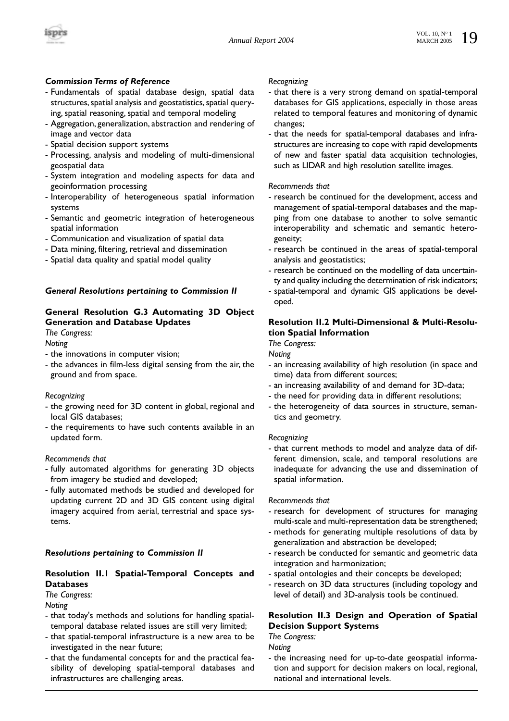

# *Commission Terms of Reference*

- Fundamentals of spatial database design, spatial data structures, spatial analysis and geostatistics, spatial querying, spatial reasoning, spatial and temporal modeling
- Aggregation, generalization, abstraction and rendering of image and vector data
- Spatial decision support systems
- Processing, analysis and modeling of multi-dimensional geospatial data
- System integration and modeling aspects for data and geoinformation processing
- Interoperability of heterogeneous spatial information systems
- Semantic and geometric integration of heterogeneous spatial information
- Communication and visualization of spatial data
- Data mining, filtering, retrieval and dissemination
- Spatial data quality and spatial model quality

#### *General Resolutions pertaining to Commission II*

# **General Resolution G.3 Automating 3D Object Generation and Database Updates**

*The Congress:*

*Noting*

- the innovations in computer vision;
- the advances in film-less digital sensing from the air, the ground and from space.

#### *Recognizing*

- the growing need for 3D content in global, regional and local GIS databases;
- the requirements to have such contents available in an updated form.

#### *Recommends that*

- fully automated algorithms for generating 3D objects from imagery be studied and developed;
- fully automated methods be studied and developed for updating current 2D and 3D GIS content using digital imagery acquired from aerial, terrestrial and space systems.

# *Resolutions pertaining to Commission II*

# **Resolution II.1 Spatial-Temporal Concepts and Databases**

# *The Congress:*

*Noting*

- that today's methods and solutions for handling spatialtemporal database related issues are still very limited;
- that spatial-temporal infrastructure is a new area to be investigated in the near future;
- that the fundamental concepts for and the practical feasibility of developing spatial-temporal databases and infrastructures are challenging areas.

#### *Recognizing*

- that there is a very strong demand on spatial-temporal databases for GIS applications, especially in those areas related to temporal features and monitoring of dynamic changes;
- that the needs for spatial-temporal databases and infrastructures are increasing to cope with rapid developments of new and faster spatial data acquisition technologies, such as LIDAR and high resolution satellite images.

#### *Recommends that*

- research be continued for the development, access and management of spatial-temporal databases and the mapping from one database to another to solve semantic interoperability and schematic and semantic heterogeneity;
- research be continued in the areas of spatial-temporal analysis and geostatistics;
- research be continued on the modelling of data uncertainty and quality including the determination of risk indicators;
- spatial-temporal and dynamic GIS applications be developed.

# **Resolution II.2 Multi-Dimensional & Multi-Resolution Spatial Information**

*The Congress:*

*Noting*

- an increasing availability of high resolution (in space and time) data from different sources;
- an increasing availability of and demand for 3D-data;
- the need for providing data in different resolutions;
- the heterogeneity of data sources in structure, semantics and geometry.

#### *Recognizing*

- that current methods to model and analyze data of different dimension, scale, and temporal resolutions are inadequate for advancing the use and dissemination of spatial information.

#### *Recommends that*

- research for development of structures for managing multi-scale and multi-representation data be strengthened;
- methods for generating multiple resolutions of data by generalization and abstraction be developed;
- research be conducted for semantic and geometric data integration and harmonization;
- spatial ontologies and their concepts be developed;
- research on 3D data structures (including topology and level of detail) and 3D-analysis tools be continued.

# **Resolution II.3 Design and Operation of Spatial Decision Support Systems**

*The Congress:*

*Noting* 

- the increasing need for up-to-date geospatial information and support for decision makers on local, regional, national and international levels.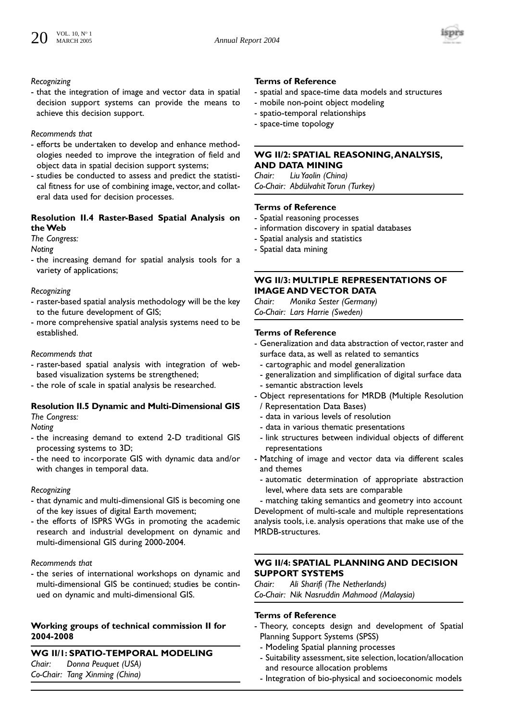

#### *Recognizing*

- that the integration of image and vector data in spatial decision support systems can provide the means to achieve this decision support.

# *Recommends that*

- efforts be undertaken to develop and enhance methodologies needed to improve the integration of field and object data in spatial decision support systems;
- studies be conducted to assess and predict the statistical fitness for use of combining image, vector, and collateral data used for decision processes.

# **Resolution II.4 Raster-Based Spatial Analysis on the Web**

# *The Congress:*

*Noting*

- the increasing demand for spatial analysis tools for a variety of applications;

# *Recognizing*

- raster-based spatial analysis methodology will be the key to the future development of GIS;
- more comprehensive spatial analysis systems need to be established.

# *Recommends that*

- raster-based spatial analysis with integration of webbased visualization systems be strengthened;
- the role of scale in spatial analysis be researched.

# **Resolution II.5 Dynamic and Multi-Dimensional GIS**  *The Congress:*

*Noting*

- the increasing demand to extend 2-D traditional GIS processing systems to 3D;
- the need to incorporate GIS with dynamic data and/or with changes in temporal data.

# *Recognizing*

- that dynamic and multi-dimensional GIS is becoming one of the key issues of digital Earth movement;
- the efforts of ISPRS WGs in promoting the academic research and industrial development on dynamic and multi-dimensional GIS during 2000-2004.

# *Recommends that*

- the series of international workshops on dynamic and multi-dimensional GIS be continued; studies be continued on dynamic and multi-dimensional GIS.

# **Working groups of technical commission II for 2004-2008**

**WG II/1: SPATIO-TEMPORAL MODELING** *Chair: Donna Peuquet (USA) Co-Chair: Tang Xinming (China)*

# **Terms of Reference**

- spatial and space-time data models and structures
- mobile non-point object modeling
- spatio-temporal relationships
- space-time topology

# **WG II/2: SPATIAL REASONING,ANALYSIS, AND DATA MINING**

*Chair: Liu Yaolin (China) Co-Chair: Abdülvahit Torun (Turkey)*

# **Terms of Reference**

- Spatial reasoning processes
- information discovery in spatial databases
- Spatial analysis and statistics
- Spatial data mining

# **WG II/3: MULTIPLE REPRESENTATIONS OF IMAGE AND VECTOR DATA**

*Chair: Monika Sester (Germany) Co-Chair: Lars Harrie (Sweden)*

# **Terms of Reference**

- Generalization and data abstraction of vector, raster and surface data, as well as related to semantics
- cartographic and model generalization
- generalization and simplification of digital surface data
- semantic abstraction levels
- Object representations for MRDB (Multiple Resolution / Representation Data Bases)
	- data in various levels of resolution
	- data in various thematic presentations
- link structures between individual objects of different representations
- Matching of image and vector data via different scales and themes
	- automatic determination of appropriate abstraction level, where data sets are comparable

- matching taking semantics and geometry into account Development of multi-scale and multiple representations analysis tools, i.e. analysis operations that make use of the MRDB-structures.

# **WG II/4: SPATIAL PLANNING AND DECISION SUPPORT SYSTEMS**

*Chair: Ali Sharifi (The Netherlands) Co-Chair: Nik Nasruddin Mahmood (Malaysia)*

- Theory, concepts design and development of Spatial Planning Support Systems (SPSS)
	- Modeling Spatial planning processes
	- Suitability assessment, site selection, location/allocation and resource allocation problems
	- Integration of bio-physical and socioeconomic models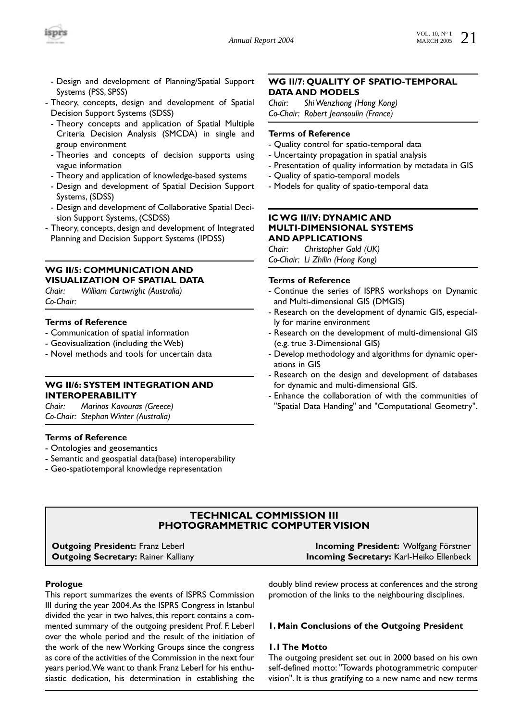

- Design and development of Planning/Spatial Support Systems (PSS, SPSS)
- Theory, concepts, design and development of Spatial Decision Support Systems (SDSS)
	- Theory concepts and application of Spatial Multiple Criteria Decision Analysis (SMCDA) in single and group environment
	- Theories and concepts of decision supports using vague information
	- Theory and application of knowledge-based systems
	- Design and development of Spatial Decision Support Systems, (SDSS)
	- Design and development of Collaborative Spatial Decision Support Systems, (CSDSS)
- Theory, concepts, design and development of Integrated Planning and Decision Support Systems (IPDSS)

#### **WG II/5: COMMUNICATION AND VISUALIZATION OF SPATIAL DATA**

*Chair: William Cartwright (Australia) Co-Chair:*

# **Terms of Reference**

- Communication of spatial information
- Geovisualization (including the Web)
- Novel methods and tools for uncertain data

# **WG II/6: SYSTEM INTEGRATION AND INTEROPERABILITY**

*Chair: Marinos Kavouras (Greece) Co-Chair: Stephan Winter (Australia)*

#### **Terms of Reference**

- Ontologies and geosemantics
- Semantic and geospatial data(base) interoperability
- Geo-spatiotemporal knowledge representation

# **WG II/7: QUALITY OF SPATIO-TEMPORAL DATA AND MODELS**

*Chair: Shi Wenzhong (Hong Kong) Co-Chair: Robert Jeansoulin (France)*

#### **Terms of Reference**

- Quality control for spatio-temporal data
- Uncertainty propagation in spatial analysis
- Presentation of quality information by metadata in GIS
- Quality of spatio-temporal models
- Models for quality of spatio-temporal data

# **IC WG II/IV: DYNAMIC AND MULTI-DIMENSIONAL SYSTEMS AND APPLICATIONS**

*Chair: Christopher Gold (UK) Co-Chair: Li Zhilin (Hong Kong)*

#### **Terms of Reference**

- Continue the series of ISPRS workshops on Dynamic and Multi-dimensional GIS (DMGIS)
- Research on the development of dynamic GIS, especially for marine environment
- Research on the development of multi-dimensional GIS (e.g. true 3-Dimensional GIS)
- Develop methodology and algorithms for dynamic operations in GIS
- Research on the design and development of databases for dynamic and multi-dimensional GIS.
- Enhance the collaboration of with the communities of "Spatial Data Handing" and "Computational Geometry".

# **TECHNICAL COMMISSION III PHOTOGRAMMETRIC COMPUTER VISION**

| <b>Outgoing President:</b> Franz Leberl    | <b>Incoming President:</b> Wolfgang Förstner    |
|--------------------------------------------|-------------------------------------------------|
| <b>Dutgoing Secretary:</b> Rainer Kalliany | <b>Incoming Secretary:</b> Karl-Heiko Ellenbeck |

#### **Prologue**

This report summarizes the events of ISPRS Commission III during the year 2004.As the ISPRS Congress in Istanbul divided the year in two halves, this report contains a commented summary of the outgoing president Prof. F. Leberl over the whole period and the result of the initiation of the work of the new Working Groups since the congress as core of the activities of the Commission in the next four years period.We want to thank Franz Leberl for his enthusiastic dedication, his determination in establishing the

doubly blind review process at conferences and the strong promotion of the links to the neighbouring disciplines.

#### **1. Main Conclusions of the Outgoing President**

#### **1.1 The Motto**

The outgoing president set out in 2000 based on his own self-defined motto: "Towards photogrammetric computer vision". It is thus gratifying to a new name and new terms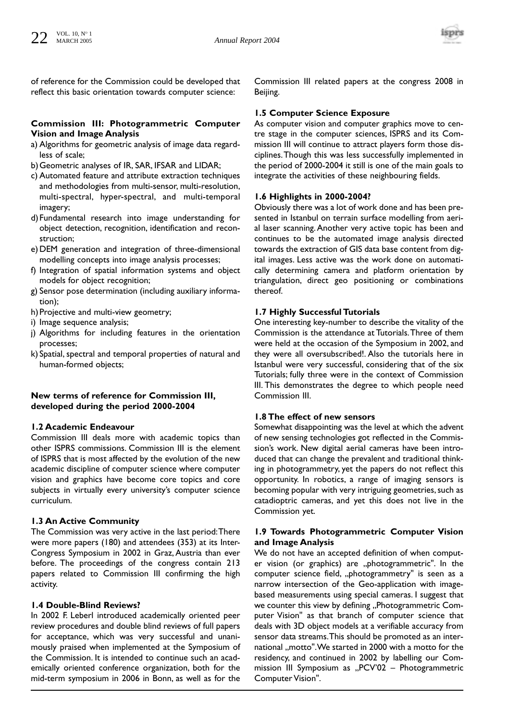

of reference for the Commission could be developed that reflect this basic orientation towards computer science:

# **Commission III: Photogrammetric Computer Vision and Image Analysis**

- a) Algorithms for geometric analysis of image data regardless of scale;
- b)Geometric analyses of IR, SAR, IFSAR and LIDAR;
- c) Automated feature and attribute extraction techniques and methodologies from multi-sensor, multi-resolution, multi-spectral, hyper-spectral, and multi-temporal imagery;
- d)Fundamental research into image understanding for object detection, recognition, identification and reconstruction;
- e) DEM generation and integration of three-dimensional modelling concepts into image analysis processes;
- f) Integration of spatial information systems and object models for object recognition;
- g) Sensor pose determination (including auxiliary information);
- h) Projective and multi-view geometry;
- i) Image sequence analysis;
- j) Algorithms for including features in the orientation processes;
- k) Spatial, spectral and temporal properties of natural and human-formed objects;

# **New terms of reference for Commission III, developed during the period 2000-2004**

# **1.2 Academic Endeavour**

Commission III deals more with academic topics than other ISPRS commissions. Commission III is the element of ISPRS that is most affected by the evolution of the new academic discipline of computer science where computer vision and graphics have become core topics and core subjects in virtually every university's computer science curriculum.

# **1.3 An Active Community**

The Commission was very active in the last period:There were more papers (180) and attendees (353) at its Inter-Congress Symposium in 2002 in Graz, Austria than ever before. The proceedings of the congress contain 213 papers related to Commission III confirming the high activity.

#### **1.4 Double-Blind Reviews?**

In 2002 F. Leberl introduced academically oriented peer review procedures and double blind reviews of full papers for acceptance, which was very successful and unanimously praised when implemented at the Symposium of the Commission. It is intended to continue such an academically oriented conference organization, both for the mid-term symposium in 2006 in Bonn, as well as for the Commission III related papers at the congress 2008 in Beijing.

# **1.5 Computer Science Exposure**

As computer vision and computer graphics move to centre stage in the computer sciences, ISPRS and its Commission III will continue to attract players form those disciplines.Though this was less successfully implemented in the period of 2000-2004 it still is one of the main goals to integrate the activities of these neighbouring fields.

# **1.6 Highlights in 2000-2004?**

Obviously there was a lot of work done and has been presented in Istanbul on terrain surface modelling from aerial laser scanning. Another very active topic has been and continues to be the automated image analysis directed towards the extraction of GIS data base content from digital images. Less active was the work done on automatically determining camera and platform orientation by triangulation, direct geo positioning or combinations thereof.

# **1.7 Highly Successful Tutorials**

One interesting key-number to describe the vitality of the Commission is the attendance at Tutorials.Three of them were held at the occasion of the Symposium in 2002, and they were all oversubscribed!. Also the tutorials here in Istanbul were very successful, considering that of the six Tutorials; fully three were in the context of Commission III. This demonstrates the degree to which people need Commission III.

# **1.8 The effect of new sensors**

Somewhat disappointing was the level at which the advent of new sensing technologies got reflected in the Commission's work. New digital aerial cameras have been introduced that can change the prevalent and traditional thinking in photogrammetry, yet the papers do not reflect this opportunity. In robotics, a range of imaging sensors is becoming popular with very intriguing geometries, such as catadioptric cameras, and yet this does not live in the Commission yet.

# **1.9 Towards Photogrammetric Computer Vision and Image Analysis**

We do not have an accepted definition of when computer vision (or graphics) are "photogrammetric". In the computer science field, "photogrammetry" is seen as a narrow intersection of the Geo-application with imagebased measurements using special cameras. I suggest that we counter this view by defining "Photogrammetric Computer Vision" as that branch of computer science that deals with 3D object models at a verifiable accuracy from sensor data streams.This should be promoted as an international "motto". We started in 2000 with a motto for the residency, and continued in 2002 by labelling our Commission III Symposium as "PCV'02 - Photogrammetric Computer Vision".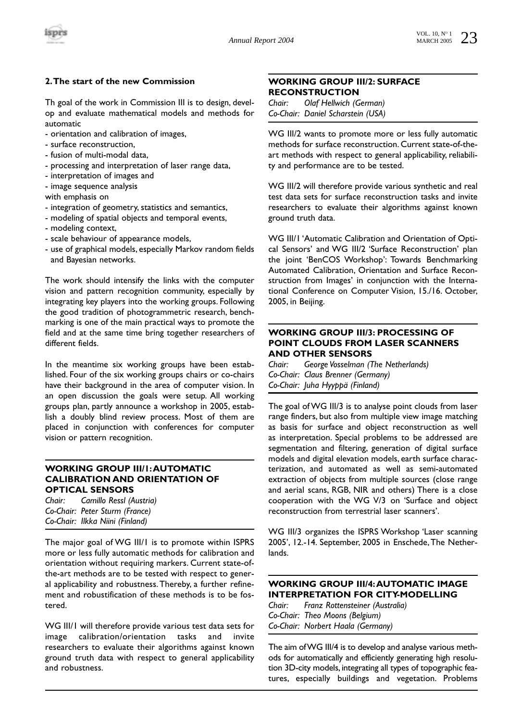

# **2.The start of the new Commission**

Th goal of the work in Commission III is to design, develop and evaluate mathematical models and methods for automatic

- orientation and calibration of images,
- surface reconstruction,
- fusion of multi-modal data,
- processing and interpretation of laser range data,
- interpretation of images and
- image sequence analysis

with emphasis on

- integration of geometry, statistics and semantics,
- modeling of spatial objects and temporal events,
- modeling context,
- scale behaviour of appearance models,
- use of graphical models, especially Markov random fields and Bayesian networks.

The work should intensify the links with the computer vision and pattern recognition community, especially by integrating key players into the working groups. Following the good tradition of photogrammetric research, benchmarking is one of the main practical ways to promote the field and at the same time bring together researchers of different fields.

In the meantime six working groups have been established. Four of the six working groups chairs or co-chairs have their background in the area of computer vision. In an open discussion the goals were setup. All working groups plan, partly announce a workshop in 2005, establish a doubly blind review process. Most of them are placed in conjunction with conferences for computer vision or pattern recognition.

# **WORKING GROUP III/1:AUTOMATIC CALIBRATION AND ORIENTATION OF OPTICAL SENSORS**

*Chair: Camillo Ressl (Austria) Co-Chair: Peter Sturm (France) Co-Chair: Ilkka Niini (Finland)*

The major goal of WG III/1 is to promote within ISPRS more or less fully automatic methods for calibration and orientation without requiring markers. Current state-ofthe-art methods are to be tested with respect to general applicability and robustness.Thereby, a further refinement and robustification of these methods is to be fostered.

WG III/1 will therefore provide various test data sets for image calibration/orientation tasks and invite researchers to evaluate their algorithms against known ground truth data with respect to general applicability and robustness.

# **WORKING GROUP III/2: SURFACE RECONSTRUCTION**

*Chair: Olaf Hellwich (German) Co-Chair: Daniel Scharstein (USA)*

WG III/2 wants to promote more or less fully automatic methods for surface reconstruction. Current state-of-theart methods with respect to general applicability, reliability and performance are to be tested.

WG III/2 will therefore provide various synthetic and real test data sets for surface reconstruction tasks and invite researchers to evaluate their algorithms against known ground truth data.

WG III/1 'Automatic Calibration and Orientation of Optical Sensors' and WG III/2 'Surface Reconstruction' plan the joint 'BenCOS Workshop': Towards Benchmarking Automated Calibration, Orientation and Surface Reconstruction from Images' in conjunction with the International Conference on Computer Vision, 15./16. October, 2005, in Beijing.

# **WORKING GROUP III/3: PROCESSING OF POINT CLOUDS FROM LASER SCANNERS AND OTHER SENSORS**

*Chair: George Vosselman (The Netherlands) Co-Chair: Claus Brenner (Germany) Co-Chair: Juha Hyyppä (Finland)*

The goal of WG III/3 is to analyse point clouds from laser range finders, but also from multiple view image matching as basis for surface and object reconstruction as well as interpretation. Special problems to be addressed are segmentation and filtering, generation of digital surface models and digital elevation models, earth surface characterization, and automated as well as semi-automated extraction of objects from multiple sources (close range and aerial scans, RGB, NIR and others) There is a close cooperation with the WG V/3 on 'Surface and object reconstruction from terrestrial laser scanners'.

WG III/3 organizes the ISPRS Workshop 'Laser scanning 2005', 12.-14. September, 2005 in Enschede,The Netherlands.

# **WORKING GROUP III/4:AUTOMATIC IMAGE INTERPRETATION FOR CITY-MODELLING**

*Chair: Franz Rottensteiner (Australia) Co-Chair: Theo Moons (Belgium) Co-Chair: Norbert Haala (Germany)* 

The aim of WG III/4 is to develop and analyse various methods for automatically and efficiently generating high resolution 3D-city models, integrating all types of topographic features, especially buildings and vegetation. Problems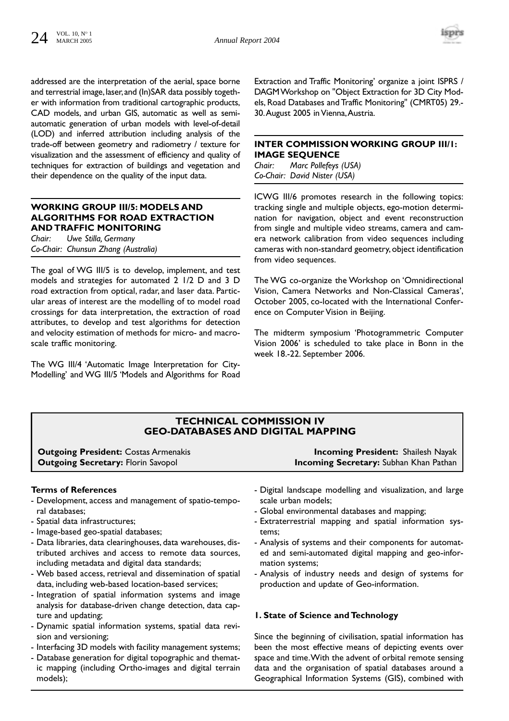

addressed are the interpretation of the aerial, space borne and terrestrial image, laser, and (In)SAR data possibly together with information from traditional cartographic products, CAD models, and urban GIS, automatic as well as semiautomatic generation of urban models with level-of-detail (LOD) and inferred attribution including analysis of the trade-off between geometry and radiometry / texture for visualization and the assessment of efficiency and quality of techniques for extraction of buildings and vegetation and their dependence on the quality of the input data.

# **WORKING GROUP III/5: MODELS AND ALGORITHMS FOR ROAD EXTRACTION AND TRAFFIC MONITORING**

*Chair: Uwe Stilla, Germany Co-Chair: Chunsun Zhang (Australia)*

The goal of WG III/5 is to develop, implement, and test models and strategies for automated 2 1/2 D and 3 D road extraction from optical, radar, and laser data. Particular areas of interest are the modelling of to model road crossings for data interpretation, the extraction of road attributes, to develop and test algorithms for detection and velocity estimation of methods for micro- and macroscale traffic monitoring.

The WG III/4 'Automatic Image Interpretation for City-Modelling' and WG III/5 'Models and Algorithms for Road Extraction and Traffic Monitoring' organize a joint ISPRS / DAGM Workshop on "Object Extraction for 3D City Models, Road Databases and Traffic Monitoring" (CMRT05) 29.- 30.August 2005 in Vienna,Austria.

# **INTER COMMISSION WORKING GROUP III/1: IMAGE SEQUENCE**

*Chair: Marc Pollefeys (USA) Co-Chair: David Nister (USA)* 

ICWG III/6 promotes research in the following topics: tracking single and multiple objects, ego-motion determination for navigation, object and event reconstruction from single and multiple video streams, camera and camera network calibration from video sequences including cameras with non-standard geometry, object identification from video sequences.

The WG co-organize the Workshop on 'Omnidirectional Vision, Camera Networks and Non-Classical Cameras', October 2005, co-located with the International Conference on Computer Vision in Beijing.

The midterm symposium 'Photogrammetric Computer Vision 2006' is scheduled to take place in Bonn in the week 18.-22. September 2006.

# **TECHNICAL COMMISSION IV GEO-DATABASES AND DIGITAL MAPPING**

**Outgoing President:** Costas Armenakis **Incoming President:** Shailesh Nayak

# **Terms of References**

- Development, access and management of spatio-temporal databases;
- Spatial data infrastructures;
- Image-based geo-spatial databases;
- Data libraries, data clearinghouses, data warehouses, distributed archives and access to remote data sources, including metadata and digital data standards;
- Web based access, retrieval and dissemination of spatial data, including web-based location-based services;
- Integration of spatial information systems and image analysis for database-driven change detection, data capture and updating;
- Dynamic spatial information systems, spatial data revision and versioning;
- Interfacing 3D models with facility management systems;
- Database generation for digital topographic and thematic mapping (including Ortho-images and digital terrain models);

**Outgoing Secretary:** Florin Savopol **Incoming Secretary:** Subhan Khan Pathan

- Digital landscape modelling and visualization, and large scale urban models;
- Global environmental databases and mapping;
- Extraterrestrial mapping and spatial information systems;
- Analysis of systems and their components for automated and semi-automated digital mapping and geo-information systems;
- Analysis of industry needs and design of systems for production and update of Geo-information.

# **1. State of Science and Technology**

Since the beginning of civilisation, spatial information has been the most effective means of depicting events over space and time.With the advent of orbital remote sensing data and the organisation of spatial databases around a Geographical Information Systems (GIS), combined with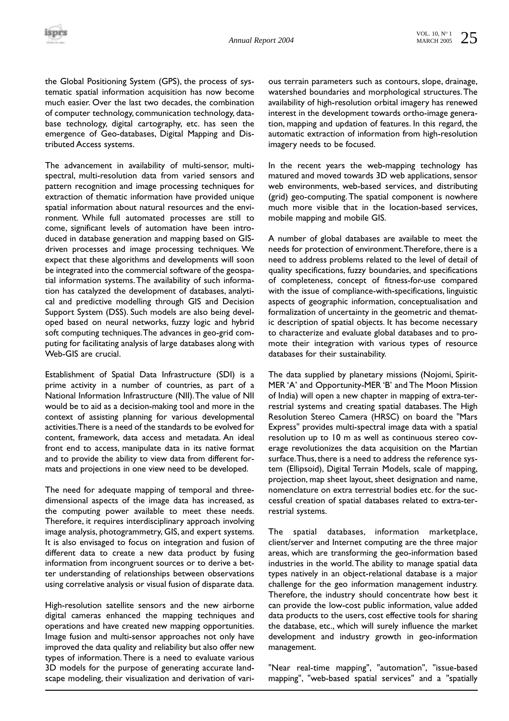the Global Positioning System (GPS), the process of systematic spatial information acquisition has now become much easier. Over the last two decades, the combination of computer technology, communication technology, database technology, digital cartography, etc. has seen the emergence of Geo-databases, Digital Mapping and Distributed Access systems.

The advancement in availability of multi-sensor, multispectral, multi-resolution data from varied sensors and pattern recognition and image processing techniques for extraction of thematic information have provided unique spatial information about natural resources and the environment. While full automated processes are still to come, significant levels of automation have been introduced in database generation and mapping based on GISdriven processes and image processing techniques. We expect that these algorithms and developments will soon be integrated into the commercial software of the geospatial information systems. The availability of such information has catalyzed the development of databases, analytical and predictive modelling through GIS and Decision Support System (DSS). Such models are also being developed based on neural networks, fuzzy logic and hybrid soft computing techniques.The advances in geo-grid computing for facilitating analysis of large databases along with Web-GIS are crucial.

Establishment of Spatial Data Infrastructure (SDI) is a prime activity in a number of countries, as part of a National Information Infrastructure (NII).The value of NII would be to aid as a decision-making tool and more in the context of assisting planning for various developmental activities.There is a need of the standards to be evolved for content, framework, data access and metadata. An ideal front end to access, manipulate data in its native format and to provide the ability to view data from different formats and projections in one view need to be developed.

The need for adequate mapping of temporal and threedimensional aspects of the image data has increased, as the computing power available to meet these needs. Therefore, it requires interdisciplinary approach involving image analysis, photogrammetry, GIS, and expert systems. It is also envisaged to focus on integration and fusion of different data to create a new data product by fusing information from incongruent sources or to derive a better understanding of relationships between observations using correlative analysis or visual fusion of disparate data.

High-resolution satellite sensors and the new airborne digital cameras enhanced the mapping techniques and operations and have created new mapping opportunities. Image fusion and multi-sensor approaches not only have improved the data quality and reliability but also offer new types of information.There is a need to evaluate various 3D models for the purpose of generating accurate landscape modeling, their visualization and derivation of various terrain parameters such as contours, slope, drainage, watershed boundaries and morphological structures.The availability of high-resolution orbital imagery has renewed interest in the development towards ortho-image generation, mapping and updation of features. In this regard, the automatic extraction of information from high-resolution imagery needs to be focused.

In the recent years the web-mapping technology has matured and moved towards 3D web applications, sensor web environments, web-based services, and distributing (grid) geo-computing.The spatial component is nowhere much more visible that in the location-based services, mobile mapping and mobile GIS.

A number of global databases are available to meet the needs for protection of environment.Therefore, there is a need to address problems related to the level of detail of quality specifications, fuzzy boundaries, and specifications of completeness, concept of fitness-for-use compared with the issue of compliance-with-specifications, linguistic aspects of geographic information, conceptualisation and formalization of uncertainty in the geometric and thematic description of spatial objects. It has become necessary to characterize and evaluate global databases and to promote their integration with various types of resource databases for their sustainability.

The data supplied by planetary missions (Nojomi, Spirit-MER 'A' and Opportunity-MER 'B' and The Moon Mission of India) will open a new chapter in mapping of extra-terrestrial systems and creating spatial databases. The High Resolution Stereo Camera (HRSC) on board the "Mars Express" provides multi-spectral image data with a spatial resolution up to 10 m as well as continuous stereo coverage revolutionizes the data acquisition on the Martian surface.Thus, there is a need to address the reference system (Ellipsoid), Digital Terrain Models, scale of mapping, projection, map sheet layout, sheet designation and name, nomenclature on extra terrestrial bodies etc. for the successful creation of spatial databases related to extra-terrestrial systems.

The spatial databases, information marketplace, client/server and Internet computing are the three major areas, which are transforming the geo-information based industries in the world.The ability to manage spatial data types natively in an object-relational database is a major challenge for the geo information management industry. Therefore, the industry should concentrate how best it can provide the low-cost public information, value added data products to the users, cost effective tools for sharing the database, etc., which will surely influence the market development and industry growth in geo-information management.

"Near real-time mapping", "automation", "issue-based mapping", "web-based spatial services" and a "spatially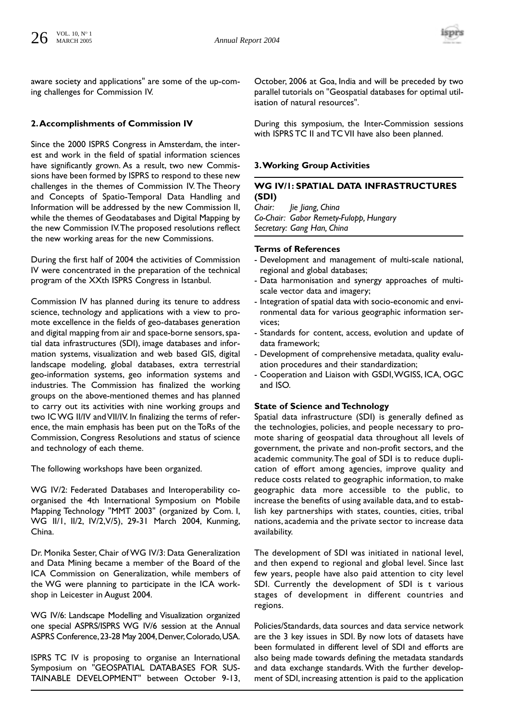

aware society and applications" are some of the up-coming challenges for Commission IV.

# **2.Accomplishments of Commission IV**

Since the 2000 ISPRS Congress in Amsterdam, the interest and work in the field of spatial information sciences have significantly grown. As a result, two new Commissions have been formed by ISPRS to respond to these new challenges in the themes of Commission IV. The Theory and Concepts of Spatio-Temporal Data Handling and Information will be addressed by the new Commission II, while the themes of Geodatabases and Digital Mapping by the new Commission IV.The proposed resolutions reflect the new working areas for the new Commissions.

During the first half of 2004 the activities of Commission IV were concentrated in the preparation of the technical program of the XXth ISPRS Congress in Istanbul.

Commission IV has planned during its tenure to address science, technology and applications with a view to promote excellence in the fields of geo-databases generation and digital mapping from air and space-borne sensors, spatial data infrastructures (SDI), image databases and information systems, visualization and web based GIS, digital landscape modeling, global databases, extra terrestrial geo-information systems, geo information systems and industries. The Commission has finalized the working groups on the above-mentioned themes and has planned to carry out its activities with nine working groups and two IC WG II/IV and VII/IV. In finalizing the terms of reference, the main emphasis has been put on the ToRs of the Commission, Congress Resolutions and status of science and technology of each theme.

The following workshops have been organized.

WG IV/2: Federated Databases and Interoperability coorganised the 4th International Symposium on Mobile Mapping Technology "MMT 2003" (organized by Com. I, WG II/1, II/2, IV/2,V/5), 29-31 March 2004, Kunming, China.

Dr. Monika Sester, Chair of WG IV/3: Data Generalization and Data Mining became a member of the Board of the ICA Commission on Generalization, while members of the WG were planning to participate in the ICA workshop in Leicester in August 2004.

WG IV/6: Landscape Modelling and Visualization organized one special ASPRS/ISPRS WG IV/6 session at the Annual ASPRS Conference,23-28 May 2004,Denver,Colorado,USA.

ISPRS TC IV is proposing to organise an International Symposium on "GEOSPATIAL DATABASES FOR SUS-TAINABLE DEVELOPMENT" between October 9-13,

October, 2006 at Goa, India and will be preceded by two parallel tutorials on "Geospatial databases for optimal utilisation of natural resources".

During this symposium, the Inter-Commission sessions with ISPRS TC II and TC VII have also been planned.

# **3.Working Group Activities**

# **WG IV/1: SPATIAL DATA INFRASTRUCTURES (SDI)**

*Chair: Jie Jiang, China Co-Chair: Gabor Remety-Fulopp, Hungary Secretary: Gang Han, China*

#### **Terms of References**

- Development and management of multi-scale national, regional and global databases;
- Data harmonisation and synergy approaches of multiscale vector data and imagery;
- Integration of spatial data with socio-economic and environmental data for various geographic information services;
- Standards for content, access, evolution and update of data framework;
- Development of comprehensive metadata, quality evaluation procedures and their standardization;
- Cooperation and Liaison with GSDI,WGISS, ICA, OGC and ISO.

# **State of Science and Technology**

Spatial data infrastructure (SDI) is generally defined as the technologies, policies, and people necessary to promote sharing of geospatial data throughout all levels of government, the private and non-profit sectors, and the academic community.The goal of SDI is to reduce duplication of effort among agencies, improve quality and reduce costs related to geographic information, to make geographic data more accessible to the public, to increase the benefits of using available data, and to establish key partnerships with states, counties, cities, tribal nations, academia and the private sector to increase data availability.

The development of SDI was initiated in national level, and then expend to regional and global level. Since last few years, people have also paid attention to city level SDI. Currently the development of SDI is t various stages of development in different countries and regions.

Policies/Standards, data sources and data service network are the 3 key issues in SDI. By now lots of datasets have been formulated in different level of SDI and efforts are also being made towards defining the metadata standards and data exchange standards. With the further development of SDI, increasing attention is paid to the application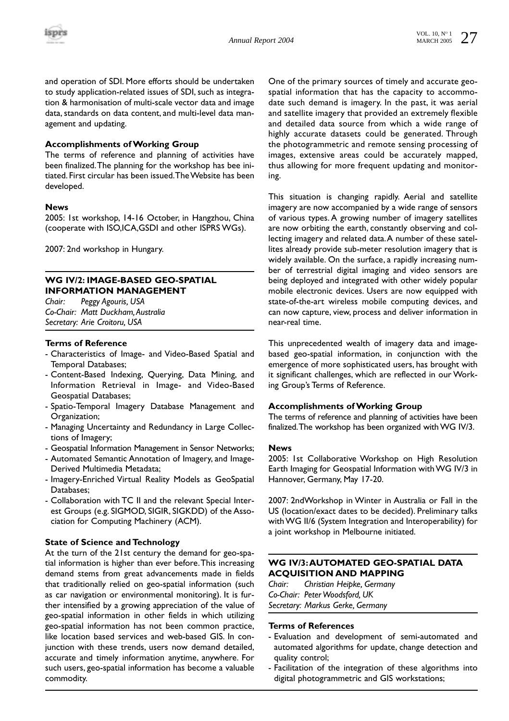

and operation of SDI. More efforts should be undertaken to study application-related issues of SDI, such as integration & harmonisation of multi-scale vector data and image data, standards on data content, and multi-level data management and updating.

# **Accomplishments of Working Group**

The terms of reference and planning of activities have been finalized.The planning for the workshop has bee initiated. First circular has been issued.The Website has been developed.

#### **News**

2005: 1st workshop, 14-16 October, in Hangzhou, China (cooperate with ISO,ICA,GSDI and other ISPRS WGs).

2007: 2nd workshop in Hungary.

#### **WG IV/2: IMAGE-BASED GEO-SPATIAL INFORMATION MANAGEMENT**

*Chair: Peggy Agouris, USA Co-Chair: Matt Duckham,Australia Secretary: Arie Croitoru, USA*

#### **Terms of Reference**

- Characteristics of Image- and Video-Based Spatial and Temporal Databases;
- Content-Based Indexing, Querying, Data Mining, and Information Retrieval in Image- and Video-Based Geospatial Databases;
- Spatio-Temporal Imagery Database Management and Organization;
- Managing Uncertainty and Redundancy in Large Collections of Imagery;
- Geospatial Information Management in Sensor Networks;
- Automated Semantic Annotation of Imagery, and Image-Derived Multimedia Metadata;
- Imagery-Enriched Virtual Reality Models as GeoSpatial Databases;
- Collaboration with TC II and the relevant Special Interest Groups (e.g. SIGMOD, SIGIR, SIGKDD) of the Association for Computing Machinery (ACM).

# **State of Science and Technology**

At the turn of the 21st century the demand for geo-spatial information is higher than ever before.This increasing demand stems from great advancements made in fields that traditionally relied on geo-spatial information (such as car navigation or environmental monitoring). It is further intensified by a growing appreciation of the value of geo-spatial information in other fields in which utilizing geo-spatial information has not been common practice, like location based services and web-based GIS. In conjunction with these trends, users now demand detailed, accurate and timely information anytime, anywhere. For such users, geo-spatial information has become a valuable commodity.

One of the primary sources of timely and accurate geospatial information that has the capacity to accommodate such demand is imagery. In the past, it was aerial and satellite imagery that provided an extremely flexible and detailed data source from which a wide range of highly accurate datasets could be generated. Through the photogrammetric and remote sensing processing of images, extensive areas could be accurately mapped, thus allowing for more frequent updating and monitoring.

This situation is changing rapidly. Aerial and satellite imagery are now accompanied by a wide range of sensors of various types. A growing number of imagery satellites are now orbiting the earth, constantly observing and collecting imagery and related data.A number of these satellites already provide sub-meter resolution imagery that is widely available. On the surface, a rapidly increasing number of terrestrial digital imaging and video sensors are being deployed and integrated with other widely popular mobile electronic devices. Users are now equipped with state-of-the-art wireless mobile computing devices, and can now capture, view, process and deliver information in near-real time.

This unprecedented wealth of imagery data and imagebased geo-spatial information, in conjunction with the emergence of more sophisticated users, has brought with it significant challenges, which are reflected in our Working Group's Terms of Reference.

#### **Accomplishments of Working Group**

The terms of reference and planning of activities have been finalized.The workshop has been organized with WG IV/3.

#### **News**

2005: 1st Collaborative Workshop on High Resolution Earth Imaging for Geospatial Information with WG IV/3 in Hannover, Germany, May 17-20.

2007: 2ndWorkshop in Winter in Australia or Fall in the US (location/exact dates to be decided). Preliminary talks with WG II/6 (System Integration and Interoperability) for a joint workshop in Melbourne initiated.

# **WG IV/3:AUTOMATED GEO-SPATIAL DATA ACQUISITION AND MAPPING**

*Chair: Christian Heipke, Germany Co-Chair: Peter Woodsford, UK Secretary: Markus Gerke, Germany*

- Evaluation and development of semi-automated and automated algorithms for update, change detection and quality control;
- Facilitation of the integration of these algorithms into digital photogrammetric and GIS workstations;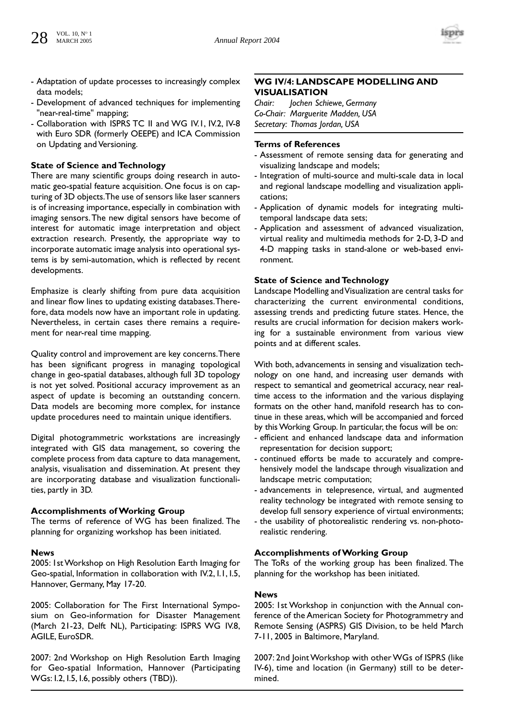

- Adaptation of update processes to increasingly complex data models;
- Development of advanced techniques for implementing "near-real-time" mapping;
- Collaboration with ISPRS TC II and WG IV.1, IV.2, IV-8 with Euro SDR (formerly OEEPE) and ICA Commission on Updating and Versioning.

#### **State of Science and Technology**

There are many scientific groups doing research in automatic geo-spatial feature acquisition. One focus is on capturing of 3D objects.The use of sensors like laser scanners is of increasing importance, especially in combination with imaging sensors.The new digital sensors have become of interest for automatic image interpretation and object extraction research. Presently, the appropriate way to incorporate automatic image analysis into operational systems is by semi-automation, which is reflected by recent developments.

Emphasize is clearly shifting from pure data acquisition and linear flow lines to updating existing databases.Therefore, data models now have an important role in updating. Nevertheless, in certain cases there remains a requirement for near-real time mapping.

Quality control and improvement are key concerns.There has been significant progress in managing topological change in geo-spatial databases, although full 3D topology is not yet solved. Positional accuracy improvement as an aspect of update is becoming an outstanding concern. Data models are becoming more complex, for instance update procedures need to maintain unique identifiers.

Digital photogrammetric workstations are increasingly integrated with GIS data management, so covering the complete process from data capture to data management, analysis, visualisation and dissemination. At present they are incorporating database and visualization functionalities, partly in 3D.

# **Accomplishments of Working Group**

The terms of reference of WG has been finalized. The planning for organizing workshop has been initiated.

#### **News**

2005: 1st Workshop on High Resolution Earth Imaging for Geo-spatial, Information in collaboration with IV.2, I.1, I.5, Hannover, Germany, May 17-20.

2005: Collaboration for The First International Symposium on Geo-information for Disaster Management (March 21-23, Delft NL), Participating: ISPRS WG IV.8, AGILE, EuroSDR.

2007: 2nd Workshop on High Resolution Earth Imaging for Geo-spatial Information, Hannover (Participating WGs: I.2, I.5, I.6, possibly others (TBD)).

# **WG IV/4: LANDSCAPE MODELLING AND VISUALISATION**

*Chair: Jochen Schiewe, Germany Co-Chair: Marguerite Madden, USA Secretary: Thomas Jordan, USA*

# **Terms of References**

- Assessment of remote sensing data for generating and visualizing landscape and models;
- Integration of multi-source and multi-scale data in local and regional landscape modelling and visualization applications;
- Application of dynamic models for integrating multitemporal landscape data sets;
- Application and assessment of advanced visualization, virtual reality and multimedia methods for 2-D, 3-D and 4-D mapping tasks in stand-alone or web-based environment.

#### **State of Science and Technology**

Landscape Modelling and Visualization are central tasks for characterizing the current environmental conditions, assessing trends and predicting future states. Hence, the results are crucial information for decision makers working for a sustainable environment from various view points and at different scales.

With both, advancements in sensing and visualization technology on one hand, and increasing user demands with respect to semantical and geometrical accuracy, near realtime access to the information and the various displaying formats on the other hand, manifold research has to continue in these areas, which will be accompanied and forced by this Working Group. In particular, the focus will be on:

- efficient and enhanced landscape data and information representation for decision support;
- continued efforts be made to accurately and comprehensively model the landscape through visualization and landscape metric computation;
- advancements in telepresence, virtual, and augmented reality technology be integrated with remote sensing to develop full sensory experience of virtual environments;
- the usability of photorealistic rendering vs. non-photorealistic rendering.

# **Accomplishments of Working Group**

The ToRs of the working group has been finalized. The planning for the workshop has been initiated.

#### **News**

2005: 1st Workshop in conjunction with the Annual conference of the American Society for Photogrammetry and Remote Sensing (ASPRS) GIS Division, to be held March 7-11, 2005 in Baltimore, Maryland.

2007: 2nd Joint Workshop with other WGs of ISPRS (like IV-6), time and location (in Germany) still to be determined.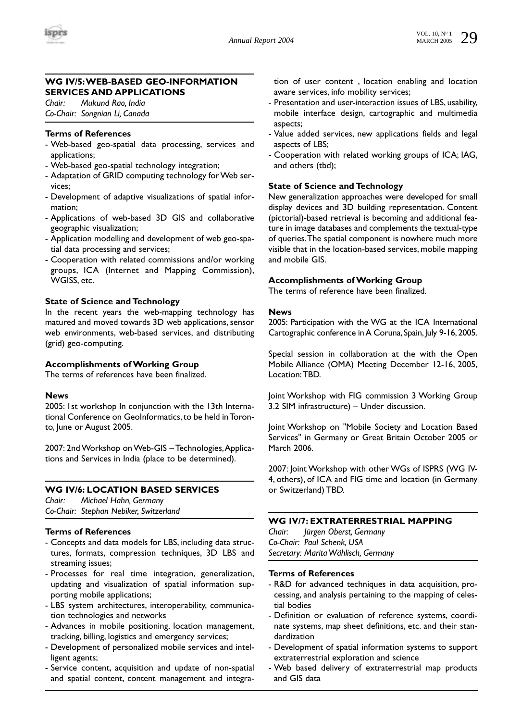

# **WG IV/5:WEB-BASED GEO-INFORMATION SERVICES AND APPLICATIONS**

*Chair: Mukund Rao, India Co-Chair: Songnian Li, Canada*

#### **Terms of References**

- Web-based geo-spatial data processing, services and applications;
- Web-based geo-spatial technology integration;
- Adaptation of GRID computing technology for Web services;
- Development of adaptive visualizations of spatial information;
- Applications of web-based 3D GIS and collaborative geographic visualization;
- Application modelling and development of web geo-spatial data processing and services;
- Cooperation with related commissions and/or working groups, ICA (Internet and Mapping Commission), WGISS, etc.

#### **State of Science and Technology**

In the recent years the web-mapping technology has matured and moved towards 3D web applications, sensor web environments, web-based services, and distributing (grid) geo-computing.

#### **Accomplishments of Working Group**

The terms of references have been finalized.

#### **News**

2005: 1st workshop In conjunction with the 13th International Conference on GeoInformatics, to be held in Toronto, June or August 2005.

2007: 2nd Workshop on Web-GIS – Technologies,Applications and Services in India (place to be determined).

#### **WG IV/6: LOCATION BASED SERVICES**

*Chair: Michael Hahn, Germany Co-Chair: Stephan Nebiker, Switzerland*

# **Terms of References**

- Concepts and data models for LBS, including data structures, formats, compression techniques, 3D LBS and streaming issues;
- Processes for real time integration, generalization, updating and visualization of spatial information supporting mobile applications;
- LBS system architectures, interoperability, communication technologies and networks
- Advances in mobile positioning, location management, tracking, billing, logistics and emergency services;
- Development of personalized mobile services and intelligent agents;
- Service content, acquisition and update of non-spatial and spatial content, content management and integra-

tion of user content , location enabling and location aware services, info mobility services;

- Presentation and user-interaction issues of LBS, usability, mobile interface design, cartographic and multimedia aspects;
- Value added services, new applications fields and legal aspects of LBS;
- Cooperation with related working groups of ICA; IAG, and others (tbd);

# **State of Science and Technology**

New generalization approaches were developed for small display devices and 3D building representation. Content (pictorial)-based retrieval is becoming and additional feature in image databases and complements the textual-type of queries.The spatial component is nowhere much more visible that in the location-based services, mobile mapping and mobile GIS.

#### **Accomplishments of Working Group**

The terms of reference have been finalized.

#### **News**

2005: Participation with the WG at the ICA International Cartographic conference in A Coruna, Spain, July 9-16, 2005.

Special session in collaboration at the with the Open Mobile Alliance (OMA) Meeting December 12-16, 2005, Location:TBD.

Joint Workshop with FIG commission 3 Working Group 3.2 SIM infrastructure) – Under discussion.

Joint Workshop on "Mobile Society and Location Based Services" in Germany or Great Britain October 2005 or March 2006.

2007: Joint Workshop with other WGs of ISPRS (WG IV-4, others), of ICA and FIG time and location (in Germany or Switzerland) TBD.

# **WG IV/7: EXTRATERRESTRIAL MAPPING**

*Chair: Jürgen Oberst, Germany Co-Chair: Paul Schenk, USA Secretary: Marita Wählisch, Germany*

- R&D for advanced techniques in data acquisition, processing, and analysis pertaining to the mapping of celestial bodies
- Definition or evaluation of reference systems, coordinate systems, map sheet definitions, etc. and their standardization
- Development of spatial information systems to support extraterrestrial exploration and science
- Web based delivery of extraterrestrial map products and GIS data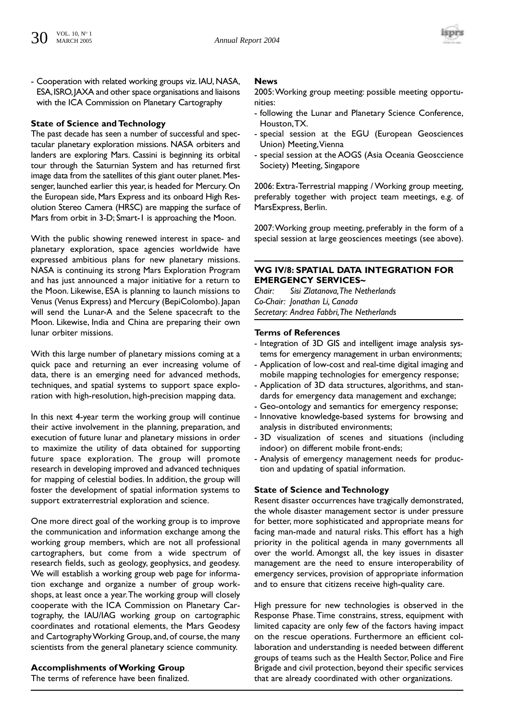

- Cooperation with related working groups viz. IAU, NASA, ESA,ISRO,JAXA and other space organisations and liaisons with the ICA Commission on Planetary Cartography

# **State of Science and Technology**

The past decade has seen a number of successful and spectacular planetary exploration missions. NASA orbiters and landers are exploring Mars. Cassini is beginning its orbital tour through the Saturnian System and has returned first image data from the satellites of this giant outer planet. Messenger, launched earlier this year, is headed for Mercury. On the European side, Mars Express and its onboard High Resolution Stereo Camera (HRSC) are mapping the surface of Mars from orbit in 3-D; Smart-1 is approaching the Moon.

With the public showing renewed interest in space- and planetary exploration, space agencies worldwide have expressed ambitious plans for new planetary missions. NASA is continuing its strong Mars Exploration Program and has just announced a major initiative for a return to the Moon. Likewise, ESA is planning to launch missions to Venus (Venus Express) and Mercury (BepiColombo). Japan will send the Lunar-A and the Selene spacecraft to the Moon. Likewise, India and China are preparing their own lunar orbiter missions.

With this large number of planetary missions coming at a quick pace and returning an ever increasing volume of data, there is an emerging need for advanced methods, techniques, and spatial systems to support space exploration with high-resolution, high-precision mapping data.

In this next 4-year term the working group will continue their active involvement in the planning, preparation, and execution of future lunar and planetary missions in order to maximize the utility of data obtained for supporting future space exploration. The group will promote research in developing improved and advanced techniques for mapping of celestial bodies. In addition, the group will foster the development of spatial information systems to support extraterrestrial exploration and science.

One more direct goal of the working group is to improve the communication and information exchange among the working group members, which are not all professional cartographers, but come from a wide spectrum of research fields, such as geology, geophysics, and geodesy. We will establish a working group web page for information exchange and organize a number of group workshops, at least once a year.The working group will closely cooperate with the ICA Commission on Planetary Cartography, the IAU/IAG working group on cartographic coordinates and rotational elements, the Mars Geodesy and Cartography Working Group, and, of course, the many scientists from the general planetary science community.

# **Accomplishments of Working Group**

The terms of reference have been finalized.

#### **News**

2005:Working group meeting: possible meeting opportunities:

- following the Lunar and Planetary Science Conference, Houston,TX.
- special session at the EGU (European Geosciences Union) Meeting,Vienna
- special session at the AOGS (Asia Oceania Geosccience Society) Meeting, Singapore

2006: Extra-Terrestrial mapping / Working group meeting, preferably together with project team meetings, e.g. of MarsExpress, Berlin.

2007:Working group meeting, preferably in the form of a special session at large geosciences meetings (see above).

# **WG IV/8: SPATIAL DATA INTEGRATION FOR EMERGENCY SERVICES~**

*Chair: Sisi Zlatanova,The Netherlands Co-Chair: Jonathan Li, Canada Secretary: Andrea Fabbri,The Netherlands*

#### **Terms of References**

- Integration of 3D GIS and intelligent image analysis systems for emergency management in urban environments;
- Application of low-cost and real-time digital imaging and mobile mapping technologies for emergency response;
- Application of 3D data structures, algorithms, and standards for emergency data management and exchange;
- Geo-ontology and semantics for emergency response;
- Innovative knowledge-based systems for browsing and analysis in distributed environments;
- 3D visualization of scenes and situations (including indoor) on different mobile front-ends;
- Analysis of emergency management needs for production and updating of spatial information.

# **State of Science and Technology**

Resent disaster occurrences have tragically demonstrated, the whole disaster management sector is under pressure for better, more sophisticated and appropriate means for facing man-made and natural risks. This effort has a high priority in the political agenda in many governments all over the world. Amongst all, the key issues in disaster management are the need to ensure interoperability of emergency services, provision of appropriate information and to ensure that citizens receive high-quality care.

High pressure for new technologies is observed in the Response Phase. Time constrains, stress, equipment with limited capacity are only few of the factors having impact on the rescue operations. Furthermore an efficient collaboration and understanding is needed between different groups of teams such as the Health Sector, Police and Fire Brigade and civil protection, beyond their specific services that are already coordinated with other organizations.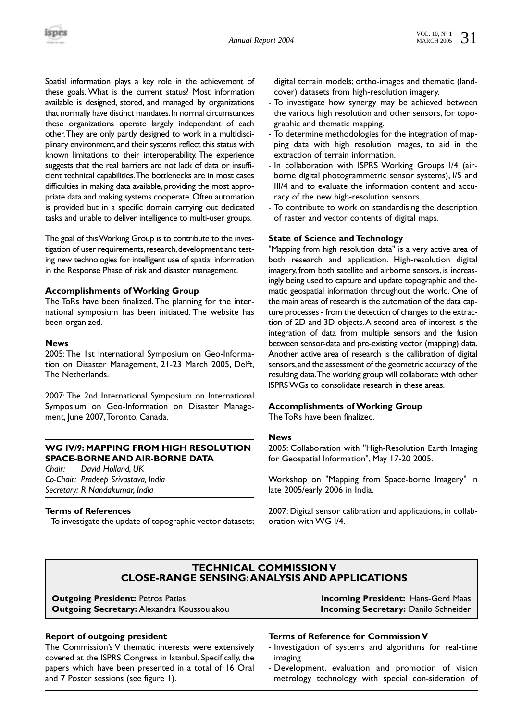Spatial information plays a key role in the achievement of these goals. What is the current status? Most information available is designed, stored, and managed by organizations that normally have distinct mandates. In normal circumstances these organizations operate largely independent of each other.They are only partly designed to work in a multidisciplinary environment,and their systems reflect this status with known limitations to their interoperability. The experience suggests that the real barriers are not lack of data or insufficient technical capabilities.The bottlenecks are in most cases difficulties in making data available, providing the most appropriate data and making systems cooperate.Often automation is provided but in a specific domain carrying out dedicated tasks and unable to deliver intelligence to multi-user groups.

The goal of this Working Group is to contribute to the investigation of user requirements, research, development and testing new technologies for intelligent use of spatial information in the Response Phase of risk and disaster management.

#### **Accomplishments of Working Group**

The ToRs have been finalized.The planning for the international symposium has been initiated. The website has been organized.

#### **News**

2005:The 1st International Symposium on Geo-Information on Disaster Management, 21-23 March 2005, Delft, The Netherlands.

2007: The 2nd International Symposium on International Symposium on Geo-Information on Disaster Management, June 2007,Toronto, Canada.

# **WG IV/9: MAPPING FROM HIGH RESOLUTION SPACE-BORNE AND AIR-BORNE DATA**

*Chair: David Holland, UK Co-Chair: Pradeep Srivastava, India Secretary: R Nandakumar, India*

# **Terms of References**

- To investigate the update of topographic vector datasets;

digital terrain models; ortho-images and thematic (landcover) datasets from high-resolution imagery.

- To investigate how synergy may be achieved between the various high resolution and other sensors, for topographic and thematic mapping.
- To determine methodologies for the integration of mapping data with high resolution images, to aid in the extraction of terrain information.
- In collaboration with ISPRS Working Groups I/4 (airborne digital photogrammetric sensor systems), I/5 and III/4 and to evaluate the information content and accuracy of the new high-resolution sensors.
- To contribute to work on standardising the description of raster and vector contents of digital maps.

# **State of Science and Technology**

"Mapping from high resolution data" is a very active area of both research and application. High-resolution digital imagery, from both satellite and airborne sensors, is increasingly being used to capture and update topographic and thematic geospatial information throughout the world. One of the main areas of research is the automation of the data capture processes - from the detection of changes to the extraction of 2D and 3D objects.A second area of interest is the integration of data from multiple sensors and the fusion between sensor-data and pre-existing vector (mapping) data. Another active area of research is the callibration of digital sensors,and the assessment of the geometric accuracy of the resulting data.The working group will collaborate with other ISPRS WGs to consolidate research in these areas.

# **Accomplishments of Working Group**

The ToRs have been finalized.

# **News**

2005: Collaboration with "High-Resolution Earth Imaging for Geospatial Information", May 17-20 2005.

Workshop on "Mapping from Space-borne Imagery" in late 2005/early 2006 in India.

2007: Digital sensor calibration and applications, in collaboration with WG I/4.

# **TECHNICAL COMMISSION V CLOSE-RANGE SENSING:ANALYSIS AND APPLICATIONS**

**Outgoing President:** Petros Patias **Incoming President:** Hans-Gerd Maas **Outgoing Secretary:** Alexandra Koussoulakou

# **Report of outgoing president**

The Commission's V thematic interests were extensively covered at the ISPRS Congress in Istanbul. Specifically, the papers which have been presented in a total of 16 Oral and 7 Poster sessions (see figure 1).

# **Terms of Reference for Commission V**

- Investigation of systems and algorithms for real-time imaging
- Development, evaluation and promotion of vision metrology technology with special con-sideration of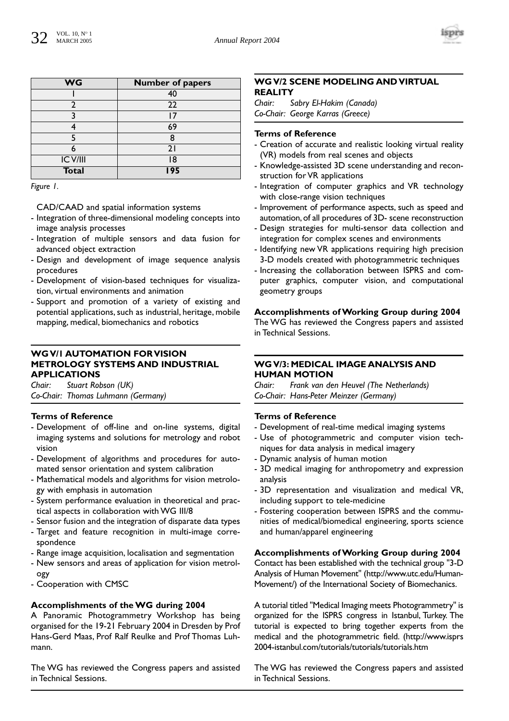

| <b>WG</b>    | <b>Number of papers</b> |
|--------------|-------------------------|
|              | 40                      |
| 2            | 22                      |
| ว            | 17                      |
|              | 69                      |
|              | 8                       |
|              | 21                      |
| IC V/III     | 18                      |
| <b>Total</b> | 195                     |

*Figure 1.*

CAD/CAAD and spatial information systems

- Integration of three-dimensional modeling concepts into image analysis processes
- Integration of multiple sensors and data fusion for advanced object extraction
- Design and development of image sequence analysis procedures
- Development of vision-based techniques for visualization, virtual environments and animation
- Support and promotion of a variety of existing and potential applications, such as industrial, heritage, mobile mapping, medical, biomechanics and robotics

# **WG V/1 AUTOMATION FOR VISION METROLOGY SYSTEMS AND INDUSTRIAL APPLICATIONS**

*Chair: Stuart Robson (UK) Co-Chair: Thomas Luhmann (Germany)*

# **Terms of Reference**

- Development of off-line and on-line systems, digital imaging systems and solutions for metrology and robot vision
- Development of algorithms and procedures for automated sensor orientation and system calibration
- Mathematical models and algorithms for vision metrology with emphasis in automation
- System performance evaluation in theoretical and practical aspects in collaboration with WG III/8
- Sensor fusion and the integration of disparate data types
- Target and feature recognition in multi-image correspondence
- Range image acquisition, localisation and segmentation
- New sensors and areas of application for vision metrology
- Cooperation with CMSC

# **Accomplishments of the WG during 2004**

A Panoramic Photogrammetry Workshop has being organised for the 19-21 February 2004 in Dresden by Prof Hans-Gerd Maas, Prof Ralf Reulke and Prof Thomas Luhmann.

The WG has reviewed the Congress papers and assisted in Technical Sessions.

# **WG V/2 SCENE MODELING AND VIRTUAL REALITY**

*Chair: Sabry El-Hakim (Canada) Co-Chair: George Karras (Greece)*

# **Terms of Reference**

- Creation of accurate and realistic looking virtual reality (VR) models from real scenes and objects
- Knowledge-assisted 3D scene understanding and reconstruction for VR applications
- Integration of computer graphics and VR technology with close-range vision techniques
- Improvement of performance aspects, such as speed and automation, of all procedures of 3D- scene reconstruction
- Design strategies for multi-sensor data collection and integration for complex scenes and environments
- Identifying new VR applications requiring high precision 3-D models created with photogrammetric techniques
- Increasing the collaboration between ISPRS and computer graphics, computer vision, and computational geometry groups

# **Accomplishments of Working Group during 2004**

The WG has reviewed the Congress papers and assisted in Technical Sessions.

# **WG V/3: MEDICAL IMAGE ANALYSIS AND HUMAN MOTION**

*Chair: Frank van den Heuvel (The Netherlands) Co-Chair: Hans-Peter Meinzer (Germany)*

# **Terms of Reference**

- Development of real-time medical imaging systems
- Use of photogrammetric and computer vision techniques for data analysis in medical imagery
- Dynamic analysis of human motion
- 3D medical imaging for anthropometry and expression analysis
- 3D representation and visualization and medical VR, including support to tele-medicine
- Fostering cooperation between ISPRS and the communities of medical/biomedical engineering, sports science and human/apparel engineering

# **Accomplishments of Working Group during 2004**

Contact has been established with the technical group "3-D Analysis of Human Movement" (http://www.utc.edu/Human-Movement/) of the International Society of Biomechanics.

A tutorial titled "Medical Imaging meets Photogrammetry" is organized for the ISPRS congress in Istanbul, Turkey. The tutorial is expected to bring together experts from the medical and the photogrammetric field. (http://www.isprs 2004-istanbul.com/tutorials/tutorials/tutorials.htm

The WG has reviewed the Congress papers and assisted in Technical Sessions.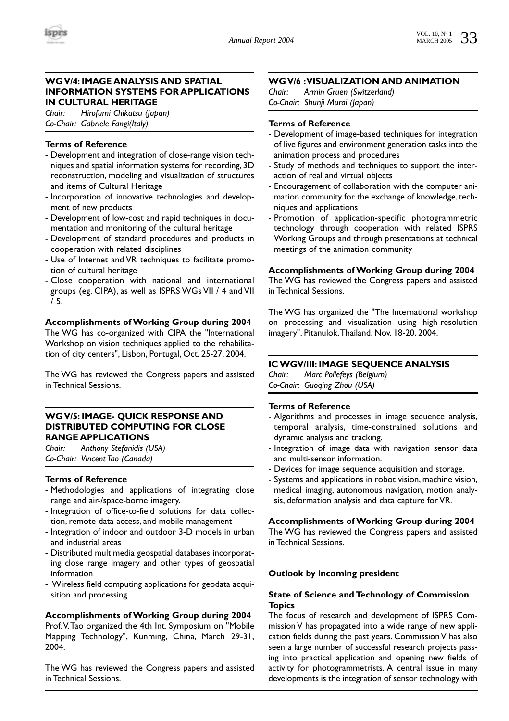# **WG V/4: IMAGE ANALYSIS AND SPATIAL INFORMATION SYSTEMS FOR APPLICATIONS IN CULTURAL HERITAGE**

*Chair: Hirofumi Chikatsu (Japan) Co-Chair: Gabriele Fangi(Italy)*

# **Terms of Reference**

- Development and integration of close-range vision techniques and spatial information systems for recording, 3D reconstruction, modeling and visualization of structures and items of Cultural Heritage
- Incorporation of innovative technologies and development of new products
- Development of low-cost and rapid techniques in documentation and monitoring of the cultural heritage
- Development of standard procedures and products in cooperation with related disciplines
- Use of Internet and VR techniques to facilitate promotion of cultural heritage
- Close cooperation with national and international groups (eg. CIPA), as well as ISPRS WGs VII / 4 and VII / 5.

# **Accomplishments of Working Group during 2004**

The WG has co-organized with CIPA the "International Workshop on vision techniques applied to the rehabilitation of city centers", Lisbon, Portugal, Oct. 25-27, 2004.

The WG has reviewed the Congress papers and assisted in Technical Sessions.

# **WG V/5: IMAGE- QUICK RESPONSE AND DISTRIBUTED COMPUTING FOR CLOSE RANGE APPLICATIONS**

*Chair: Anthony Stefanidis (USA) Co-Chair: Vincent Tao (Canada)*

# **Terms of Reference**

- Methodologies and applications of integrating close range and air-/space-borne imagery.
- Integration of office-to-field solutions for data collection, remote data access, and mobile management
- Integration of indoor and outdoor 3-D models in urban and industrial areas
- Distributed multimedia geospatial databases incorporating close range imagery and other types of geospatial information
- Wireless field computing applications for geodata acquisition and processing

**Accomplishments of Working Group during 2004** Prof.V.Tao organized the 4th Int. Symposium on "Mobile Mapping Technology", Kunming, China, March 29-31, 2004.

The WG has reviewed the Congress papers and assisted in Technical Sessions.

# **WG V/6 :VISUALIZATION AND ANIMATION**

*Chair: Armin Gruen (Switzerland) Co-Chair: Shunji Murai (Japan)*

# **Terms of Reference**

- Development of image-based techniques for integration of live figures and environment generation tasks into the animation process and procedures
- Study of methods and techniques to support the interaction of real and virtual objects
- Encouragement of collaboration with the computer animation community for the exchange of knowledge, techniques and applications
- Promotion of application-specific photogrammetric technology through cooperation with related ISPRS Working Groups and through presentations at technical meetings of the animation community

# **Accomplishments of Working Group during 2004**

The WG has reviewed the Congress papers and assisted in Technical Sessions.

The WG has organized the "The International workshop on processing and visualization using high-resolution imagery", Pitanulok,Thailand, Nov. 18-20, 2004.

# **IC WGV/III: IMAGE SEQUENCE ANALYSIS**

*Chair: Marc Pollefeys (Belgium) Co-Chair: Guoqing Zhou (USA)*

# **Terms of Reference**

- Algorithms and processes in image sequence analysis, temporal analysis, time-constrained solutions and dynamic analysis and tracking.
- Integration of image data with navigation sensor data and multi-sensor information.
- Devices for image sequence acquisition and storage.
- Systems and applications in robot vision, machine vision, medical imaging, autonomous navigation, motion analysis, deformation analysis and data capture for VR.

# **Accomplishments of Working Group during 2004**

The WG has reviewed the Congress papers and assisted in Technical Sessions.

# **Outlook by incoming president**

# **State of Science and Technology of Commission Topics**

The focus of research and development of ISPRS Commission V has propagated into a wide range of new application fields during the past years. Commission V has also seen a large number of successful research projects passing into practical application and opening new fields of activity for photogrammetrists. A central issue in many developments is the integration of sensor technology with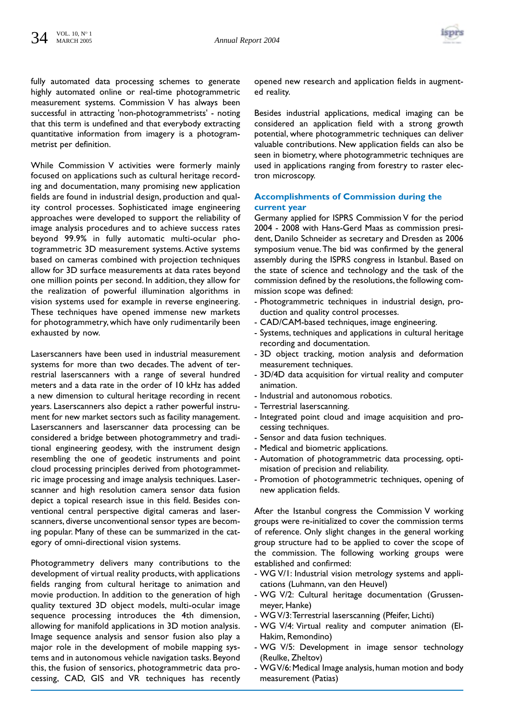

fully automated data processing schemes to generate highly automated online or real-time photogrammetric measurement systems. Commission V has always been successful in attracting 'non-photogrammetrists' - noting that this term is undefined and that everybody extracting quantitative information from imagery is a photogrammetrist per definition.

While Commission V activities were formerly mainly focused on applications such as cultural heritage recording and documentation, many promising new application fields are found in industrial design, production and quality control processes. Sophisticated image engineering approaches were developed to support the reliability of image analysis procedures and to achieve success rates beyond 99.9% in fully automatic multi-ocular photogrammetric 3D measurement systems. Active systems based on cameras combined with projection techniques allow for 3D surface measurements at data rates beyond one million points per second. In addition, they allow for the realization of powerful illumination algorithms in vision systems used for example in reverse engineering. These techniques have opened immense new markets for photogrammetry, which have only rudimentarily been exhausted by now.

Laserscanners have been used in industrial measurement systems for more than two decades. The advent of terrestrial laserscanners with a range of several hundred meters and a data rate in the order of 10 kHz has added a new dimension to cultural heritage recording in recent years. Laserscanners also depict a rather powerful instrument for new market sectors such as facility management. Laserscanners and laserscanner data processing can be considered a bridge between photogrammetry and traditional engineering geodesy, with the instrument design resembling the one of geodetic instruments and point cloud processing principles derived from photogrammetric image processing and image analysis techniques. Laserscanner and high resolution camera sensor data fusion depict a topical research issue in this field. Besides conventional central perspective digital cameras and laserscanners, diverse unconventional sensor types are becoming popular. Many of these can be summarized in the category of omni-directional vision systems.

Photogrammetry delivers many contributions to the development of virtual reality products, with applications fields ranging from cultural heritage to animation and movie production. In addition to the generation of high quality textured 3D object models, multi-ocular image sequence processing introduces the 4th dimension, allowing for manifold applications in 3D motion analysis. Image sequence analysis and sensor fusion also play a major role in the development of mobile mapping systems and in autonomous vehicle navigation tasks. Beyond this, the fusion of sensorics, photogrammetric data processing, CAD, GIS and VR techniques has recently opened new research and application fields in augmented reality.

Besides industrial applications, medical imaging can be considered an application field with a strong growth potential, where photogrammetric techniques can deliver valuable contributions. New application fields can also be seen in biometry, where photogrammetric techniques are used in applications ranging from forestry to raster electron microscopy.

# **Accomplishments of Commission during the current year**

Germany applied for ISPRS Commission V for the period 2004 - 2008 with Hans-Gerd Maas as commission president, Danilo Schneider as secretary and Dresden as 2006 symposium venue.The bid was confirmed by the general assembly during the ISPRS congress in Istanbul. Based on the state of science and technology and the task of the commission defined by the resolutions, the following commission scope was defined:

- Photogrammetric techniques in industrial design, production and quality control processes.
- CAD/CAM-based techniques, image engineering.
- Systems, techniques and applications in cultural heritage recording and documentation.
- 3D object tracking, motion analysis and deformation measurement techniques.
- 3D/4D data acquisition for virtual reality and computer animation.
- Industrial and autonomous robotics.
- Terrestrial laserscanning.
- Integrated point cloud and image acquisition and processing techniques.
- Sensor and data fusion techniques.
- Medical and biometric applications.
- Automation of photogrammetric data processing, optimisation of precision and reliability.
- Promotion of photogrammetric techniques, opening of new application fields.

After the Istanbul congress the Commission V working groups were re-initialized to cover the commission terms of reference. Only slight changes in the general working group structure had to be applied to cover the scope of the commission. The following working groups were established and confirmed:

- WG V/1: Industrial vision metrology systems and applications (Luhmann, van den Heuvel)
- WG V/2: Cultural heritage documentation (Grussenmeyer, Hanke)
- WG V/3:Terrestrial laserscanning (Pfeifer, Lichti)
- WG V/4: Virtual reality and computer animation (El-Hakim, Remondino)
- WG V/5: Development in image sensor technology (Reulke, Zheltov)
- WG V/6: Medical Image analysis, human motion and body measurement (Patias)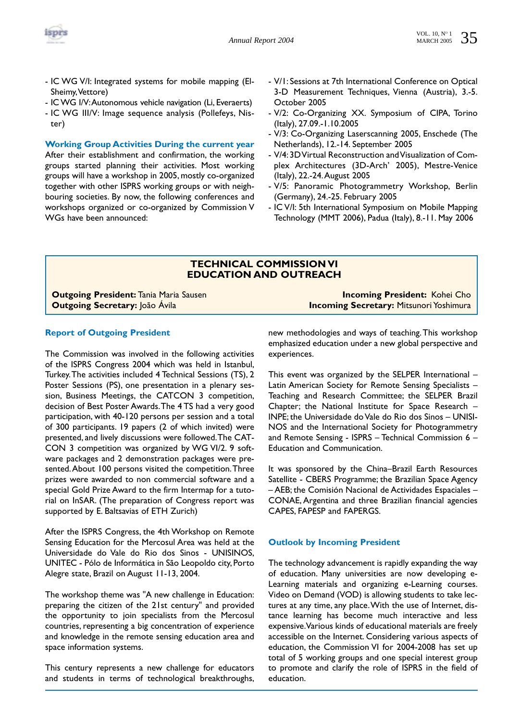

- IC WG V/I: Integrated systems for mobile mapping (El-Sheimy,Vettore)
- IC WG I/V:Autonomous vehicle navigation (Li, Everaerts)
- IC WG III/V: Image sequence analysis (Pollefeys, Nister)

**Working Group Activities During the current year**

After their establishment and confirmation, the working groups started planning their activities. Most working groups will have a workshop in 2005, mostly co-organized together with other ISPRS working groups or with neighbouring societies. By now, the following conferences and workshops organized or co-organized by Commission V WGs have been announced:

- V/1: Sessions at 7th International Conference on Optical 3-D Measurement Techniques, Vienna (Austria), 3.-5. October 2005
- V/2: Co-Organizing XX. Symposium of CIPA, Torino (Italy), 27.09.-1.10.2005
- V/3: Co-Organizing Laserscanning 2005, Enschede (The Netherlands), 12.-14. September 2005
- V/4:3D Virtual Reconstruction and Visualization of Complex Architectures (3D-Arch' 2005), Mestre-Venice (Italy), 22.-24.August 2005
- V/5: Panoramic Photogrammetry Workshop, Berlin (Germany), 24.-25. February 2005
- IC V/I: 5th International Symposium on Mobile Mapping Technology (MMT 2006), Padua (Italy), 8.-11. May 2006

# **TECHNICAL COMMISSION VI EDUCATION AND OUTREACH**

**Outgoing President:** Tania Maria Sausen **Incoming President:** Kohei Cho

**Outgoing Secretary:** João Ávila **Incoming Secretary: Mitsunori Yoshimura** 

#### **Report of Outgoing President**

The Commission was involved in the following activities of the ISPRS Congress 2004 which was held in Istanbul, Turkey.The activities included 4 Technical Sessions (TS), 2 Poster Sessions (PS), one presentation in a plenary session, Business Meetings, the CATCON 3 competition, decision of Best Poster Awards.The 4 TS had a very good participation, with 40-120 persons per session and a total of 300 participants. 19 papers (2 of which invited) were presented, and lively discussions were followed.The CAT-CON 3 competition was organized by WG VI/2. 9 software packages and 2 demonstration packages were presented.About 100 persons visited the competition.Three prizes were awarded to non commercial software and a special Gold Prize Award to the firm Intermap for a tutorial on InSAR. (The preparation of Congress report was supported by E. Baltsavias of ETH Zurich)

After the ISPRS Congress, the 4th Workshop on Remote Sensing Education for the Mercosul Area was held at the Universidade do Vale do Rio dos Sinos - UNISINOS, UNITEC - Pólo de Informática in São Leopoldo city, Porto Alegre state, Brazil on August 11-13, 2004.

The workshop theme was "A new challenge in Education: preparing the citizen of the 21st century" and provided the opportunity to join specialists from the Mercosul countries, representing a big concentration of experience and knowledge in the remote sensing education area and space information systems.

This century represents a new challenge for educators and students in terms of technological breakthroughs,

new methodologies and ways of teaching.This workshop emphasized education under a new global perspective and experiences.

This event was organized by the SELPER International – Latin American Society for Remote Sensing Specialists – Teaching and Research Committee; the SELPER Brazil Chapter; the National Institute for Space Research – INPE; the Universidade do Vale do Rio dos Sinos – UNISI-NOS and the International Society for Photogrammetry and Remote Sensing - ISPRS – Technical Commission 6 – Education and Communication.

It was sponsored by the China–Brazil Earth Resources Satellite - CBERS Programme; the Brazilian Space Agency – AEB; the Comisión Nacional de Actividades Espaciales – CONAE, Argentina and three Brazilian financial agencies CAPES, FAPESP and FAPERGS.

#### **Outlook by Incoming President**

The technology advancement is rapidly expanding the way of education. Many universities are now developing e-Learning materials and organizing e-Learning courses. Video on Demand (VOD) is allowing students to take lectures at any time, any place.With the use of Internet, distance learning has become much interactive and less expensive.Various kinds of educational materials are freely accessible on the Internet. Considering various aspects of education, the Commission VI for 2004-2008 has set up total of 5 working groups and one special interest group to promote and clarify the role of ISPRS in the field of education.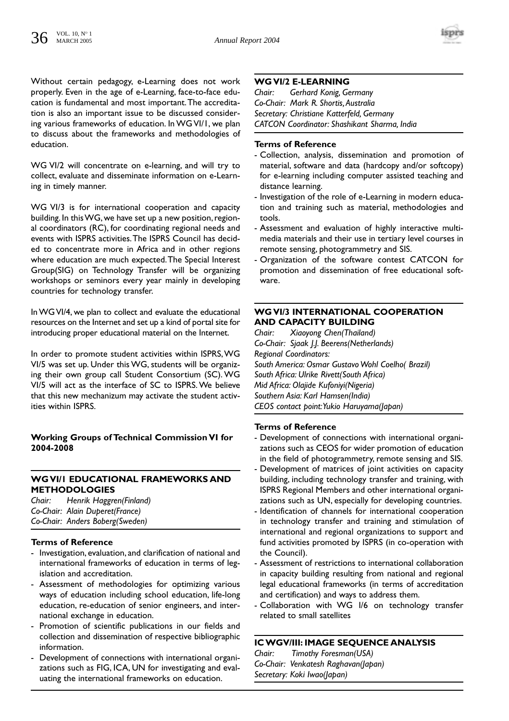Without certain pedagogy, e-Learning does not work properly. Even in the age of e-Learning, face-to-face education is fundamental and most important.The accreditation is also an important issue to be discussed considering various frameworks of education. In WG VI/1, we plan to discuss about the frameworks and methodologies of education.

WG VI/2 will concentrate on e-learning, and will try to collect, evaluate and disseminate information on e-Learning in timely manner.

WG VI/3 is for international cooperation and capacity building. In this WG, we have set up a new position, regional coordinators (RC), for coordinating regional needs and events with ISPRS activities.The ISPRS Council has decided to concentrate more in Africa and in other regions where education are much expected.The Special Interest Group(SIG) on Technology Transfer will be organizing workshops or seminors every year mainly in developing countries for technology transfer.

In WG VI/4, we plan to collect and evaluate the educational resources on the Internet and set up a kind of portal site for introducing proper educational material on the Internet.

In order to promote student activities within ISPRS,WG VI/5 was set up. Under this WG, students will be organizing their own group call Student Consortium (SC). WG VI/5 will act as the interface of SC to ISPRS. We believe that this new mechanizum may activate the student activities within ISPRS.

# **Working Groups of Technical Commission VI for 2004-2008**

# **WG VI/1 EDUCATIONAL FRAMEWORKS AND METHODOLOGIES**

*Chair: Henrik Haggren(Finland) Co-Chair: Alain Duperet(France) Co-Chair: Anders Boberg(Sweden)*

# **Terms of Reference**

- Investigation, evaluation, and clarification of national and international frameworks of education in terms of legislation and accreditation.
- Assessment of methodologies for optimizing various ways of education including school education, life-long education, re-education of senior engineers, and international exchange in education.
- Promotion of scientific publications in our fields and collection and dissemination of respective bibliographic information.
- Development of connections with international organizations such as FIG, ICA, UN for investigating and evaluating the international frameworks on education.

# **WG VI/2 E-LEARNING**

*Chair: Gerhard Konig, Germany Co-Chair: Mark R. Shortis,Australia Secretary: Christiane Katterfeld, Germany CATCON Coordinator: Shashikant Sharma, India* 

# **Terms of Reference**

- Collection, analysis, dissemination and promotion of material, software and data (hardcopy and/or softcopy) for e-learning including computer assisted teaching and distance learning.
- Investigation of the role of e-Learning in modern education and training such as material, methodologies and tools.
- Assessment and evaluation of highly interactive multimedia materials and their use in tertiary level courses in remote sensing, photogrammetry and SIS.
- Organization of the software contest CATCON for promotion and dissemination of free educational software.

# **WG VI/3 INTERNATIONAL COOPERATION AND CAPACITY BUILDING**<br>Chair: Xiaovong Chen(Thailand)

*Chair: Xiaoyong Chen(Thailand) Co-Chair: Sjaak J.J. Beerens(Netherlands) Regional Coordinators: South America: Osmar Gustavo Wohl Coelho( Brazil) South Africa: Ulrike Rivett(South Africa) Mid Africa: Olajide Kufoniyi(Nigeria) Southern Asia: Karl Hamsen(India) CEOS contact point:Yukio Haruyama(Japan)*

#### **Terms of Reference**

- Development of connections with international organizations such as CEOS for wider promotion of education in the field of photogrammetry, remote sensing and SIS.
- Development of matrices of joint activities on capacity building, including technology transfer and training, with ISPRS Regional Members and other international organizations such as UN, especially for developing countries.
- Identification of channels for international cooperation in technology transfer and training and stimulation of international and regional organizations to support and fund activities promoted by ISPRS (in co-operation with the Council).
- Assessment of restrictions to international collaboration in capacity building resulting from national and regional legal educational frameworks (in terms of accreditation and certification) and ways to address them.
- Collaboration with WG I/6 on technology transfer related to small satellites

# **IC WGV/III: IMAGE SEQUENCE ANALYSIS**

*Chair: Timothy Foresman(USA) Co-Chair: Venkatesh Raghavan(Japan) Secretary: Koki Iwao(Japan)*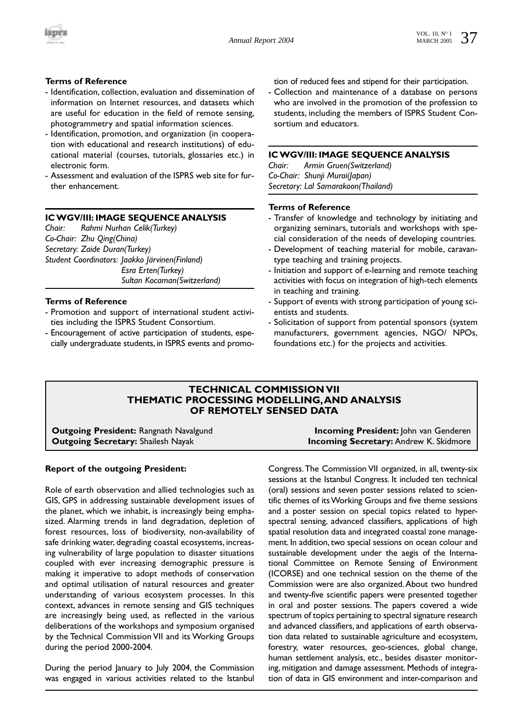

# **Terms of Reference**

- Identification, collection, evaluation and dissemination of information on Internet resources, and datasets which are useful for education in the field of remote sensing, photogrammetry and spatial information sciences.
- Identification, promotion, and organization (in cooperation with educational and research institutions) of educational material (courses, tutorials, glossaries etc.) in electronic form.
- Assessment and evaluation of the ISPRS web site for further enhancement.

# **IC WGV/III: IMAGE SEQUENCE ANALYSIS**

*Chair: Rahmi Nurhan Celik(Turkey) Co-Chair: Zhu Qing(China) Secretary: Zaide Duran(Turkey) Student Coordinators: Jaakko Järvinen(Finland) Esra Erten(Turkey) Sultan Kocaman(Switzerland)*

# **Terms of Reference**

- Promotion and support of international student activities including the ISPRS Student Consortium.
- Encouragement of active participation of students, especially undergraduate students, in ISPRS events and promo-

tion of reduced fees and stipend for their participation.

- Collection and maintenance of a database on persons who are involved in the promotion of the profession to students, including the members of ISPRS Student Consortium and educators.

# **IC WGV/III: IMAGE SEQUENCE ANALYSIS**

*Chair: Armin Gruen(Switzerland) Co-Chair: Shunji Murai(Japan) Secretary: Lal Samarakoon(Thailand)*

#### **Terms of Reference**

- Transfer of knowledge and technology by initiating and organizing seminars, tutorials and workshops with special consideration of the needs of developing countries.
- Development of teaching material for mobile, caravantype teaching and training projects.
- Initiation and support of e-learning and remote teaching activities with focus on integration of high-tech elements in teaching and training.
- Support of events with strong participation of young scientists and students.
- Solicitation of support from potential sponsors (system manufacturers, government agencies, NGO/ NPOs, foundations etc.) for the projects and activities.

# **TECHNICAL COMMISSION VII THEMATIC PROCESSING MODELLING,AND ANALYSIS OF REMOTELY SENSED DATA**

**Outgoing President:** Rangnath Navalgund **Incoming President:** John van Genderen **Outgoing Secretary:** Shailesh Nayak **Incoming Secretary:** Andrew K. Skidmore

# **Report of the outgoing President:**

Role of earth observation and allied technologies such as GIS, GPS in addressing sustainable development issues of the planet, which we inhabit, is increasingly being emphasized. Alarming trends in land degradation, depletion of forest resources, loss of biodiversity, non-availability of safe drinking water, degrading coastal ecosystems, increasing vulnerability of large population to disaster situations coupled with ever increasing demographic pressure is making it imperative to adopt methods of conservation and optimal utilisation of natural resources and greater understanding of various ecosystem processes. In this context, advances in remote sensing and GIS techniques are increasingly being used, as reflected in the various deliberations of the workshops and symposium organised by the Technical Commission VII and its Working Groups during the period 2000-2004.

During the period January to July 2004, the Commission was engaged in various activities related to the Istanbul Congress.The Commission VII organized, in all, twenty-six sessions at the Istanbul Congress. It included ten technical (oral) sessions and seven poster sessions related to scientific themes of its Working Groups and five theme sessions and a poster session on special topics related to hyperspectral sensing, advanced classifiers, applications of high spatial resolution data and integrated coastal zone management. In addition, two special sessions on ocean colour and sustainable development under the aegis of the International Committee on Remote Sensing of Environment (ICORSE) and one technical session on the theme of the Commission were are also organized.About two hundred and twenty-five scientific papers were presented together in oral and poster sessions. The papers covered a wide spectrum of topics pertaining to spectral signature research and advanced classifiers, and applications of earth observation data related to sustainable agriculture and ecosystem, forestry, water resources, geo-sciences, global change, human settlement analysis, etc., besides disaster monitoring, mitigation and damage assessment. Methods of integration of data in GIS environment and inter-comparison and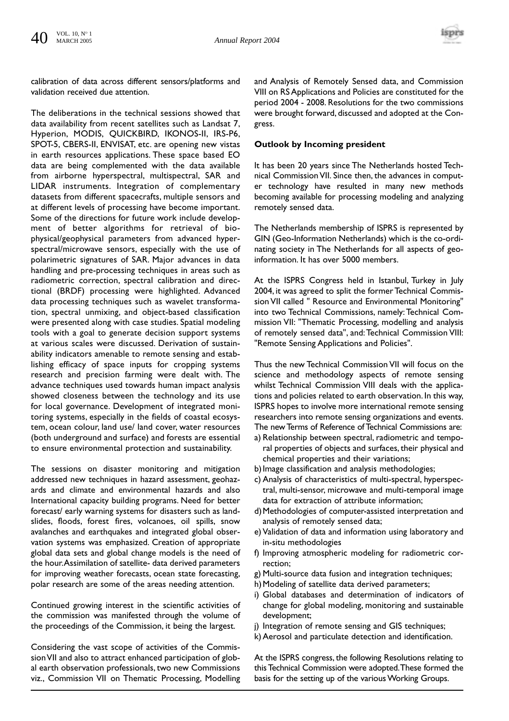

calibration of data across different sensors/platforms and validation received due attention.

The deliberations in the technical sessions showed that data availability from recent satellites such as Landsat 7, Hyperion, MODIS, QUICKBIRD, IKONOS-II, IRS-P6, SPOT-5, CBERS-II, ENVISAT, etc. are opening new vistas in earth resources applications. These space based EO data are being complemented with the data available from airborne hyperspectral, multispectral, SAR and LIDAR instruments. Integration of complementary datasets from different spacecrafts, multiple sensors and at different levels of processing have become important. Some of the directions for future work include development of better algorithms for retrieval of biophysical/geophysical parameters from advanced hyperspectral/microwave sensors, especially with the use of polarimetric signatures of SAR. Major advances in data handling and pre-processing techniques in areas such as radiometric correction, spectral calibration and directional (BRDF) processing were highlighted. Advanced data processing techniques such as wavelet transformation, spectral unmixing, and object-based classification were presented along with case studies. Spatial modeling tools with a goal to generate decision support systems at various scales were discussed. Derivation of sustainability indicators amenable to remote sensing and establishing efficacy of space inputs for cropping systems research and precision farming were dealt with. The advance techniques used towards human impact analysis showed closeness between the technology and its use for local governance. Development of integrated monitoring systems, especially in the fields of coastal ecosystem, ocean colour, land use/ land cover, water resources (both underground and surface) and forests are essential to ensure environmental protection and sustainability.

The sessions on disaster monitoring and mitigation addressed new techniques in hazard assessment, geohazards and climate and environmental hazards and also International capacity building programs. Need for better forecast/ early warning systems for disasters such as landslides, floods, forest fires, volcanoes, oil spills, snow avalanches and earthquakes and integrated global observation systems was emphasized. Creation of appropriate global data sets and global change models is the need of the hour.Assimilation of satellite- data derived parameters for improving weather forecasts, ocean state forecasting, polar research are some of the areas needing attention.

Continued growing interest in the scientific activities of the commission was manifested through the volume of the proceedings of the Commission, it being the largest.

Considering the vast scope of activities of the Commission VII and also to attract enhanced participation of global earth observation professionals, two new Commissions viz., Commission VII on Thematic Processing, Modelling and Analysis of Remotely Sensed data, and Commission VIII on RS Applications and Policies are constituted for the period 2004 - 2008. Resolutions for the two commissions were brought forward, discussed and adopted at the Congress.

# **Outlook by Incoming president**

It has been 20 years since The Netherlands hosted Technical Commission VII. Since then, the advances in computer technology have resulted in many new methods becoming available for processing modeling and analyzing remotely sensed data.

The Netherlands membership of ISPRS is represented by GIN (Geo-Information Netherlands) which is the co-ordinating society in The Netherlands for all aspects of geoinformation. It has over 5000 members.

At the ISPRS Congress held in Istanbul, Turkey in July 2004, it was agreed to split the former Technical Commission VII called " Resource and Environmental Monitoring" into two Technical Commissions, namely: Technical Commission VII: "Thematic Processing, modelling and analysis of remotely sensed data", and:Technical Commission VIII: "Remote Sensing Applications and Policies".

Thus the new Technical Commission VII will focus on the science and methodology aspects of remote sensing whilst Technical Commission VIII deals with the applications and policies related to earth observation. In this way, ISPRS hopes to involve more international remote sensing researchers into remote sensing organizations and events. The new Terms of Reference of Technical Commissions are:

- a) Relationship between spectral, radiometric and temporal properties of objects and surfaces, their physical and chemical properties and their variations;
- b) Image classification and analysis methodologies;
- c) Analysis of characteristics of multi-spectral, hyperspectral, multi-sensor, microwave and multi-temporal image data for extraction of attribute information;
- d)Methodologies of computer-assisted interpretation and analysis of remotely sensed data;
- e) Validation of data and information using laboratory and in-situ methodologies
- f) Improving atmospheric modeling for radiometric correction;
- g) Multi-source data fusion and integration techniques;
- h) Modeling of satellite data derived parameters;
- i) Global databases and determination of indicators of change for global modeling, monitoring and sustainable development;
- j) Integration of remote sensing and GIS techniques;
- k) Aerosol and particulate detection and identification.

At the ISPRS congress, the following Resolutions relating to this Technical Commission were adopted.These formed the basis for the setting up of the various Working Groups.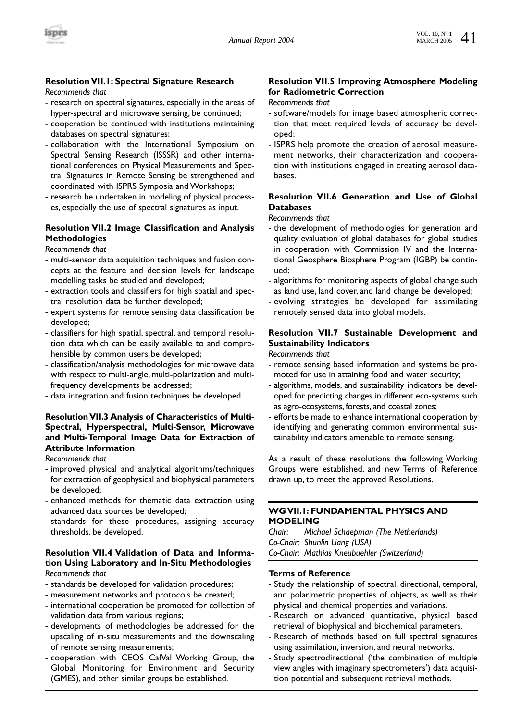# **Resolution VII.1: Spectral Signature Research**

*Recommends that*

- research on spectral signatures, especially in the areas of hyper-spectral and microwave sensing, be continued;
- cooperation be continued with institutions maintaining databases on spectral signatures;
- collaboration with the International Symposium on Spectral Sensing Research (ISSSR) and other international conferences on Physical Measurements and Spectral Signatures in Remote Sensing be strengthened and coordinated with ISPRS Symposia and Workshops;
- research be undertaken in modeling of physical processes, especially the use of spectral signatures as input.

# **Resolution VII.2 Image Classification and Analysis Methodologies**

*Recommends that*

- multi-sensor data acquisition techniques and fusion concepts at the feature and decision levels for landscape modelling tasks be studied and developed;
- extraction tools and classifiers for high spatial and spectral resolution data be further developed;
- expert systems for remote sensing data classification be developed;
- classifiers for high spatial, spectral, and temporal resolution data which can be easily available to and comprehensible by common users be developed;
- classification/analysis methodologies for microwave data with respect to multi-angle, multi-polarization and multifrequency developments be addressed;
- data integration and fusion techniques be developed.

# **Resolution VII.3 Analysis of Characteristics of Multi-Spectral, Hyperspectral, Multi-Sensor, Microwave and Multi-Temporal Image Data for Extraction of Attribute Information**

*Recommends that*

- improved physical and analytical algorithms/techniques for extraction of geophysical and biophysical parameters be developed;
- enhanced methods for thematic data extraction using advanced data sources be developed;
- standards for these procedures, assigning accuracy thresholds, be developed.

# **Resolution VII.4 Validation of Data and Information Using Laboratory and In-Situ Methodologies** *Recommends that*

- standards be developed for validation procedures;
- measurement networks and protocols be created;
- international cooperation be promoted for collection of validation data from various regions;
- developments of methodologies be addressed for the upscaling of in-situ measurements and the downscaling of remote sensing measurements;
- cooperation with CEOS CalVal Working Group, the Global Monitoring for Environment and Security (GMES), and other similar groups be established.

# **Resolution VII.5 Improving Atmosphere Modeling for Radiometric Correction**

#### *Recommends that*

- software/models for image based atmospheric correction that meet required levels of accuracy be developed;
- ISPRS help promote the creation of aerosol measurement networks, their characterization and cooperation with institutions engaged in creating aerosol databases.

# **Resolution VII.6 Generation and Use of Global Databases**

#### *Recommends that*

- the development of methodologies for generation and quality evaluation of global databases for global studies in cooperation with Commission IV and the International Geosphere Biosphere Program (IGBP) be continued;
- algorithms for monitoring aspects of global change such as land use, land cover, and land change be developed;
- evolving strategies be developed for assimilating remotely sensed data into global models.

# **Resolution VII.7 Sustainable Development and Sustainability Indicators**

*Recommends that* 

- remote sensing based information and systems be promoted for use in attaining food and water security;
- algorithms, models, and sustainability indicators be developed for predicting changes in different eco-systems such as agro-ecosystems, forests, and coastal zones;
- efforts be made to enhance international cooperation by identifying and generating common environmental sustainability indicators amenable to remote sensing.

As a result of these resolutions the following Working Groups were established, and new Terms of Reference drawn up, to meet the approved Resolutions.

# **WG VII.1: FUNDAMENTAL PHYSICS AND MODELING**

*Chair: Michael Schaepman (The Netherlands) Co-Chair: Shunlin Liang (USA) Co-Chair: Mathias Kneubuehler (Switzerland)*

- Study the relationship of spectral, directional, temporal, and polarimetric properties of objects, as well as their physical and chemical properties and variations.
- Research on advanced quantitative, physical based retrieval of biophysical and biochemical parameters.
- Research of methods based on full spectral signatures using assimilation, inversion, and neural networks.
- Study spectrodirectional ('the combination of multiple view angles with imaginary spectrometers') data acquisition potential and subsequent retrieval methods.

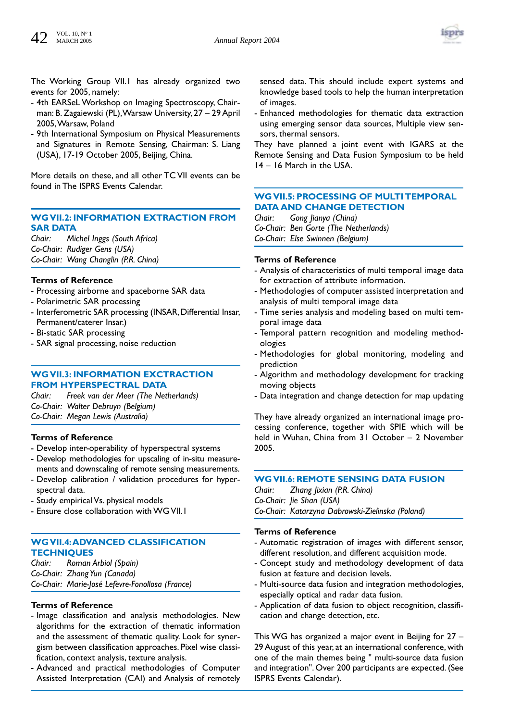

The Working Group VII.1 has already organized two events for 2005, namely:

- 4th EARSeL Workshop on Imaging Spectroscopy, Chairman: B. Zagaiewski (PL),Warsaw University, 27 – 29 April 2005,Warsaw, Poland
- 9th International Symposium on Physical Measurements and Signatures in Remote Sensing, Chairman: S. Liang (USA), 17-19 October 2005, Beijing, China.

More details on these, and all other TC VII events can be found in The ISPRS Events Calendar.

# **WG VII.2: INFORMATION EXTRACTION FROM SAR DATA**

*Chair: Michel Inggs (South Africa) Co-Chair: Rudiger Gens (USA) Co-Chair: Wang Changlin (P.R. China)*

#### **Terms of Reference**

- Processing airborne and spaceborne SAR data
- Polarimetric SAR processing
- Interferometric SAR processing (INSAR, Differential Insar, Permanent/caterer Insar.)
- Bi-static SAR processing
- SAR signal processing, noise reduction

# **WG VII.3: INFORMATION EXCTRACTION FROM HYPERSPECTRAL DATA**

*Chair: Freek van der Meer (The Netherlands) Co-Chair: Walter Debruyn (Belgium) Co-Chair: Megan Lewis (Australia)*

# **Terms of Reference**

- Develop inter-operability of hyperspectral systems
- Develop methodologies for upscaling of in-situ measurements and downscaling of remote sensing measurements.
- Develop calibration / validation procedures for hyperspectral data.
- Study empirical Vs. physical models
- Ensure close collaboration with WG VII.1

# **WG VII.4:ADVANCED CLASSIFICATION TECHNIQUES**

*Chair: Roman Arbiol (Spain) Co-Chair: Zhang Yun (Canada) Co-Chair: Marie-José Lefevre-Fonollosa (France)*

# **Terms of Reference**

- Image classification and analysis methodologies. New algorithms for the extraction of thematic information and the assessment of thematic quality. Look for synergism between classification approaches. Pixel wise classification, context analysis, texture analysis.
- Advanced and practical methodologies of Computer Assisted Interpretation (CAI) and Analysis of remotely

sensed data. This should include expert systems and knowledge based tools to help the human interpretation of images.

- Enhanced methodologies for thematic data extraction using emerging sensor data sources, Multiple view sensors, thermal sensors.

They have planned a joint event with IGARS at the Remote Sensing and Data Fusion Symposium to be held 14 – 16 March in the USA.

# **WG VII.5: PROCESSING OF MULTI TEMPORAL DATA AND CHANGE DETECTION**

*Chair: Gong Jianya (China) Co-Chair: Ben Gorte (The Netherlands) Co-Chair: Else Swinnen (Belgium)*

# **Terms of Reference**

- Analysis of characteristics of multi temporal image data for extraction of attribute information.
- Methodologies of computer assisted interpretation and analysis of multi temporal image data
- Time series analysis and modeling based on multi temporal image data
- Temporal pattern recognition and modeling methodologies
- Methodologies for global monitoring, modeling and prediction
- Algorithm and methodology development for tracking moving objects
- Data integration and change detection for map updating

They have already organized an international image processing conference, together with SPIE which will be held in Wuhan, China from 31 October – 2 November 2005.

# **WG VII.6: REMOTE SENSING DATA FUSION**

*Chair: Zhang Jixian (P.R. China) Co-Chair: Jie Shan (USA) Co-Chair: Katarzyna Dabrowski-Zielinska (Poland)*

# **Terms of Reference**

- Automatic registration of images with different sensor, different resolution, and different acquisition mode.
- Concept study and methodology development of data fusion at feature and decision levels.
- Multi-source data fusion and integration methodologies, especially optical and radar data fusion.
- Application of data fusion to object recognition, classification and change detection, etc.

This WG has organized a major event in Beijing for 27 – 29 August of this year, at an international conference, with one of the main themes being " multi-source data fusion and integration". Over 200 participants are expected. (See ISPRS Events Calendar).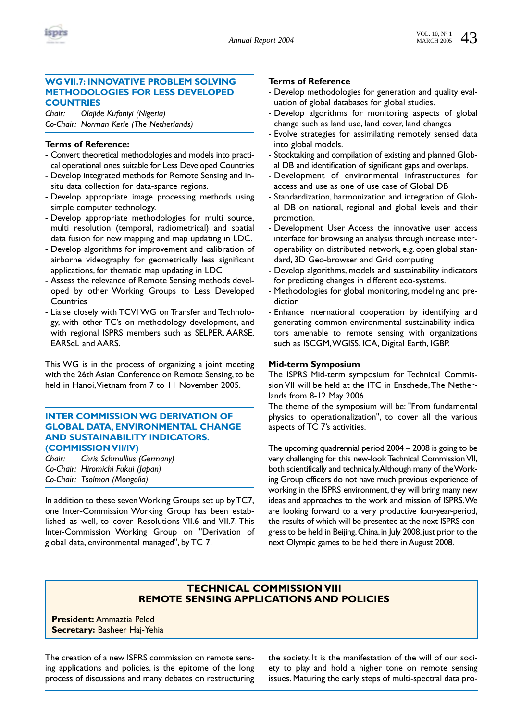

# **WG VII.7: INNOVATIVE PROBLEM SOLVING METHODOLOGIES FOR LESS DEVELOPED COUNTRIES**

*Chair: Olajide Kufoniyi (Nigeria) Co-Chair: Norman Kerle (The Netherlands)*

# **Terms of Reference:**

- Convert theoretical methodologies and models into practical operational ones suitable for Less Developed Countries
- Develop integrated methods for Remote Sensing and insitu data collection for data-sparce regions.
- Develop appropriate image processing methods using simple computer technology.
- Develop appropriate methodologies for multi source, multi resolution (temporal, radiometrical) and spatial data fusion for new mapping and map updating in LDC.
- Develop algorithms for improvement and calibration of airborne videography for geometrically less significant applications, for thematic map updating in LDC
- Assess the relevance of Remote Sensing methods developed by other Working Groups to Less Developed **Countries**
- Liaise closely with TCVI WG on Transfer and Technology, with other TC's on methodology development, and with regional ISPRS members such as SELPER, AARSE, EARSeL and AARS.

This WG is in the process of organizing a joint meeting with the 26th Asian Conference on Remote Sensing, to be held in Hanoi, Vietnam from 7 to 11 November 2005.

# **INTER COMMISSION WG DERIVATION OF GLOBAL DATA, ENVIRONMENTAL CHANGE AND SUSTAINABILITY INDICATORS. (COMMISSION VII/IV)**

*Chair: Chris Schmullius (Germany) Co-Chair: Hiromichi Fukui (Japan) Co-Chair: Tsolmon (Mongolia)*

In addition to these seven Working Groups set up by TC7, one Inter-Commission Working Group has been established as well, to cover Resolutions VII.6 and VII.7. This Inter-Commission Working Group on "Derivation of global data, environmental managed", by TC 7.

# **Terms of Reference**

- Develop methodologies for generation and quality evaluation of global databases for global studies.
- Develop algorithms for monitoring aspects of global change such as land use, land cover, land changes
- Evolve strategies for assimilating remotely sensed data into global models.
- Stocktaking and compilation of existing and planned Global DB and identification of significant gaps and overlaps.
- Development of environmental infrastructures for access and use as one of use case of Global DB
- Standardization, harmonization and integration of Global DB on national, regional and global levels and their promotion.
- Development User Access the innovative user access interface for browsing an analysis through increase interoperability on distributed network, e.g. open global standard, 3D Geo-browser and Grid computing
- Develop algorithms, models and sustainability indicators for predicting changes in different eco-systems.
- Methodologies for global monitoring, modeling and prediction
- Enhance international cooperation by identifying and generating common environmental sustainability indicators amenable to remote sensing with organizations such as ISCGM,WGISS, ICA, Digital Earth, IGBP.

#### **Mid-term Symposium**

The ISPRS Mid-term symposium for Technical Commission VII will be held at the ITC in Enschede,The Netherlands from 8-12 May 2006.

The theme of the symposium will be: "From fundamental physics to operationalization", to cover all the various aspects of TC 7's activities.

The upcoming quadrennial period 2004 – 2008 is going to be very challenging for this new-look Technical Commission VII, both scientifically and technically.Although many of the Working Group officers do not have much previous experience of working in the ISPRS environment, they will bring many new ideas and approaches to the work and mission of ISPRS.We are looking forward to a very productive four-year-period, the results of which will be presented at the next ISPRS congress to be held in Beijing, China, in July 2008, just prior to the next Olympic games to be held there in August 2008.

# **TECHNICAL COMMISSION VIII REMOTE SENSING APPLICATIONS AND POLICIES**

**President:** Ammaztia Peled **Secretary:** Basheer Haj-Yehia

The creation of a new ISPRS commission on remote sensing applications and policies, is the epitome of the long process of discussions and many debates on restructuring the society. It is the manifestation of the will of our society to play and hold a higher tone on remote sensing issues. Maturing the early steps of multi-spectral data pro-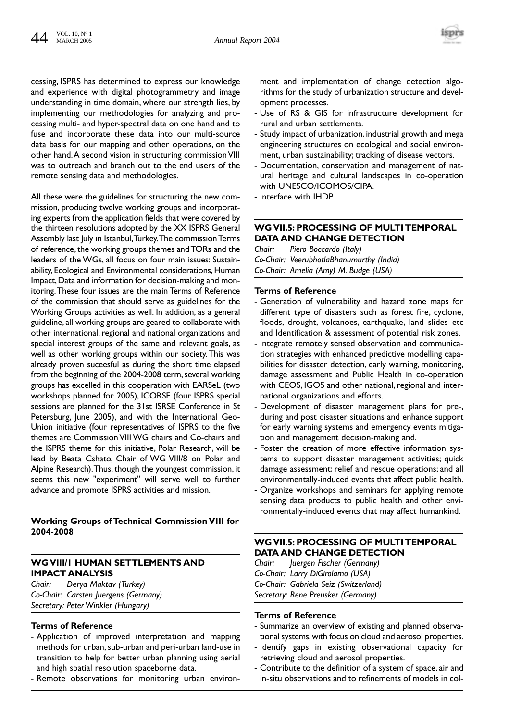

cessing, ISPRS has determined to express our knowledge and experience with digital photogrammetry and image understanding in time domain, where our strength lies, by implementing our methodologies for analyzing and processing multi- and hyper-spectral data on one hand and to fuse and incorporate these data into our multi-source data basis for our mapping and other operations, on the other hand.A second vision in structuring commission VIII was to outreach and branch out to the end users of the remote sensing data and methodologies.

All these were the guidelines for structuring the new commission, producing twelve working groups and incorporating experts from the application fields that were covered by the thirteen resolutions adopted by the XX ISPRS General Assembly last July in Istanbul,Turkey.The commission Terms of reference, the working groups themes and TORs and the leaders of the WGs, all focus on four main issues: Sustainability, Ecological and Environmental considerations, Human Impact,Data and information for decision-making and monitoring.These four issues are the main Terms of Reference of the commission that should serve as guidelines for the Working Groups activities as well. In addition, as a general guideline, all working groups are geared to collaborate with other international, regional and national organizations and special interest groups of the same and relevant goals, as well as other working groups within our society.This was already proven suceesful as during the short time elapsed from the beginning of the 2004-2008 term, several working groups has excelled in this cooperation with EARSeL (two workshops planned for 2005), ICORSE (four ISPRS special sessions are planned for the 31st ISRSE Conference in St Petersburg, June 2005), and with the International Geo-Union initiative (four representatives of ISPRS to the five themes are Commission VIII WG chairs and Co-chairs and the ISPRS theme for this initiative, Polar Research, will be lead by Beata Cshato, Chair of WG VIII/8 on Polar and Alpine Research).Thus, though the youngest commission, it seems this new "experiment" will serve well to further advance and promote ISPRS activities and mission.

# **Working Groups of Technical Commission VIII for 2004-2008**

# **WG VIII/1 HUMAN SETTLEMENTS AND IMPACT ANALYSIS**

*Chair: Derya Maktav (Turkey) Co-Chair: Carsten Juergens (Germany) Secretary: Peter Winkler (Hungary)*

# **Terms of Reference**

- Application of improved interpretation and mapping methods for urban, sub-urban and peri-urban land-use in transition to help for better urban planning using aerial and high spatial resolution spaceborne data.
- Remote observations for monitoring urban environ-

ment and implementation of change detection algorithms for the study of urbanization structure and development processes.

- Use of RS & GIS for infrastructure development for rural and urban settlements.
- Study impact of urbanization, industrial growth and mega engineering structures on ecological and social environment, urban sustainability; tracking of disease vectors.
- Documentation, conservation and management of natural heritage and cultural landscapes in co-operation with UNESCO/ICOMOS/CIPA.
- Interface with IHDP.

#### **WG VII.5: PROCESSING OF MULTI TEMPORAL DATA AND CHANGE DETECTION**

*Chair: Piero Boccardo (Italy) Co-Chair: VeerubhotlaBhanumurthy (India) Co-Chair: Amelia (Amy) M. Budge (USA)*

#### **Terms of Reference**

- Generation of vulnerability and hazard zone maps for different type of disasters such as forest fire, cyclone, floods, drought, volcanoes, earthquake, land slides etc and Identification & assessment of potential risk zones.
- Integrate remotely sensed observation and communication strategies with enhanced predictive modelling capabilities for disaster detection, early warning, monitoring, damage assessment and Public Health in co-operation with CEOS, IGOS and other national, regional and international organizations and efforts.
- Development of disaster management plans for pre-, during and post disaster situations and enhance support for early warning systems and emergency events mitigation and management decision-making and.
- Foster the creation of more effective information systems to support disaster management activities; quick damage assessment; relief and rescue operations; and all environmentally-induced events that affect public health.
- Organize workshops and seminars for applying remote sensing data products to public health and other environmentally-induced events that may affect humankind.

# **WG VII.5: PROCESSING OF MULTI TEMPORAL DATA AND CHANGE DETECTION**

*Chair: Juergen Fischer (Germany) Co-Chair: Larry DiGirolamo (USA) Co-Chair: Gabriela Seiz (Switzerland) Secretary: Rene Preusker (Germany)*

- Summarize an overview of existing and planned observational systems,with focus on cloud and aerosol properties.
- Identify gaps in existing observational capacity for retrieving cloud and aerosol properties.
- Contribute to the definition of a system of space, air and in-situ observations and to refinements of models in col-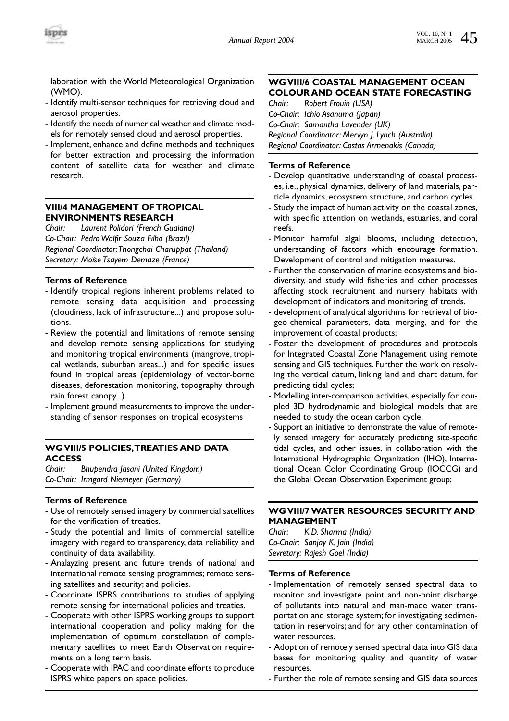laboration with the World Meteorological Organization (WMO).

- Identify multi-sensor techniques for retrieving cloud and aerosol properties.
- Identify the needs of numerical weather and climate models for remotely sensed cloud and aerosol properties.
- Implement, enhance and define methods and techniques for better extraction and processing the information content of satellite data for weather and climate research.

# **VIII/4 MANAGEMENT OF TROPICAL ENVIRONMENTS RESEARCH**

*Chair: Laurent Polidori (French Guaiana) Co-Chair: Pedro Walfir Souza Filho (Brazil) Regional Coordinator:Thongchai Charuppat (Thailand) Secretary: Moïse Tsayem Demaze (France)*

# **Terms of Reference**

- Identify tropical regions inherent problems related to remote sensing data acquisition and processing (cloudiness, lack of infrastructure...) and propose solutions.
- Review the potential and limitations of remote sensing and develop remote sensing applications for studying and monitoring tropical environments (mangrove, tropical wetlands, suburban areas...) and for specific issues found in tropical areas (epidemiology of vector-borne diseases, deforestation monitoring, topography through rain forest canopy...)
- Implement ground measurements to improve the understanding of sensor responses on tropical ecosystems

# **WG VIII/5 POLICIES,TREATIES AND DATA ACCESS**

*Chair: Bhupendra Jasani (United Kingdom) Co-Chair: Irmgard Niemeyer (Germany)*

# **Terms of Reference**

- Use of remotely sensed imagery by commercial satellites for the verification of treaties.
- Study the potential and limits of commercial satellite imagery with regard to transparency, data reliability and continuity of data availability.
- Analayzing present and future trends of national and international remote sensing programmes; remote sensing satellites and security; and policies.
- Coordinate ISPRS contributions to studies of applying remote sensing for international policies and treaties.
- Cooperate with other ISPRS working groups to support international cooperation and policy making for the implementation of optimum constellation of complementary satellites to meet Earth Observation requirements on a long term basis.
- Cooperate with IPAC and coordinate efforts to produce ISPRS white papers on space policies.

# **WG VIII/6 COASTAL MANAGEMENT OCEAN COLOUR AND OCEAN STATE FORECASTING**

*Chair: Robert Frouin (USA) Co-Chair: Ichio Asanuma (Japan) Co-Chair: Samantha Lavender (UK) Regional Coordinator: Mervyn J. Lynch (Australia) Regional Coordinator: Costas Armenakis (Canada)*

# **Terms of Reference**

- Develop quantitative understanding of coastal processes, i.e., physical dynamics, delivery of land materials, particle dynamics, ecosystem structure, and carbon cycles.
- Study the impact of human activity on the coastal zones, with specific attention on wetlands, estuaries, and coral reefs.
- Monitor harmful algal blooms, including detection, understanding of factors which encourage formation. Development of control and mitigation measures.
- Further the conservation of marine ecosystems and biodiversity, and study wild fisheries and other processes affecting stock recruitment and nursery habitats with development of indicators and monitoring of trends.
- development of analytical algorithms for retrieval of biogeo-chemical parameters, data merging, and for the improvement of coastal products;
- Foster the development of procedures and protocols for Integrated Coastal Zone Management using remote sensing and GIS techniques. Further the work on resolving the vertical datum, linking land and chart datum, for predicting tidal cycles;
- Modelling inter-comparison activities, especially for coupled 3D hydrodynamic and biological models that are needed to study the ocean carbon cycle.
- Support an initiative to demonstrate the value of remotely sensed imagery for accurately predicting site-specific tidal cycles, and other issues, in collaboration with the International Hydrographic Organization (IHO), International Ocean Color Coordinating Group (IOCCG) and the Global Ocean Observation Experiment group;

# **WG VIII/7 WATER RESOURCES SECURITY AND MANAGEMENT**

*Chair: K.D. Sharma (India) Co-Chair: Sanjay K. Jain (India) Sevretary: Rajesh Goel (India)*

- Implementation of remotely sensed spectral data to monitor and investigate point and non-point discharge of pollutants into natural and man-made water transportation and storage system; for investigating sedimentation in reservoirs; and for any other contamination of water resources.
- Adoption of remotely sensed spectral data into GIS data bases for monitoring quality and quantity of water resources.
- Further the role of remote sensing and GIS data sources

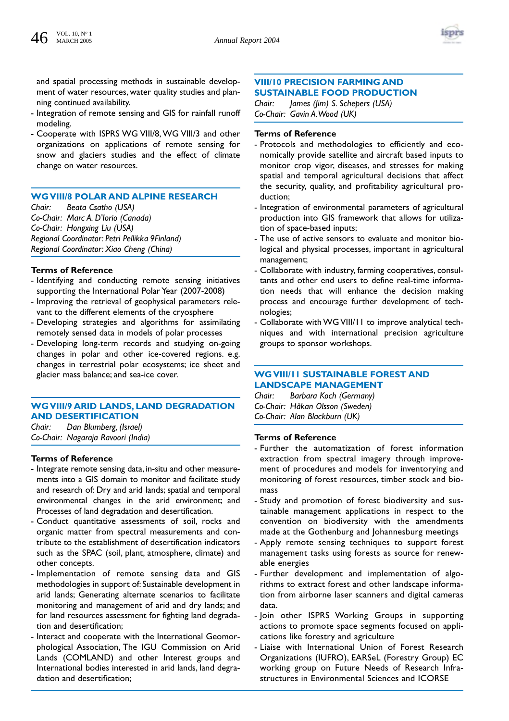

and spatial processing methods in sustainable development of water resources, water quality studies and planning continued availability.

- Integration of remote sensing and GIS for rainfall runoff modeling.
- Cooperate with ISPRS WG VIII/8, WG VIII/3 and other organizations on applications of remote sensing for snow and glaciers studies and the effect of climate change on water resources.

# **WG VIII/8 POLAR AND ALPINE RESEARCH**

*Chair: Beata Csatho (USA) Co-Chair: Marc A. D'Iorio (Canada) Co-Chair: Hongxing Liu (USA) Regional Coordinator: Petri Pellikka 9Finland) Regional Coordinator: Xiao Cheng (China)*

# **Terms of Reference**

- Identifying and conducting remote sensing initiatives supporting the International Polar Year (2007-2008)
- Improving the retrieval of geophysical parameters relevant to the different elements of the cryosphere
- Developing strategies and algorithms for assimilating remotely sensed data in models of polar processes
- Developing long-term records and studying on-going changes in polar and other ice-covered regions. e.g. changes in terrestrial polar ecosystems; ice sheet and glacier mass balance; and sea-ice cover.

# **WG VIII/9 ARID LANDS, LAND DEGRADATION AND DESERTIFICATION**

*Chair: Dan Blumberg, (Israel) Co-Chair: Nagaraja Ravoori (India)*

#### **Terms of Reference**

- Integrate remote sensing data, in-situ and other measurements into a GIS domain to monitor and facilitate study and research of: Dry and arid lands; spatial and temporal environmental changes in the arid environment; and Processes of land degradation and desertification.
- Conduct quantitative assessments of soil, rocks and organic matter from spectral measurements and contribute to the establishment of desertification indicators such as the SPAC (soil, plant, atmosphere, climate) and other concepts.
- Implementation of remote sensing data and GIS methodologies in support of: Sustainable development in arid lands; Generating alternate scenarios to facilitate monitoring and management of arid and dry lands; and for land resources assessment for fighting land degradation and desertification;
- Interact and cooperate with the International Geomorphological Association, The IGU Commission on Arid Lands (COMLAND) and other Interest groups and International bodies interested in arid lands, land degradation and desertification;

# **VIII/10 PRECISION FARMING AND SUSTAINABLE FOOD PRODUCTION**

*Chair: James (Jim) S. Schepers (USA) Co-Chair: Gavin A.Wood (UK)*

#### **Terms of Reference**

- Protocols and methodologies to efficiently and economically provide satellite and aircraft based inputs to monitor crop vigor, diseases, and stresses for making spatial and temporal agricultural decisions that affect the security, quality, and profitability agricultural production;
- Integration of environmental parameters of agricultural production into GIS framework that allows for utilization of space-based inputs;
- The use of active sensors to evaluate and monitor biological and physical processes, important in agricultural management;
- Collaborate with industry, farming cooperatives, consultants and other end users to define real-time information needs that will enhance the decision making process and encourage further development of technologies;
- Collaborate with WG VIII/11 to improve analytical techniques and with international precision agriculture groups to sponsor workshops.

# **WG VIII/11 SUSTAINABLE FOREST AND LANDSCAPE MANAGEMENT**

*Chair: Barbara Koch (Germany) Co-Chair: Håkan Olsson (Sweden) Co-Chair: Alan Blackburn (UK)*

- Further the automatization of forest information extraction from spectral imagery through improvement of procedures and models for inventorying and monitoring of forest resources, timber stock and biomass
- Study and promotion of forest biodiversity and sustainable management applications in respect to the convention on biodiversity with the amendments made at the Gothenburg and Johannesburg meetings
- Apply remote sensing techniques to support forest management tasks using forests as source for renewable energies
- Further development and implementation of algorithms to extract forest and other landscape information from airborne laser scanners and digital cameras data.
- Join other ISPRS Working Groups in supporting actions to promote space segments focused on applications like forestry and agriculture
- Liaise with International Union of Forest Research Organizations (IUFRO), EARSeL (Forestry Group) EC working group on Future Needs of Research Infrastructures in Environmental Sciences and ICORSE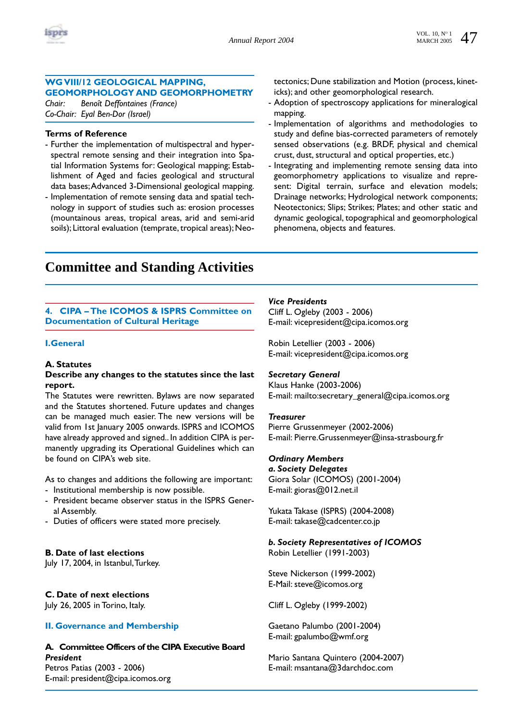

# **WG VIII/12 GEOLOGICAL MAPPING, GEOMORPHOLOGY AND GEOMORPHOMETRY**

*Chair: Benoît Deffontaines (France) Co-Chair: Eyal Ben-Dor (Israel)*

#### **Terms of Reference**

- Further the implementation of multispectral and hyperspectral remote sensing and their integration into Spatial Information Systems for: Geological mapping; Establishment of Aged and facies geological and structural data bases;Advanced 3-Dimensional geological mapping.
- Implementation of remote sensing data and spatial technology in support of studies such as: erosion processes (mountainous areas, tropical areas, arid and semi-arid soils); Littoral evaluation (temprate, tropical areas); Neo-

tectonics; Dune stabilization and Motion (process, kineticks); and other geomorphological research.

- Adoption of spectroscopy applications for mineralogical mapping.
- Implementation of algorithms and methodologies to study and define bias-corrected parameters of remotely sensed observations (e.g. BRDF, physical and chemical crust, dust, structural and optical properties, etc.)
- Integrating and implementing remote sensing data into geomorphometry applications to visualize and represent: Digital terrain, surface and elevation models; Drainage networks; Hydrological network components; Neotectonics; Slips; Strikes; Plates; and other static and dynamic geological, topographical and geomorphological phenomena, objects and features.

# **Committee and Standing Activities**

# **4. CIPA – The ICOMOS & ISPRS Committee on Documentation of Cultural Heritage**

#### **I.General**

#### **A. Statutes**

#### **Describe any changes to the statutes since the last report.**

The Statutes were rewritten. Bylaws are now separated and the Statutes shortened. Future updates and changes can be managed much easier. The new versions will be valid from 1st January 2005 onwards. ISPRS and ICOMOS have already approved and signed.. In addition CIPA is permanently upgrading its Operational Guidelines which can be found on CIPA's web site.

As to changes and additions the following are important:

- Institutional membership is now possible.
- President became observer status in the ISPRS General Assembly.
- Duties of officers were stated more precisely.

# **B. Date of last elections**

July 17, 2004, in Istanbul,Turkey.

# **C. Date of next elections**

July 26, 2005 in Torino, Italy.

# **II. Governance and Membership**

# **A. Committee Officers of the CIPA Executive Board** *President* Petros Patias (2003 - 2006)

E-mail: president@cipa.icomos.org

# *Vice Presidents*

Cliff L. Ogleby (2003 - 2006) E-mail: vicepresident@cipa.icomos.org

Robin Letellier (2003 - 2006) E-mail: vicepresident@cipa.icomos.org

# *Secretary General*

Klaus Hanke (2003-2006) E-mail: mailto:secretary\_general@cipa.icomos.org

#### *Treasurer*

Pierre Grussenmeyer (2002-2006) E-mail: Pierre.Grussenmeyer@insa-strasbourg.fr

# *Ordinary Members*

*a. Society Delegates* Giora Solar (ICOMOS) (2001-2004) E-mail: gioras@012.net.il

Yukata Takase (ISPRS) (2004-2008) E-mail: takase@cadcenter.co.jp

# *b. Society Representatives of ICOMOS*

Robin Letellier (1991-2003)

Steve Nickerson (1999-2002) E-Mail: steve@icomos.org

Cliff L. Ogleby (1999-2002)

Gaetano Palumbo (2001-2004) E-mail: gpalumbo@wmf.org

Mario Santana Quintero (2004-2007) E-mail: msantana@3darchdoc.com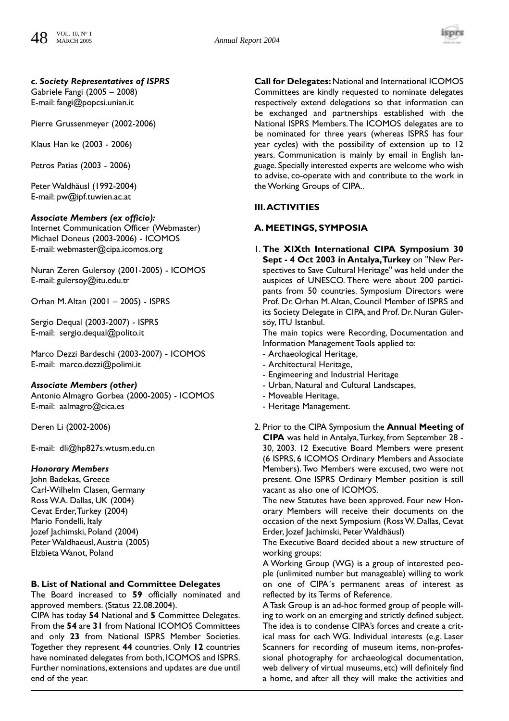

# *c. Society Representatives of ISPRS*

Gabriele Fangi (2005 – 2008) E-mail: fangi@popcsi.unian.it

Pierre Grussenmeyer (2002-2006)

Klaus Han ke (2003 - 2006)

Petros Patias (2003 - 2006)

Peter Waldhäusl (1992-2004) E-mail: pw@ipf.tuwien.ac.at

#### *Associate Members (ex officio):*

Internet Communication Officer (Webmaster) Michael Doneus (2003-2006) - ICOMOS E-mail: webmaster@cipa.icomos.org

Nuran Zeren Gulersoy (2001-2005) - ICOMOS E-mail: gulersoy@itu.edu.tr

Orhan M.Altan (2001 – 2005) - ISPRS

Sergio Dequal (2003-2007) - ISPRS E-mail: sergio.dequal@polito.it

Marco Dezzi Bardeschi (2003-2007) - ICOMOS E-mail: marco.dezzi@polimi.it

#### *Associate Members (other)*

Antonio Almagro Gorbea (2000-2005) - ICOMOS E-mail: aalmagro@cica.es

Deren Li (2002-2006)

E-mail: dli@hp827s.wtusm.edu.cn

# *Honorary Members*

John Badekas, Greece Carl-Wilhelm Clasen, Germany Ross W.A. Dallas, UK (2004) Cevat Erder,Turkey (2004) Mario Fondelli, Italy Jozef Jachimski, Poland (2004) Peter Waldhaeusl,Austria (2005) Elzbieta Wanot, Poland

#### **B. List of National and Committee Delegates**

The Board increased to **59** officially nominated and approved members. (Status 22.08.2004).

CIPA has today **54** National and **5** Committee Delegates. From the **54** are **31** from National ICOMOS Committees and only **23** from National ISPRS Member Societies. Together they represent **44** countries. Only **12** countries have nominated delegates from both, ICOMOS and ISPRS. Further nominations, extensions and updates are due until end of the year.

**Call for Delegates:**National and International ICOMOS Committees are kindly requested to nominate delegates respectively extend delegations so that information can be exchanged and partnerships established with the National ISPRS Members.The ICOMOS delegates are to be nominated for three years (whereas ISPRS has four year cycles) with the possibility of extension up to 12 years. Communication is mainly by email in English language. Specially interested experts are welcome who wish to advise, co-operate with and contribute to the work in the Working Groups of CIPA..

# **III.ACTIVITIES**

# **A. MEETINGS, SYMPOSIA**

1. **The XIXth International CIPA Symposium 30 Sept - 4 Oct 2003 in Antalya,Turkey** on "New Perspectives to Save Cultural Heritage" was held under the auspices of UNESCO. There were about 200 participants from 50 countries. Symposium Directors were Prof. Dr. Orhan M.Altan, Council Member of ISPRS and its Society Delegate in CIPA, and Prof. Dr. Nuran Gülersöy, ITU Istanbul.

The main topics were Recording, Documentation and Information Management Tools applied to:

- Archaeological Heritage,
- Architectural Heritage,
- Engimeering and Industrial Heritage
- Urban, Natural and Cultural Landscapes,
- Moveable Heritage,
- Heritage Management.
- 2. Prior to the CIPA Symposium the **Annual Meeting of CIPA** was held in Antalya,Turkey, from September 28 - 30, 2003. 12 Executive Board Members were present (6 ISPRS, 6 ICOMOS Ordinary Members and Associate Members).Two Members were excused, two were not present. One ISPRS Ordinary Member position is still vacant as also one of ICOMOS.

The new Statutes have been approved. Four new Honorary Members will receive their documents on the occasion of the next Symposium (Ross W. Dallas, Cevat Erder, Jozef Jachimski, Peter Waldhäusl)

The Executive Board decided about a new structure of working groups:

A Working Group (WG) is a group of interested people (unlimited number but manageable) willing to work on one of CIPA´s permanent areas of interest as reflected by its Terms of Reference.

A Task Group is an ad-hoc formed group of people willing to work on an emerging and strictly defined subject. The idea is to condense CIPA's forces and create a critical mass for each WG. Individual interests (e.g. Laser Scanners for recording of museum items, non-professional photography for archaeological documentation, web delivery of virtual museums, etc) will definitely find a home, and after all they will make the activities and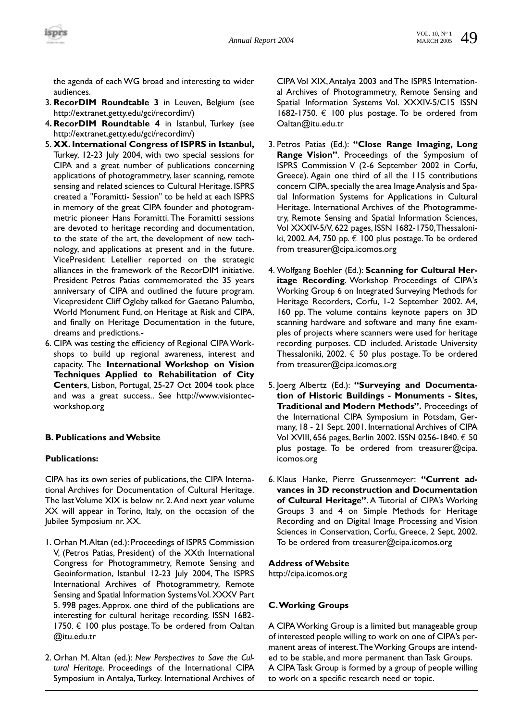

the agenda of each WG broad and interesting to wider audiences.

- 3. **RecorDIM Roundtable 3** in Leuven, Belgium (see http://extranet.getty.edu/gci/recordim/)
- 4**. RecorDIM Roundtable 4** in Istanbul, Turkey (see http://extranet.getty.edu/gci/recordim/)
- 5. **XX. International Congress of ISPRS in Istanbul,** Turkey, 12-23 July 2004, with two special sessions for CIPA and a great number of publications concerning applications of photogrammetry, laser scanning, remote sensing and related sciences to Cultural Heritage. ISPRS created a "Foramitti- Session" to be held at each ISPRS in memory of the great CIPA founder and photogrammetric pioneer Hans Foramitti. The Foramitti sessions are devoted to heritage recording and documentation, to the state of the art, the development of new technology, and applications at present and in the future. VicePresident Letellier reported on the strategic alliances in the framework of the RecorDIM initiative. President Petros Patias commemorated the 35 years anniversary of CIPA and outlined the future program. Vicepresident Cliff Ogleby talked for Gaetano Palumbo, World Monument Fund, on Heritage at Risk and CIPA, and finally on Heritage Documentation in the future, dreams and predictions.-
- 6. CIPA was testing the efficiency of Regional CIPA Workshops to build up regional awareness, interest and capacity. The **International Workshop on Vision Techniques Applied to Rehabilitation of City Centers**, Lisbon, Portugal, 25-27 Oct 2004 took place and was a great success.. See http://www.visiontecworkshop.org

# **B. Publications and Website**

# **Publications:**

CIPA has its own series of publications, the CIPA International Archives for Documentation of Cultural Heritage. The last Volume XIX is below nr. 2.And next year volume XX will appear in Torino, Italy, on the occasion of the Jubilee Symposium nr. XX.

- 1. Orhan M.Altan (ed.): Proceedings of ISPRS Commission V, (Petros Patias, President) of the XXth International Congress for Photogrammetry, Remote Sensing and Geoinformation, Istanbul 12-23 July 2004, The ISPRS International Archives of Photogrammetry, Remote Sensing and Spatial Information Systems Vol. XXXV Part 5. 998 pages. Approx. one third of the publications are interesting for cultural heritage recording. ISSN 1682- 1750.  $\epsilon$  100 plus postage. To be ordered from Oaltan @itu.edu.tr
- 2. Orhan M. Altan (ed.): *New Perspectives to Save the Cultural Heritage*. Proceedings of the International CIPA Symposium in Antalya, Turkey. International Archives of

CIPA Vol XIX,Antalya 2003 and The ISPRS International Archives of Photogrammetry, Remote Sensing and Spatial Information Systems Vol. XXXIV-5/C15 ISSN 1682-1750. € 100 plus postage. To be ordered from Oaltan@itu.edu.tr

- 3. Petros Patias (Ed.): **"Close Range Imaging, Long Range Vision"**. Proceedings of the Symposium of ISPRS Commission V (2-6 September 2002 in Corfu, Greece). Again one third of all the 115 contributions concern CIPA, specially the area Image Analysis and Spatial Information Systems for Applications in Cultural Heritage. International Archives of the Photogrammetry, Remote Sensing and Spatial Information Sciences, Vol XXXIV-5/V, 622 pages, ISSN 1682-1750,Thessaloniki, 2002.A4, 750 pp. € 100 plus postage.To be ordered from treasurer@cipa.icomos.org
- 4. Wolfgang Boehler (Ed.): **Scanning for Cultural Heritage Recording**. Workshop Proceedings of CIPA's Working Group 6 on Integrated Surveying Methods for Heritage Recorders, Corfu, 1-2 September 2002. A4, 160 pp. The volume contains keynote papers on 3D scanning hardware and software and many fine examples of projects where scanners were used for heritage recording purposes. CD included. Aristotle University Thessaloniki, 2002.  $\epsilon$  50 plus postage. To be ordered from treasurer@cipa.icomos.org
- 5. Joerg Albertz (Ed.): **"Surveying and Documentation of Historic Buildings - Monuments - Sites, Traditional and Modern Methods".** Proceedings of the International CIPA Symposium in Potsdam, Germany, 18 - 21 Sept. 2001. International Archives of CIPA Vol XVIII, 656 pages, Berlin 2002. ISSN 0256-1840. € 50 plus postage. To be ordered from treasurer@cipa. icomos.org
- 6. Klaus Hanke, Pierre Grussenmeyer: **"Current advances in 3D reconstruction and Documentation of Cultural Heritage"**. A Tutorial of CIPA's Working Groups 3 and 4 on Simple Methods for Heritage Recording and on Digital Image Processing and Vision Sciences in Conservation, Corfu, Greece, 2 Sept. 2002. To be ordered from treasurer@cipa.icomos.org

# **Address of Website**

http://cipa.icomos.org

# **C.Working Groups**

A CIPA Working Group is a limited but manageable group of interested people willing to work on one of CIPA's permanent areas of interest.The Working Groups are intended to be stable, and more permanent than Task Groups. A CIPA Task Group is formed by a group of people willing to work on a specific research need or topic.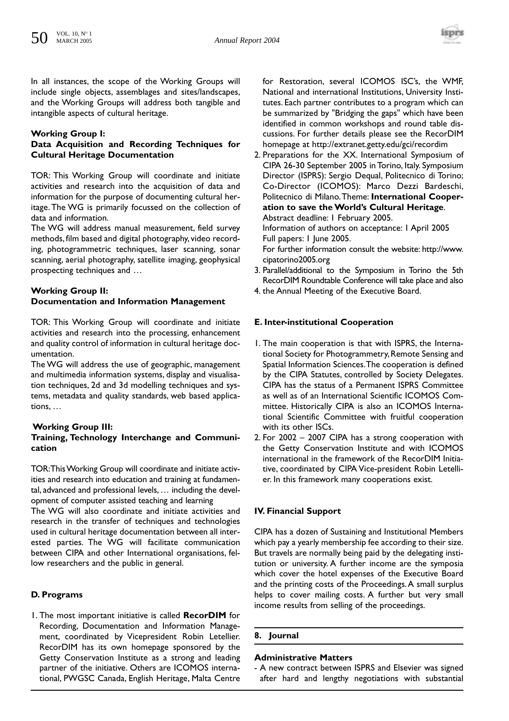

In all instances, the scope of the Working Groups will include single objects, assemblages and sites/landscapes, and the Working Groups will address both tangible and intangible aspects of cultural heritage.

# **Working Group I:**

# **Data Acquisition and Recording Techniques for Cultural Heritage Documentation**

TOR: This Working Group will coordinate and initiate activities and research into the acquisition of data and information for the purpose of documenting cultural heritage. The WG is primarily focussed on the collection of data and information.

The WG will address manual measurement, field survey methods, film based and digital photography, video recording, photogrammetric techniques, laser scanning, sonar scanning, aerial photography, satellite imaging, geophysical prospecting techniques and …

# **Working Group II: Documentation and Information Management**

TOR: This Working Group will coordinate and initiate activities and research into the processing, enhancement and quality control of information in cultural heritage documentation.

The WG will address the use of geographic, management and multimedia information systems, display and visualisation techniques, 2d and 3d modelling techniques and systems, metadata and quality standards, web based applications, …

#### **Working Group III: Training, Technology Interchange and Communication**

TOR:This Working Group will coordinate and initiate activities and research into education and training at fundamental, advanced and professional levels, … including the development of computer assisted teaching and learning The WG will also coordinate and initiate activities and research in the transfer of techniques and technologies

used in cultural heritage documentation between all interested parties. The WG will facilitate communication between CIPA and other International organisations, fellow researchers and the public in general.

# **D. Programs**

1. The most important initiative is called **RecorDIM** for Recording, Documentation and Information Management, coordinated by Vicepresident Robin Letellier. RecorDIM has its own homepage sponsored by the Getty Conservation Institute as a strong and leading partner of the initiative. Others are ICOMOS international, PWGSC Canada, English Heritage, Malta Centre for Restoration, several ICOMOS ISC's, the WMF, National and international Institutions, University Institutes. Each partner contributes to a program which can be summarized by "Bridging the gaps" which have been identified in common workshops and round table discussions. For further details please see the RecorDIM homepage at http://extranet.getty.edu/gci/recordim

2. Preparations for the XX. International Symposium of CIPA 26-30 September 2005 in Torino, Italy. Symposium Director (ISPRS): Sergio Dequal, Politecnico di Torino; Co-Director (ICOMOS): Marco Dezzi Bardeschi, Politecnico di Milano.Theme: **International Cooperation to save the World's Cultural Heritage**. Abstract deadline: 1 February 2005.

Information of authors on acceptance: 1 April 2005 Full papers: 1 June 2005.

For further information consult the website: http://www. cipatorino2005.org

- 3. Parallel/additional to the Symposium in Torino the 5th RecorDIM Roundtable Conference will take place and also
- 4. the Annual Meeting of the Executive Board.

# **E. Inter-institutional Cooperation**

- 1. The main cooperation is that with ISPRS, the International Society for Photogrammetry, Remote Sensing and Spatial Information Sciences.The cooperation is defined by the CIPA Statutes, controlled by Society Delegates. CIPA has the status of a Permanent ISPRS Committee as well as of an International Scientific ICOMOS Committee. Historically CIPA is also an ICOMOS International Scientific Committee with fruitful cooperation with its other ISCs.
- 2. For 2002 2007 CIPA has a strong cooperation with the Getty Conservation Institute and with ICOMOS international in the framework of the RecorDIM Initiative, coordinated by CIPA Vice-president Robin Letellier. In this framework many cooperations exist.

# **IV. Financial Support**

CIPA has a dozen of Sustaining and Institutional Members which pay a yearly membership fee according to their size. But travels are normally being paid by the delegating institution or university. A further income are the symposia which cover the hotel expenses of the Executive Board and the printing costs of the Proceedings.A small surplus helps to cover mailing costs. A further but very small income results from selling of the proceedings.

# **8. Journal**

# **Administrative Matters**

- A new contract between ISPRS and Elsevier was signed after hard and lengthy negotiations with substantial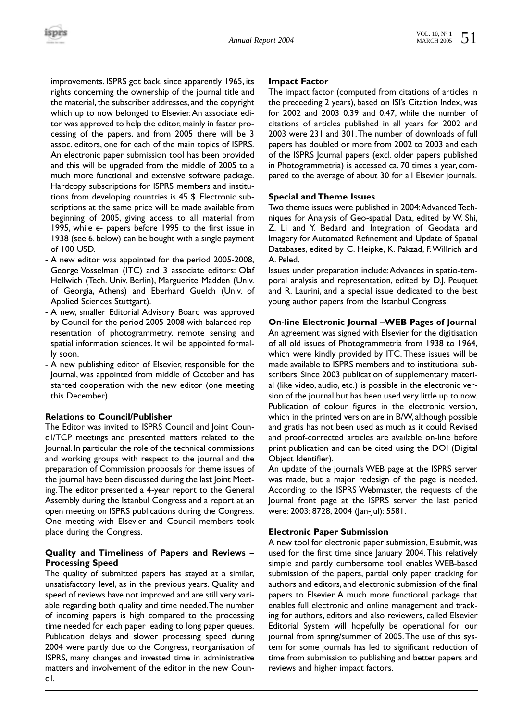improvements. ISPRS got back, since apparently 1965, its rights concerning the ownership of the journal title and the material, the subscriber addresses, and the copyright which up to now belonged to Elsevier.An associate editor was approved to help the editor, mainly in faster processing of the papers, and from 2005 there will be 3 assoc. editors, one for each of the main topics of ISPRS. An electronic paper submission tool has been provided and this will be upgraded from the middle of 2005 to a much more functional and extensive software package. Hardcopy subscriptions for ISPRS members and institutions from developing countries is 45 \$. Electronic subscriptions at the same price will be made available from beginning of 2005, giving access to all material from 1995, while e- papers before 1995 to the first issue in 1938 (see 6. below) can be bought with a single payment of 100 USD.

- A new editor was appointed for the period 2005-2008, George Vosselman (ITC) and 3 associate editors: Olaf Hellwich (Tech. Univ. Berlin), Marguerite Madden (Univ. of Georgia, Athens) and Eberhard Guelch (Univ. of Applied Sciences Stuttgart).
- A new, smaller Editorial Advisory Board was approved by Council for the period 2005-2008 with balanced representation of photogrammetry, remote sensing and spatial information sciences. It will be appointed formally soon.
- A new publishing editor of Elsevier, responsible for the Journal, was appointed from middle of October and has started cooperation with the new editor (one meeting this December).

# **Relations to Council/Publisher**

The Editor was invited to ISPRS Council and Joint Council/TCP meetings and presented matters related to the Journal. In particular the role of the technical commissions and working groups with respect to the journal and the preparation of Commission proposals for theme issues of the journal have been discussed during the last Joint Meeting.The editor presented a 4-year report to the General Assembly during the Istanbul Congress and a report at an open meeting on ISPRS publications during the Congress. One meeting with Elsevier and Council members took place during the Congress.

# **Quality and Timeliness of Papers and Reviews – Processing Speed**

The quality of submitted papers has stayed at a similar, unsatisfactory level, as in the previous years. Quality and speed of reviews have not improved and are still very variable regarding both quality and time needed.The number of incoming papers is high compared to the processing time needed for each paper leading to long paper queues. Publication delays and slower processing speed during 2004 were partly due to the Congress, reorganisation of ISPRS, many changes and invested time in administrative matters and involvement of the editor in the new Council.

#### **Impact Factor**

The impact factor (computed from citations of articles in the preceeding 2 years), based on ISI's Citation Index, was for 2002 and 2003 0.39 and 0.47, while the number of citations of articles published in all years for 2002 and 2003 were 231 and 301.The number of downloads of full papers has doubled or more from 2002 to 2003 and each of the ISPRS Journal papers (excl. older papers published in Photogrammetria) is accessed ca. 70 times a year, compared to the average of about 30 for all Elsevier journals.

#### **Special and Theme Issues**

Two theme issues were published in 2004:Advanced Techniques for Analysis of Geo-spatial Data, edited by W. Shi, Z. Li and Y. Bedard and Integration of Geodata and Imagery for Automated Refinement and Update of Spatial Databases, edited by C. Heipke, K. Pakzad, F.Willrich and A. Peled.

Issues under preparation include:Advances in spatio-temporal analysis and representation, edited by D.J. Peuquet and R. Laurini, and a special issue dedicated to the best young author papers from the Istanbul Congress.

#### **On-line Electronic Journal –WEB Pages of Journal**

An agreement was signed with Elsevier for the digitisation of all old issues of Photogrammetria from 1938 to 1964, which were kindly provided by ITC. These issues will be made available to ISPRS members and to institutional subscribers. Since 2003 publication of supplementary material (like video, audio, etc.) is possible in the electronic version of the journal but has been used very little up to now. Publication of colour figures in the electronic version, which in the printed version are in B/W, although possible and gratis has not been used as much as it could. Revised and proof-corrected articles are available on-line before print publication and can be cited using the DOI (Digital Object Identifier).

An update of the journal's WEB page at the ISPRS server was made, but a major redesign of the page is needed. According to the ISPRS Webmaster, the requests of the Journal front page at the ISPRS server the last period were: 2003: 8728, 2004 (Jan-Jul): 5581.

#### **Electronic Paper Submission**

A new tool for electronic paper submission, EIsubmit, was used for the first time since January 2004. This relatively simple and partly cumbersome tool enables WEB-based submission of the papers, partial only paper tracking for authors and editors, and electronic submission of the final papers to Elsevier. A much more functional package that enables full electronic and online management and tracking for authors, editors and also reviewers, called Elsevier Editorial System will hopefully be operational for our journal from spring/summer of 2005.The use of this system for some journals has led to significant reduction of time from submission to publishing and better papers and reviews and higher impact factors.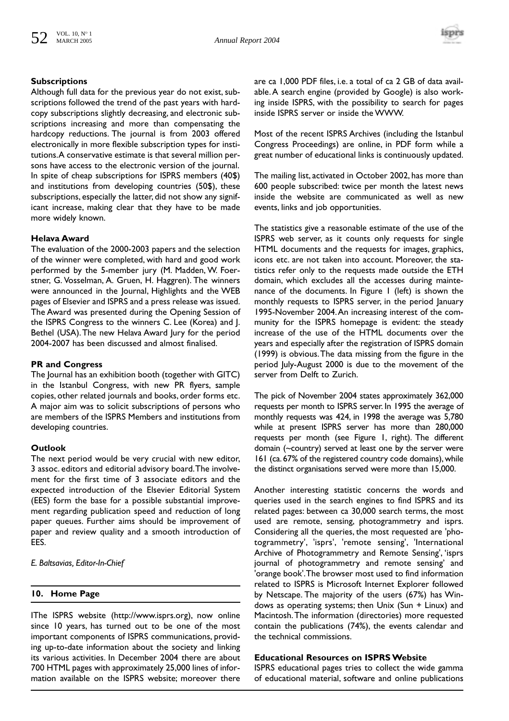

#### **Subscriptions**

Although full data for the previous year do not exist, subscriptions followed the trend of the past years with hardcopy subscriptions slightly decreasing, and electronic subscriptions increasing and more than compensating the hardcopy reductions. The journal is from 2003 offered electronically in more flexible subscription types for institutions.A conservative estimate is that several million persons have access to the electronic version of the journal. In spite of cheap subscriptions for ISPRS members (40\$) and institutions from developing countries (50\$), these subscriptions, especially the latter, did not show any significant increase, making clear that they have to be made more widely known.

#### **Helava Award**

The evaluation of the 2000-2003 papers and the selection of the winner were completed, with hard and good work performed by the 5-member jury (M. Madden, W. Foerstner, G. Vosselman, A. Gruen, H. Haggren). The winners were announced in the Journal, Highlights and the WEB pages of Elsevier and ISPRS and a press release was issued. The Award was presented during the Opening Session of the ISPRS Congress to the winners C. Lee (Korea) and J. Bethel (USA).The new Helava Award Jury for the period 2004-2007 has been discussed and almost finalised.

#### **PR and Congress**

The Journal has an exhibition booth (together with GITC) in the Istanbul Congress, with new PR flyers, sample copies, other related journals and books, order forms etc. A major aim was to solicit subscriptions of persons who are members of the ISPRS Members and institutions from developing countries.

#### **Outlook**

The next period would be very crucial with new editor, 3 assoc. editors and editorial advisory board.The involvement for the first time of 3 associate editors and the expected introduction of the Elsevier Editorial System (EES) form the base for a possible substantial improvement regarding publication speed and reduction of long paper queues. Further aims should be improvement of paper and review quality and a smooth introduction of EES.

*E. Baltsavias, Editor-In-Chief*

#### **10. Home Page**

IThe ISPRS website (http://www.isprs.org), now online since 10 years, has turned out to be one of the most important components of ISPRS communications, providing up-to-date information about the society and linking its various activities. In December 2004 there are about 700 HTML pages with approximately 25,000 lines of information available on the ISPRS website; moreover there

are ca 1,000 PDF files, i.e. a total of ca 2 GB of data available.A search engine (provided by Google) is also working inside ISPRS, with the possibility to search for pages inside ISPRS server or inside the WWW.

Most of the recent ISPRS Archives (including the Istanbul Congress Proceedings) are online, in PDF form while a great number of educational links is continuously updated.

The mailing list, activated in October 2002, has more than 600 people subscribed: twice per month the latest news inside the website are communicated as well as new events, links and job opportunities.

The statistics give a reasonable estimate of the use of the ISPRS web server, as it counts only requests for single HTML documents and the requests for images, graphics, icons etc. are not taken into account. Moreover, the statistics refer only to the requests made outside the ETH domain, which excludes all the accesses during maintenance of the documents. In Figure 1 (left) is shown the monthly requests to ISPRS server, in the period January 1995-November 2004.An increasing interest of the community for the ISPRS homepage is evident: the steady increase of the use of the HTML documents over the years and especially after the registration of ISPRS domain (1999) is obvious.The data missing from the figure in the period July-August 2000 is due to the movement of the server from Delft to Zurich.

The pick of November 2004 states approximately 362,000 requests per month to ISPRS server. In 1995 the average of monthly requests was 424, in 1998 the average was 5,780 while at present ISPRS server has more than 280,000 requests per month (see Figure 1, right). The different domain (~country) served at least one by the server were 161 (ca. 67% of the registered country code domains), while the distinct organisations served were more than 15,000.

Another interesting statistic concerns the words and queries used in the search engines to find ISPRS and its related pages: between ca 30,000 search terms, the most used are remote, sensing, photogrammetry and isprs. Considering all the queries, the most requested are 'photogrammetry', 'isprs', 'remote sensing', 'International Archive of Photogrammetry and Remote Sensing', 'isprs journal of photogrammetry and remote sensing' and 'orange book'.The browser most used to find information related to ISPRS is Microsoft Internet Explorer followed by Netscape. The majority of the users (67%) has Windows as operating systems; then Unix (Sun + Linux) and Macintosh.The information (directories) more requested contain the publications (74%), the events calendar and the technical commissions.

#### **Educational Resources on ISPRS Website**

ISPRS educational pages tries to collect the wide gamma of educational material, software and online publications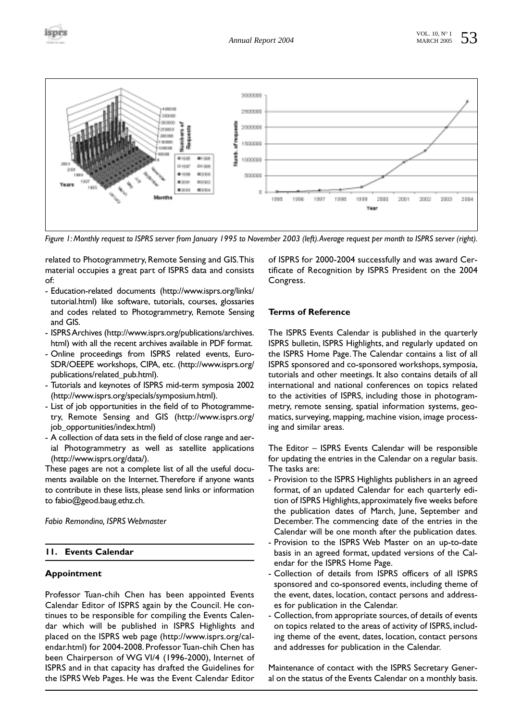



*Figure 1: Monthly request to ISPRS server from January 1995 to November 2003 (left).Average request per month to ISPRS server (right).*

related to Photogrammetry, Remote Sensing and GIS.This material occupies a great part of ISPRS data and consists of:

- Education-related documents (http://www.isprs.org/links/ tutorial.html) like software, tutorials, courses, glossaries and codes related to Photogrammetry, Remote Sensing and GIS.
- ISPRS Archives (http://www.isprs.org/publications/archives. html) with all the recent archives available in PDF format.
- Online proceedings from ISPRS related events, Euro-SDR/OEEPE workshops, CIPA, etc. (http://www.isprs.org/ publications/related\_pub.html).
- Tutorials and keynotes of ISPRS mid-term symposia 2002 (http://www.isprs.org/specials/symposium.html).
- List of job opportunities in the field of to Photogrammetry, Remote Sensing and GIS (http://www.isprs.org/ job\_opportunities/index.html)
- A collection of data sets in the field of close range and aerial Photogrammetry as well as satellite applications (http://www.isprs.org/data/).

These pages are not a complete list of all the useful documents available on the Internet.Therefore if anyone wants to contribute in these lists, please send links or information to fabio@geod.baug.ethz.ch.

*Fabio Remondino, ISPRS Webmaster*

# **11. Events Calendar**

#### **Appointment**

Professor Tuan-chih Chen has been appointed Events Calendar Editor of ISPRS again by the Council. He continues to be responsible for compiling the Events Calendar which will be published in ISPRS Highlights and placed on the ISPRS web page (http://www.isprs.org/calendar.html) for 2004-2008. Professor Tuan-chih Chen has been Chairperson of WG VI/4 (1996-2000), Internet of ISPRS and in that capacity has drafted the Guidelines for the ISPRS Web Pages. He was the Event Calendar Editor

of ISPRS for 2000-2004 successfully and was award Certificate of Recognition by ISPRS President on the 2004 Congress.

#### **Terms of Reference**

The ISPRS Events Calendar is published in the quarterly ISPRS bulletin, ISPRS Highlights, and regularly updated on the ISPRS Home Page.The Calendar contains a list of all ISPRS sponsored and co-sponsored workshops, symposia, tutorials and other meetings. It also contains details of all international and national conferences on topics related to the activities of ISPRS, including those in photogrammetry, remote sensing, spatial information systems, geomatics, surveying, mapping, machine vision, image processing and similar areas.

The Editor – ISPRS Events Calendar will be responsible for updating the entries in the Calendar on a regular basis. The tasks are:

- Provision to the ISPRS Highlights publishers in an agreed format, of an updated Calendar for each quarterly edition of ISPRS Highlights, approximately five weeks before the publication dates of March, June, September and December. The commencing date of the entries in the Calendar will be one month after the publication dates.
- Provision to the ISPRS Web Master on an up-to-date basis in an agreed format, updated versions of the Calendar for the ISPRS Home Page.
- Collection of details from ISPRS officers of all ISPRS sponsored and co-sponsored events, including theme of the event, dates, location, contact persons and addresses for publication in the Calendar.
- Collection, from appropriate sources, of details of events on topics related to the areas of activity of ISPRS, including theme of the event, dates, location, contact persons and addresses for publication in the Calendar.

Maintenance of contact with the ISPRS Secretary General on the status of the Events Calendar on a monthly basis.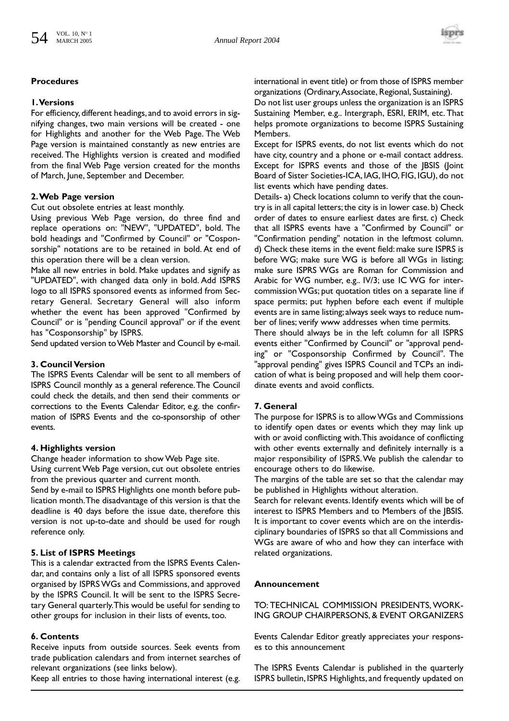

# **Procedures**

# **1.Versions**

For efficiency, different headings, and to avoid errors in signifying changes, two main versions will be created - one for Highlights and another for the Web Page. The Web Page version is maintained constantly as new entries are received. The Highlights version is created and modified from the final Web Page version created for the months of March, June, September and December.

# **2.Web Page version**

#### Cut out obsolete entries at least monthly.

Using previous Web Page version, do three find and replace operations on: "NEW", "UPDATED", bold. The bold headings and "Confirmed by Council" or "Cosponsorship" notations are to be retained in bold. At end of this operation there will be a clean version.

Make all new entries in bold. Make updates and signify as "UPDATED", with changed data only in bold. Add ISPRS logo to all ISPRS sponsored events as informed from Secretary General. Secretary General will also inform whether the event has been approved "Confirmed by Council" or is "pending Council approval" or if the event has "Cosponsorship" by ISPRS.

Send updated version to Web Master and Council by e-mail.

# **3. Council Version**

The ISPRS Events Calendar will be sent to all members of ISPRS Council monthly as a general reference.The Council could check the details, and then send their comments or corrections to the Events Calendar Editor, e.g. the confirmation of ISPRS Events and the co-sponsorship of other events.

# **4. Highlights version**

Change header information to show Web Page site. Using current Web Page version, cut out obsolete entries from the previous quarter and current month.

Send by e-mail to ISPRS Highlights one month before publication month.The disadvantage of this version is that the deadline is 40 days before the issue date, therefore this version is not up-to-date and should be used for rough reference only.

# **5. List of ISPRS Meetings**

This is a calendar extracted from the ISPRS Events Calendar, and contains only a list of all ISPRS sponsored events organised by ISPRS WGs and Commissions, and approved by the ISPRS Council. It will be sent to the ISPRS Secretary General quarterly.This would be useful for sending to other groups for inclusion in their lists of events, too.

# **6. Contents**

Receive inputs from outside sources. Seek events from trade publication calendars and from internet searches of relevant organizations (see links below).

Keep all entries to those having international interest (e.g.

international in event title) or from those of ISPRS member organizations (Ordinary,Associate, Regional, Sustaining).

Do not list user groups unless the organization is an ISPRS Sustaining Member, e.g.. Intergraph, ESRI, ERIM, etc. That helps promote organizations to become ISPRS Sustaining Members.

Except for ISPRS events, do not list events which do not have city, country and a phone or e-mail contact address. Except for ISPRS events and those of the JBSIS (Joint Board of Sister Societies-ICA, IAG, IHO, FIG, IGU), do not list events which have pending dates.

Details- a) Check locations column to verify that the country is in all capital letters; the city is in lower case. b) Check order of dates to ensure earliest dates are first. c) Check that all ISPRS events have a "Confirmed by Council" or "Confirmation pending" notation in the leftmost column. d) Check these items in the event field: make sure ISPRS is before WG; make sure WG is before all WGs in listing; make sure ISPRS WGs are Roman for Commission and Arabic for WG number, e.g.. IV/3; use IC WG for intercommission WGs; put quotation titles on a separate line if space permits; put hyphen before each event if multiple events are in same listing; always seek ways to reduce number of lines; verify www addresses when time permits.

There should always be in the left column for all ISPRS events either "Confirmed by Council" or "approval pending" or "Cosponsorship Confirmed by Council". The "approval pending" gives ISPRS Council and TCPs an indication of what is being proposed and will help them coordinate events and avoid conflicts.

# **7. General**

The purpose for ISPRS is to allow WGs and Commissions to identify open dates or events which they may link up with or avoid conflicting with.This avoidance of conflicting with other events externally and definitely internally is a major responsibility of ISPRS.We publish the calendar to encourage others to do likewise.

The margins of the table are set so that the calendar may be published in Highlights without alteration.

Search for relevant events. Identify events which will be of interest to ISPRS Members and to Members of the JBSIS. It is important to cover events which are on the interdisciplinary boundaries of ISPRS so that all Commissions and WGs are aware of who and how they can interface with related organizations.

# **Announcement**

TO: TECHNICAL COMMISSION PRESIDENTS, WORK-ING GROUP CHAIRPERSONS, & EVENT ORGANIZERS

Events Calendar Editor greatly appreciates your responses to this announcement

The ISPRS Events Calendar is published in the quarterly ISPRS bulletin, ISPRS Highlights, and frequently updated on